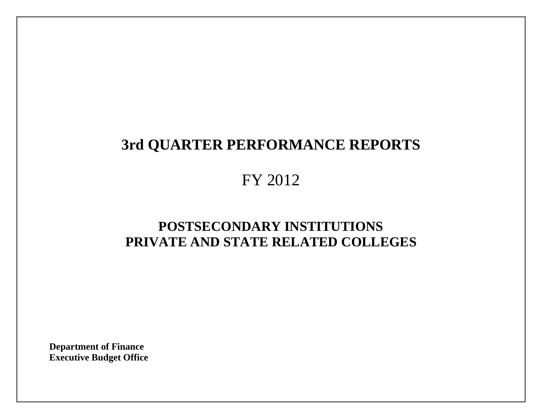# **3rd QUARTER PERFORMANCE REPORTS**

# FY 2012

## **POSTSECONDARY INSTITUTIONS PRIVATE AND STATE RELATED COLLEGES**

**Department of Finance Executive Budget Office**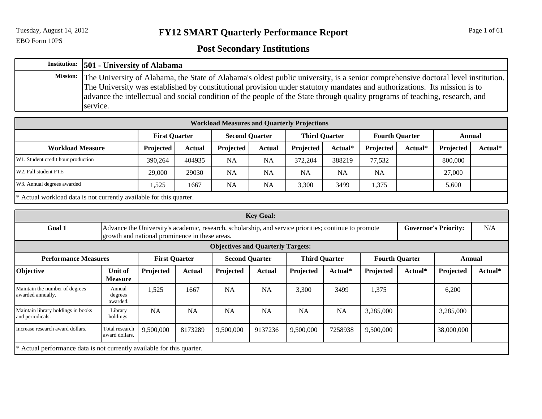| Institution: 501 - University of Alabama                                                                                                   |
|--------------------------------------------------------------------------------------------------------------------------------------------|
| Mission: The University of Alabama, the State of Alabama's oldest public university, is a senior comprehensive doctoral level institution. |
| The University was established by constitutional provision under statutory mandates and authorizations. Its mission is to                  |
| advance the intellectual and social condition of the people of the State through quality programs of teaching, research, and               |
| service.                                                                                                                                   |

| <b>Workload Measures and Quarterly Projections</b>                               |           |                      |           |                       |           |                      |           |                       |           |         |  |
|----------------------------------------------------------------------------------|-----------|----------------------|-----------|-----------------------|-----------|----------------------|-----------|-----------------------|-----------|---------|--|
|                                                                                  |           | <b>First Quarter</b> |           | <b>Second Quarter</b> |           | <b>Third Quarter</b> |           | <b>Fourth Quarter</b> |           | Annual  |  |
| <b>Workload Measure</b>                                                          | Projected | <b>Actual</b>        | Projected | <b>Actual</b>         | Projected | Actual*              | Projected | Actual*               | Projected | Actual* |  |
| W <sub>1</sub> . Student credit hour production                                  | 390.264   | 404935               | <b>NA</b> | <b>NA</b>             | 372,204   | 388219               | 77.532    |                       | 800,000   |         |  |
| W2. Fall student FTE                                                             | 29,000    | 29030                | <b>NA</b> | <b>NA</b>             | <b>NA</b> | <b>NA</b>            | <b>NA</b> |                       | 27,000    |         |  |
| W <sub>3</sub> . Annual degrees awarded                                          | .,525     | 1667                 | <b>NA</b> | <b>NA</b>             | 3,300     | 3499                 | ,375      |                       | 5,600     |         |  |
| $\mathbb{R}$ . A ctual workload data is not currently available for this quarter |           |                      |           |                       |           |                      |           |                       |           |         |  |

\* Actual workload data is not currently available for this quarter.

| <b>Key Goal:</b>                                                       |                                  |                                                                                                                                                                                               |               |           |                                                                                                                                                                                 |           |           |                       |         |            |         |
|------------------------------------------------------------------------|----------------------------------|-----------------------------------------------------------------------------------------------------------------------------------------------------------------------------------------------|---------------|-----------|---------------------------------------------------------------------------------------------------------------------------------------------------------------------------------|-----------|-----------|-----------------------|---------|------------|---------|
| Goal 1                                                                 |                                  | N/A<br>Advance the University's academic, research, scholarship, and service priorities; continue to promote<br><b>Governor's Priority:</b><br>growth and national prominence in these areas. |               |           |                                                                                                                                                                                 |           |           |                       |         |            |         |
|                                                                        |                                  |                                                                                                                                                                                               |               |           |                                                                                                                                                                                 |           |           |                       |         |            |         |
| <b>Performance Measures</b>                                            |                                  | <b>First Quarter</b>                                                                                                                                                                          |               |           | <b>Objectives and Quarterly Targets:</b><br><b>Second Quarter</b><br><b>Third Quarter</b><br>Projected<br>Actual*<br>Actual<br><b>NA</b><br>3,300<br>3499<br>1,375<br><b>NA</b> |           |           | <b>Fourth Quarter</b> |         |            | Annual  |
| Objective                                                              | Unit of<br><b>Measure</b>        | Projected                                                                                                                                                                                     | <b>Actual</b> | Projected |                                                                                                                                                                                 |           |           | Projected             | Actual* | Projected  | Actual* |
| Maintain the number of degrees<br>awarded annually.                    | Annual<br>degrees<br>awarded.    | 1,525                                                                                                                                                                                         | 1667          |           |                                                                                                                                                                                 |           |           |                       |         | 6,200      |         |
| Maintain library holdings in books<br>and periodicals.                 | Library<br>holdings.             | <b>NA</b>                                                                                                                                                                                     | <b>NA</b>     | <b>NA</b> | <b>NA</b>                                                                                                                                                                       | <b>NA</b> | <b>NA</b> | 3,285,000             |         | 3,285,000  |         |
| Increase research award dollars.                                       | Total research<br>award dollars. | 9,500,000                                                                                                                                                                                     | 8173289       | 9,500,000 | 9137236                                                                                                                                                                         | 9,500,000 | 7258938   | 9,500,000             |         | 38,000,000 |         |
| * Actual performance data is not currently available for this quarter. |                                  |                                                                                                                                                                                               |               |           |                                                                                                                                                                                 |           |           |                       |         |            |         |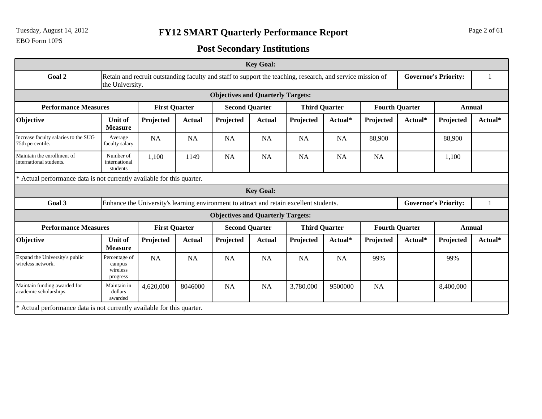|                                                                        |                                                 |                      |               |                                          | <b>Key Goal:</b>                              |                                                                                                            |                      |                       |                                 |                             |         |
|------------------------------------------------------------------------|-------------------------------------------------|----------------------|---------------|------------------------------------------|-----------------------------------------------|------------------------------------------------------------------------------------------------------------|----------------------|-----------------------|---------------------------------|-----------------------------|---------|
| Goal 2                                                                 | the University.                                 |                      |               |                                          |                                               | Retain and recruit outstanding faculty and staff to support the teaching, research, and service mission of |                      |                       |                                 | <b>Governor's Priority:</b> |         |
|                                                                        |                                                 |                      |               | <b>Objectives and Quarterly Targets:</b> |                                               |                                                                                                            |                      |                       |                                 |                             |         |
| <b>Performance Measures</b>                                            |                                                 | <b>First Quarter</b> |               |                                          | <b>Third Quarter</b><br><b>Second Quarter</b> |                                                                                                            |                      | <b>Fourth Quarter</b> |                                 | Annual                      |         |
| Objective                                                              | Unit of<br><b>Measure</b>                       | Projected            | <b>Actual</b> | Projected                                | <b>Actual</b>                                 | Projected                                                                                                  | Actual*              | Projected             | Actual*                         | Projected                   | Actual* |
| Increase faculty salaries to the SUG<br>75th percentile.               | Average<br>faculty salary                       | <b>NA</b>            | <b>NA</b>     | <b>NA</b>                                | <b>NA</b>                                     | <b>NA</b>                                                                                                  | <b>NA</b>            | 88,900                |                                 | 88,900                      |         |
| Maintain the enrollment of<br>international students.                  | Number of<br>international<br>students          | 1,100                | 1149          | <b>NA</b>                                | <b>NA</b>                                     | <b>NA</b>                                                                                                  | <b>NA</b>            | <b>NA</b>             |                                 | 1,100                       |         |
| Actual performance data is not currently available for this quarter.   |                                                 |                      |               |                                          |                                               |                                                                                                            |                      |                       |                                 |                             |         |
|                                                                        |                                                 |                      |               |                                          | <b>Key Goal:</b>                              |                                                                                                            |                      |                       |                                 |                             |         |
| Goal 3                                                                 |                                                 |                      |               |                                          |                                               | Enhance the University's learning environment to attract and retain excellent students.                    |                      |                       |                                 | <b>Governor's Priority:</b> |         |
|                                                                        |                                                 |                      |               | <b>Objectives and Quarterly Targets:</b> |                                               |                                                                                                            |                      |                       |                                 |                             |         |
| <b>Performance Measures</b>                                            |                                                 | <b>First Quarter</b> |               | <b>Second Quarter</b>                    |                                               |                                                                                                            | <b>Third Quarter</b> |                       | <b>Fourth Quarter</b><br>Annual |                             |         |
| Objective                                                              | Unit of<br><b>Measure</b>                       | Projected            | <b>Actual</b> | Projected                                | <b>Actual</b>                                 | Projected                                                                                                  | Actual*              | Projected             | Actual*                         | Projected                   | Actual* |
| Expand the University's public<br>wireless network.                    | Percentage of<br>campus<br>wireless<br>progress | <b>NA</b>            | <b>NA</b>     | <b>NA</b>                                | <b>NA</b>                                     | <b>NA</b>                                                                                                  | <b>NA</b>            | 99%                   |                                 | 99%                         |         |
| Maintain funding awarded for<br>academic scholarships.                 | Maintain in<br>dollars<br>awarded               | 4,620,000            | 8046000       | <b>NA</b>                                | NA                                            | 3,780,000                                                                                                  | 9500000              | <b>NA</b>             |                                 | 8,400,000                   |         |
| * Actual performance data is not currently available for this quarter. |                                                 |                      |               |                                          |                                               |                                                                                                            |                      |                       |                                 |                             |         |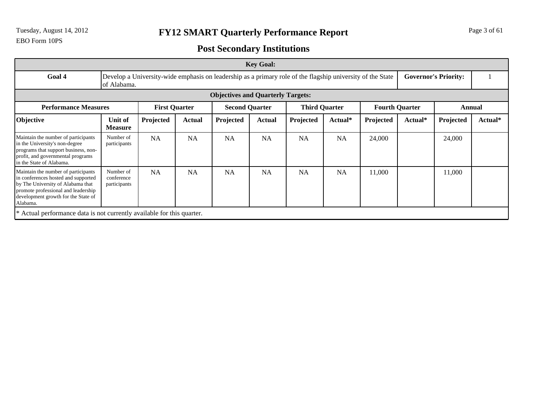|                                                                                                                                                                                                           |                                         |                                                                                                                                           |           |                                          | <b>Key Goal:</b>                              |           |           |                       |         |           |         |
|-----------------------------------------------------------------------------------------------------------------------------------------------------------------------------------------------------------|-----------------------------------------|-------------------------------------------------------------------------------------------------------------------------------------------|-----------|------------------------------------------|-----------------------------------------------|-----------|-----------|-----------------------|---------|-----------|---------|
| Goal 4                                                                                                                                                                                                    | lof Alabama.                            | Develop a University-wide emphasis on leadership as a primary role of the flagship university of the State<br><b>Governor's Priority:</b> |           |                                          |                                               |           |           |                       |         |           |         |
|                                                                                                                                                                                                           |                                         |                                                                                                                                           |           | <b>Objectives and Quarterly Targets:</b> |                                               |           |           |                       |         |           |         |
| <b>Performance Measures</b>                                                                                                                                                                               |                                         | <b>First Quarter</b>                                                                                                                      |           |                                          | <b>Third Quarter</b><br><b>Second Quarter</b> |           |           | <b>Fourth Quarter</b> |         |           | Annual  |
| Objective                                                                                                                                                                                                 | Unit of<br><b>Measure</b>               | Projected                                                                                                                                 | Actual    | Projected                                | Actual                                        | Projected | Actual*   | Projected             | Actual* | Projected | Actual* |
| Maintain the number of participants<br>in the University's non-degree<br>programs that support business, non-<br>profit, and governmental programs<br>in the State of Alabama.                            | Number of<br>participants               | NA                                                                                                                                        | <b>NA</b> | <b>NA</b>                                | <b>NA</b>                                     | <b>NA</b> | <b>NA</b> | 24,000                |         | 24,000    |         |
| Maintain the number of participants<br>in conferences hosted and supported<br>by The University of Alabama that<br>promote professional and leadership<br>development growth for the State of<br>Alabama. | Number of<br>conference<br>participants | NA                                                                                                                                        | <b>NA</b> | <b>NA</b>                                | <b>NA</b>                                     | <b>NA</b> | <b>NA</b> | 11,000                |         | 11,000    |         |
| * Actual performance data is not currently available for this quarter.                                                                                                                                    |                                         |                                                                                                                                           |           |                                          |                                               |           |           |                       |         |           |         |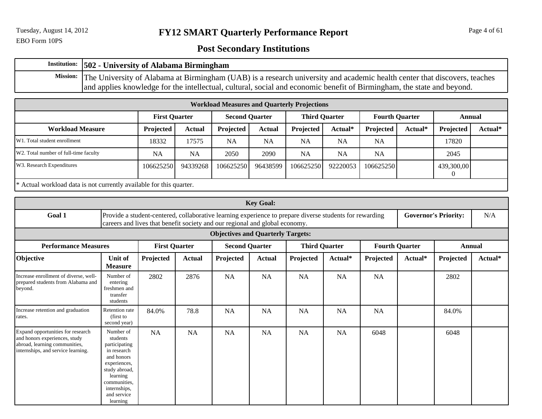| Institution: 502 - University of Alabama Birmingham                                                                                |
|------------------------------------------------------------------------------------------------------------------------------------|
| Mission: The University of Alabama at Birmingham (UAB) is a research university and academic health center that discovers, teaches |
| and applies knowledge for the intellectual, cultural, social and economic benefit of Birmingham, the state and beyond.             |

| <b>Workload Measures and Quarterly Projections</b>                              |                      |               |           |                       |                  |                      |           |                       |            |         |  |
|---------------------------------------------------------------------------------|----------------------|---------------|-----------|-----------------------|------------------|----------------------|-----------|-----------------------|------------|---------|--|
|                                                                                 | <b>First Quarter</b> |               |           | <b>Second Quarter</b> |                  | <b>Third Quarter</b> |           | <b>Fourth Quarter</b> |            | Annual  |  |
| <b>Workload Measure</b>                                                         | Projected            | <b>Actual</b> | Projected | <b>Actual</b>         | <b>Projected</b> | Actual*              | Projected | Actual*               | Projected  | Actual* |  |
| W <sub>1</sub> . Total student enrollment                                       | 18332                | 17575         | <b>NA</b> | <b>NA</b>             | <b>NA</b>        | <b>NA</b>            | NA        |                       | 17820      |         |  |
| W2. Total number of full-time faculty                                           | <b>NA</b>            | <b>NA</b>     | 2050      | 2090                  | <b>NA</b>        | <b>NA</b>            | NA        |                       | 2045       |         |  |
| W3. Research Expenditures                                                       | 106625250            | 94339268      | 106625250 | 96438599              | 106625250        | 92220053             | 106625250 |                       | 439,300,00 |         |  |
| $\frac{1}{2}$ A etual workload data is not currently available for this quarter |                      |               |           |                       |                  |                      |           |                       |            |         |  |

\* Actual workload data is not currently available for this quarter.

|                                                                                                                                           |                                                                                                                                                                             |                                                                                                                                                                                                                       |                      |                                          | <b>Key Goal:</b>      |           |                      |           |                       |           |         |
|-------------------------------------------------------------------------------------------------------------------------------------------|-----------------------------------------------------------------------------------------------------------------------------------------------------------------------------|-----------------------------------------------------------------------------------------------------------------------------------------------------------------------------------------------------------------------|----------------------|------------------------------------------|-----------------------|-----------|----------------------|-----------|-----------------------|-----------|---------|
| Goal 1                                                                                                                                    |                                                                                                                                                                             | Provide a student-centered, collaborative learning experience to prepare diverse students for rewarding<br><b>Governor's Priority:</b><br>careers and lives that benefit society and our regional and global economy. |                      |                                          |                       |           |                      |           |                       | N/A       |         |
|                                                                                                                                           |                                                                                                                                                                             |                                                                                                                                                                                                                       |                      | <b>Objectives and Quarterly Targets:</b> |                       |           |                      |           |                       |           |         |
| <b>Performance Measures</b>                                                                                                               |                                                                                                                                                                             |                                                                                                                                                                                                                       | <b>First Quarter</b> |                                          | <b>Second Quarter</b> |           | <b>Third Quarter</b> |           | <b>Fourth Quarter</b> |           | Annual  |
| Objective                                                                                                                                 | Unit of<br><b>Measure</b>                                                                                                                                                   | Projected                                                                                                                                                                                                             | Actual               | Projected                                | <b>Actual</b>         | Projected | Actual*              | Projected | Actual*               | Projected | Actual* |
| Increase enrollment of diverse, well-<br>prepared students from Alabama and<br>beyond.                                                    | Number of<br>entering<br>freshmen and<br>transfer<br>students                                                                                                               | 2802                                                                                                                                                                                                                  | 2876                 | NA                                       | NA                    | NA        | NA                   | NA        |                       | 2802      |         |
| Increase retention and graduation<br>rates.                                                                                               | Retention rate<br>(first to<br>second year)                                                                                                                                 | 84.0%                                                                                                                                                                                                                 | 78.8                 | <b>NA</b>                                | <b>NA</b>             | <b>NA</b> | NA                   | NA        |                       | 84.0%     |         |
| Expand opportunities for research<br>and honors experiences, study<br>abroad, learning communities,<br>internships, and service learning. | Number of<br>students<br>participating<br>in research<br>and honors<br>experiences,<br>study abroad,<br>learning<br>communities.<br>internships,<br>and service<br>learning | NA                                                                                                                                                                                                                    | NA                   | NA                                       | NA                    | NA        | <b>NA</b>            | 6048      |                       | 6048      |         |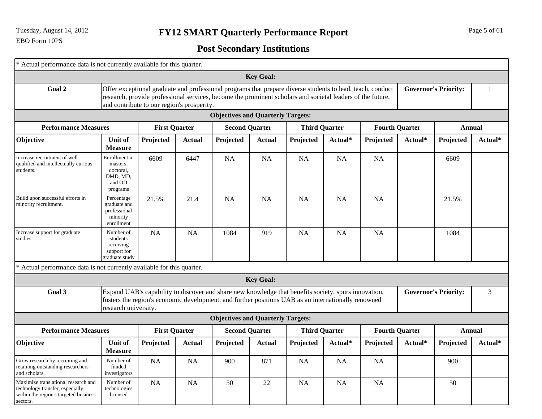| * Actual performance data is not currently available for this quarter.                                                      |                                                                          |                                            |               |                                                                                                                                                                                                                          |                  |           |                      |                             |                       |                             |               |
|-----------------------------------------------------------------------------------------------------------------------------|--------------------------------------------------------------------------|--------------------------------------------|---------------|--------------------------------------------------------------------------------------------------------------------------------------------------------------------------------------------------------------------------|------------------|-----------|----------------------|-----------------------------|-----------------------|-----------------------------|---------------|
|                                                                                                                             |                                                                          |                                            |               |                                                                                                                                                                                                                          | <b>Key Goal:</b> |           |                      |                             |                       |                             |               |
| Goal 2                                                                                                                      |                                                                          | and contribute to our region's prosperity. |               | Offer exceptional graduate and professional programs that prepare diverse students to lead, teach, conduct<br>research, provide professional services, become the prominent scholars and societal leaders of the future, |                  |           |                      |                             |                       | <b>Governor's Priority:</b> | 1             |
|                                                                                                                             |                                                                          |                                            |               | <b>Objectives and Quarterly Targets:</b>                                                                                                                                                                                 |                  |           |                      |                             |                       |                             |               |
| <b>Performance Measures</b>                                                                                                 |                                                                          | <b>First Quarter</b>                       |               | <b>Second Quarter</b>                                                                                                                                                                                                    |                  |           | <b>Third Quarter</b> |                             | <b>Fourth Quarter</b> |                             | <b>Annual</b> |
| Objective                                                                                                                   | <b>Unit of</b><br><b>Measure</b>                                         | Projected                                  | <b>Actual</b> | Projected                                                                                                                                                                                                                | <b>Actual</b>    | Projected | Actual*              | Projected                   | Actual*               | Projected                   | Actual*       |
| Increase recruitment of well-<br>qualified and intellectually curious<br>students.                                          | Enrollment in<br>masters,<br>doctoral.<br>DMD, MD,<br>and OD<br>programs | 6609                                       | 6447          | <b>NA</b>                                                                                                                                                                                                                | NA               | <b>NA</b> | <b>NA</b>            | NA                          |                       | 6609                        |               |
| Build upon successful efforts in<br>minority recruitment.                                                                   | Percentage<br>graduate and<br>professional<br>minority<br>enrollment     | 21.5%                                      | 21.4          | <b>NA</b>                                                                                                                                                                                                                | <b>NA</b>        | <b>NA</b> | <b>NA</b>            | NA                          |                       | 21.5%                       |               |
| Increase support for graduate<br>studies.                                                                                   | Number of<br>students<br>receiving<br>support for<br>graduate study      | NA                                         | <b>NA</b>     | 1084                                                                                                                                                                                                                     | 919              | <b>NA</b> | <b>NA</b>            | <b>NA</b>                   |                       | 1084                        |               |
| * Actual performance data is not currently available for this quarter.                                                      |                                                                          |                                            |               |                                                                                                                                                                                                                          |                  |           |                      |                             |                       |                             |               |
|                                                                                                                             |                                                                          |                                            |               |                                                                                                                                                                                                                          | <b>Key Goal:</b> |           |                      |                             |                       |                             |               |
| Goal 3                                                                                                                      | research university.                                                     |                                            |               | Expand UAB's capability to discover and share new knowledge that benefits society, spurs innovation,<br>fosters the region's economic development, and further positions UAB as an internationally renowned              |                  |           |                      | <b>Governor's Priority:</b> | 3                     |                             |               |
|                                                                                                                             |                                                                          |                                            |               | <b>Objectives and Quarterly Targets:</b>                                                                                                                                                                                 |                  |           |                      |                             |                       |                             |               |
| <b>Performance Measures</b>                                                                                                 |                                                                          | <b>First Quarter</b>                       |               | <b>Second Quarter</b>                                                                                                                                                                                                    |                  |           | <b>Third Quarter</b> |                             | <b>Fourth Quarter</b> |                             | <b>Annual</b> |
| Objective                                                                                                                   | Unit of<br><b>Measure</b>                                                | Projected                                  | Actual        | Projected                                                                                                                                                                                                                | Actual           | Projected | Actual*              | Projected                   | Actual*               | Projected                   | Actual*       |
| Grow research by recruiting and<br>retaining outstanding researchers<br>and scholars.                                       | Number of<br>funded<br>investigators                                     | NA                                         | NA            | 900                                                                                                                                                                                                                      | 871              | <b>NA</b> | <b>NA</b>            | NA                          |                       | 900                         |               |
| Maximize translational research and<br>technology transfer, especially<br>within the region's targeted business<br>sectors. | Number of<br>technologies<br>licensed                                    | NA                                         | <b>NA</b>     | 50                                                                                                                                                                                                                       | 22               | <b>NA</b> | <b>NA</b>            | <b>NA</b>                   |                       | 50                          |               |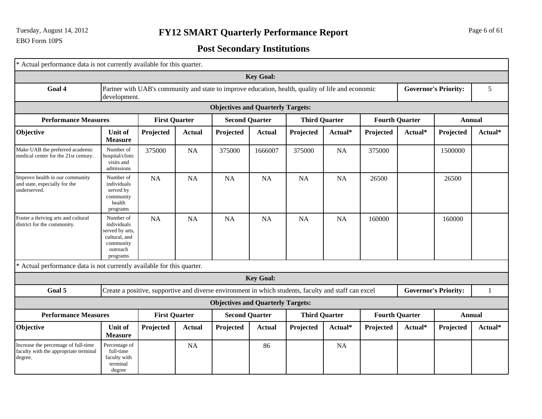| $*$ Actual performance data is not currently available for this quarter.                 |                                                                                                   |                      |               |                                          |                  |                                                                                                      |                      |                       |                       |                             |               |
|------------------------------------------------------------------------------------------|---------------------------------------------------------------------------------------------------|----------------------|---------------|------------------------------------------|------------------|------------------------------------------------------------------------------------------------------|----------------------|-----------------------|-----------------------|-----------------------------|---------------|
|                                                                                          |                                                                                                   |                      |               |                                          | <b>Key Goal:</b> |                                                                                                      |                      |                       |                       |                             |               |
| Goal 4                                                                                   | development.                                                                                      |                      |               |                                          |                  | Partner with UAB's community and state to improve education, health, quality of life and economic    |                      |                       |                       | <b>Governor's Priority:</b> | 5             |
|                                                                                          |                                                                                                   |                      |               | <b>Objectives and Quarterly Targets:</b> |                  |                                                                                                      |                      |                       |                       |                             |               |
| <b>Performance Measures</b>                                                              |                                                                                                   | <b>First Quarter</b> |               | <b>Second Quarter</b>                    |                  |                                                                                                      | <b>Third Quarter</b> |                       | <b>Fourth Quarter</b> |                             | <b>Annual</b> |
| Objective                                                                                | Unit of<br><b>Measure</b>                                                                         | Projected            | <b>Actual</b> | Projected                                | <b>Actual</b>    | Projected                                                                                            | Actual*              | Projected             | Actual*               | Projected                   | Actual*       |
| Make UAB the preferred academic<br>medical center for the 21st century.                  | Number of<br>hospital/clinic<br>visits and<br>admissions                                          | 375000               | <b>NA</b>     | 375000                                   | 1666007          | 375000                                                                                               | <b>NA</b>            | 375000                |                       | 1500000                     |               |
| Improve health in our community<br>and state, especially for the<br>underserved.         | Number of<br>individuals<br>served by<br>community<br>health<br>programs                          | <b>NA</b>            | <b>NA</b>     | <b>NA</b>                                | <b>NA</b>        | <b>NA</b>                                                                                            | <b>NA</b>            | 26500                 |                       | 26500                       |               |
| Foster a thriving arts and cultural<br>district for the community.                       | Number of<br>individuals<br>served by arts.<br>cultural, and<br>community<br>outreach<br>programs | <b>NA</b>            | <b>NA</b>     | <b>NA</b>                                | NA               | <b>NA</b>                                                                                            | <b>NA</b>            | 160000                |                       | 160000                      |               |
| * Actual performance data is not currently available for this quarter.                   |                                                                                                   |                      |               |                                          |                  |                                                                                                      |                      |                       |                       |                             |               |
|                                                                                          |                                                                                                   |                      |               |                                          | <b>Key Goal:</b> |                                                                                                      |                      |                       |                       |                             |               |
| Goal 5                                                                                   |                                                                                                   |                      |               |                                          |                  | Create a positive, supportive and diverse environment in which students, faculty and staff can excel |                      |                       |                       | <b>Governor's Priority:</b> |               |
|                                                                                          |                                                                                                   |                      |               | <b>Objectives and Quarterly Targets:</b> |                  |                                                                                                      |                      |                       |                       |                             |               |
| <b>Performance Measures</b>                                                              |                                                                                                   | <b>First Quarter</b> |               | <b>Second Quarter</b>                    |                  | <b>Third Quarter</b>                                                                                 |                      | <b>Fourth Quarter</b> |                       |                             | <b>Annual</b> |
| Objective                                                                                | Unit of<br><b>Measure</b>                                                                         | Projected            | <b>Actual</b> | Projected                                | <b>Actual</b>    | Projected                                                                                            | Actual*              | Projected             | Actual*               | Projected                   | Actual*       |
| Increase the percentage of full-time<br>faculty with the appropriate terminal<br>degree. | Percentage of<br>full-time<br>faculty with<br>terminal<br>degree                                  |                      | <b>NA</b>     |                                          | 86               |                                                                                                      | <b>NA</b>            |                       |                       |                             |               |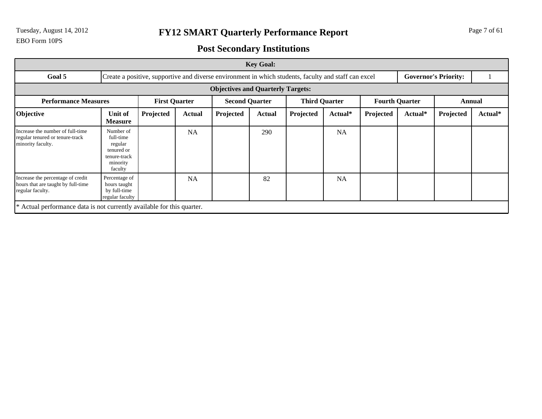#### Tuesday, August 14, 2012 **FY12 SMART Quarterly Performance Report** Page 7 of 61

|                                                                                                      |                                                                                        |                                                                                                                                     |               |           | <b>Key Goal:</b> |           |           |           |                       |           |         |
|------------------------------------------------------------------------------------------------------|----------------------------------------------------------------------------------------|-------------------------------------------------------------------------------------------------------------------------------------|---------------|-----------|------------------|-----------|-----------|-----------|-----------------------|-----------|---------|
| Goal 5                                                                                               |                                                                                        | Create a positive, supportive and diverse environment in which students, faculty and staff can excel<br><b>Governor's Priority:</b> |               |           |                  |           |           |           |                       |           |         |
|                                                                                                      | <b>Objectives and Quarterly Targets:</b>                                               |                                                                                                                                     |               |           |                  |           |           |           |                       |           |         |
| <b>First Quarter</b><br><b>Second Quarter</b><br><b>Third Quarter</b><br><b>Performance Measures</b> |                                                                                        |                                                                                                                                     |               |           |                  |           |           |           | <b>Fourth Quarter</b> |           | Annual  |
| Objective                                                                                            | Unit of<br><b>Measure</b>                                                              | Projected                                                                                                                           | <b>Actual</b> | Projected | <b>Actual</b>    | Projected | Actual*   | Projected | Actual*               | Projected | Actual* |
| Increase the number of full-time<br>regular tenured or tenure-track<br>minority faculty.             | Number of<br>full-time<br>regular<br>tenured or<br>tenure-track<br>minority<br>faculty |                                                                                                                                     | NA            |           | 290              |           | <b>NA</b> |           |                       |           |         |
| Increase the percentage of credit<br>hours that are taught by full-time<br>regular faculty.          | Percentage of<br>hours taught<br>by full-time<br>regular faculty                       |                                                                                                                                     | <b>NA</b>     |           | 82               |           | <b>NA</b> |           |                       |           |         |
| * Actual performance data is not currently available for this quarter.                               |                                                                                        |                                                                                                                                     |               |           |                  |           |           |           |                       |           |         |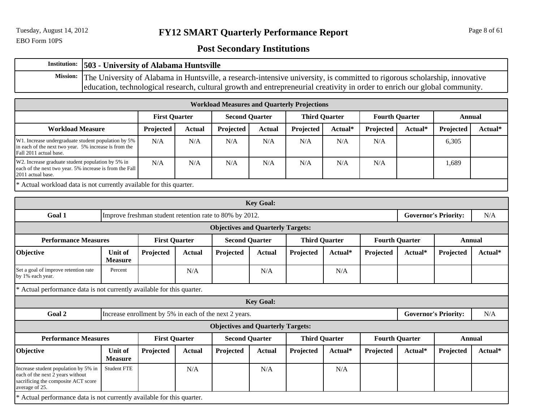| Institution: 503 - University of Alabama Huntsville                                                                                 |
|-------------------------------------------------------------------------------------------------------------------------------------|
| Mission: The University of Alabama in Huntsville, a research-intensive university, is committed to rigorous scholarship, innovative |
| education, technological research, cultural growth and entrepreneurial creativity in order to enrich our global community.          |

| <b>Workload Measures and Quarterly Projections</b>                                                                                     |                      |               |                       |               |                      |         |                       |         |           |         |  |  |
|----------------------------------------------------------------------------------------------------------------------------------------|----------------------|---------------|-----------------------|---------------|----------------------|---------|-----------------------|---------|-----------|---------|--|--|
|                                                                                                                                        | <b>First Quarter</b> |               | <b>Second Quarter</b> |               | <b>Third Quarter</b> |         | <b>Fourth Quarter</b> |         | Annual    |         |  |  |
| <b>Workload Measure</b>                                                                                                                | Projected            | <b>Actual</b> | Projected             | <b>Actual</b> | Projected            | Actual* | Projected             | Actual* | Projected | Actual* |  |  |
| W1. Increase undergraduate student population by 5%<br>in each of the next two year. 5% increase is from the<br>Fall 2011 actual base. | N/A                  | N/A           | N/A                   | N/A           | N/A                  | N/A     | N/A                   |         | 6,305     |         |  |  |
| W2. Increase graduate student population by 5% in<br>each of the next two year. 5% increase is from the Fall<br>12011 actual base.     | N/A                  | N/A           | N/A                   | N/A           | N/A                  | N/A     | N/A                   |         | 1,689     |         |  |  |
| * Actual workload data is not currently available for this quarter.                                                                    |                      |               |                       |               |                      |         |                       |         |           |         |  |  |

| <b>Key Goal:</b>                                                                                                                  |                                          |                      |               |                                                         |        |                      |         |                       |         |                             |         |  |
|-----------------------------------------------------------------------------------------------------------------------------------|------------------------------------------|----------------------|---------------|---------------------------------------------------------|--------|----------------------|---------|-----------------------|---------|-----------------------------|---------|--|
| Goal 1                                                                                                                            |                                          |                      |               | Improve freshman student retention rate to 80% by 2012. |        |                      |         |                       |         | <b>Governor's Priority:</b> | N/A     |  |
|                                                                                                                                   | <b>Objectives and Quarterly Targets:</b> |                      |               |                                                         |        |                      |         |                       |         |                             |         |  |
| <b>Performance Measures</b>                                                                                                       |                                          | <b>First Quarter</b> |               | <b>Second Quarter</b>                                   |        | <b>Third Quarter</b> |         | <b>Fourth Quarter</b> |         | Annual                      |         |  |
| Objective                                                                                                                         | Unit of<br><b>Measure</b>                | Projected            | Actual        | Projected                                               | Actual | Projected            | Actual* | Projected             | Actual* | Projected                   | Actual* |  |
| Set a goal of improve retention rate<br>by 1% each year.                                                                          | Percent                                  |                      | N/A           |                                                         | N/A    |                      | N/A     |                       |         |                             |         |  |
| * Actual performance data is not currently available for this quarter.                                                            |                                          |                      |               |                                                         |        |                      |         |                       |         |                             |         |  |
| <b>Key Goal:</b>                                                                                                                  |                                          |                      |               |                                                         |        |                      |         |                       |         |                             |         |  |
| Goal 2                                                                                                                            |                                          |                      |               | Increase enrollment by 5% in each of the next 2 years.  |        |                      |         |                       |         | <b>Governor's Priority:</b> | N/A     |  |
|                                                                                                                                   |                                          |                      |               | <b>Objectives and Quarterly Targets:</b>                |        |                      |         |                       |         |                             |         |  |
| <b>Performance Measures</b>                                                                                                       |                                          | <b>First Quarter</b> |               | <b>Second Quarter</b>                                   |        | <b>Third Quarter</b> |         | <b>Fourth Quarter</b> |         | <b>Annual</b>               |         |  |
| <b>Objective</b>                                                                                                                  | Unit of<br><b>Measure</b>                | Projected            | <b>Actual</b> | Projected                                               | Actual | Projected            | Actual* | Projected             | Actual* | Projected                   | Actual* |  |
| Increase student population by 5% in<br>each of the next 2 years without<br>sacrificing the composite ACT score<br>average of 25. | <b>Student FTE</b>                       |                      | N/A           |                                                         | N/A    |                      | N/A     |                       |         |                             |         |  |
| * Actual performance data is not currently available for this quarter.                                                            |                                          |                      |               |                                                         |        |                      |         |                       |         |                             |         |  |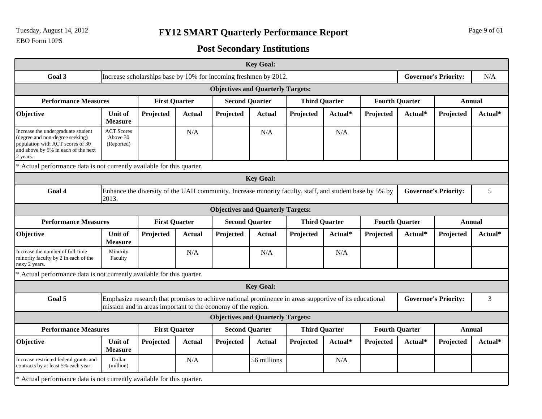|                                                                                                                                                              |                                             |                                                                                                                                                                        |                      |                                          | <b>Key Goal:</b>      |                      |         |           |                       |                             |               |  |
|--------------------------------------------------------------------------------------------------------------------------------------------------------------|---------------------------------------------|------------------------------------------------------------------------------------------------------------------------------------------------------------------------|----------------------|------------------------------------------|-----------------------|----------------------|---------|-----------|-----------------------|-----------------------------|---------------|--|
| Goal 3                                                                                                                                                       |                                             | Increase scholarships base by 10% for incoming freshmen by 2012.                                                                                                       |                      |                                          |                       |                      |         |           |                       | <b>Governor's Priority:</b> | N/A           |  |
|                                                                                                                                                              |                                             |                                                                                                                                                                        |                      | <b>Objectives and Quarterly Targets:</b> |                       |                      |         |           |                       |                             |               |  |
| <b>Performance Measures</b>                                                                                                                                  |                                             | <b>First Quarter</b>                                                                                                                                                   |                      | <b>Second Quarter</b>                    |                       | <b>Third Quarter</b> |         |           | <b>Fourth Quarter</b> |                             | <b>Annual</b> |  |
| Objective                                                                                                                                                    | Unit of<br><b>Measure</b>                   | Projected                                                                                                                                                              | <b>Actual</b>        | Projected                                | Actual                | Projected            | Actual* | Projected | Actual*               | Projected                   | Actual*       |  |
| Increase the undergraduate student<br>(degree and non-degree seeking)<br>population with ACT scores of 30<br>and above by 5% in each of the next<br>2 years. | <b>ACT Scores</b><br>Above 30<br>(Reported) |                                                                                                                                                                        | N/A                  |                                          | N/A                   |                      | N/A     |           |                       |                             |               |  |
| * Actual performance data is not currently available for this quarter.                                                                                       |                                             |                                                                                                                                                                        |                      |                                          |                       |                      |         |           |                       |                             |               |  |
|                                                                                                                                                              |                                             |                                                                                                                                                                        |                      |                                          | <b>Key Goal:</b>      |                      |         |           |                       |                             |               |  |
| Goal 4                                                                                                                                                       | 2013.                                       | Enhance the diversity of the UAH community. Increase minority faculty, staff, and student base by 5% by<br><b>Governor's Priority:</b><br>5                            |                      |                                          |                       |                      |         |           |                       |                             |               |  |
|                                                                                                                                                              |                                             |                                                                                                                                                                        |                      | <b>Objectives and Quarterly Targets:</b> |                       |                      |         |           |                       |                             |               |  |
| <b>Performance Measures</b>                                                                                                                                  |                                             |                                                                                                                                                                        | <b>First Quarter</b> |                                          | <b>Second Quarter</b> | <b>Third Quarter</b> |         |           | <b>Fourth Quarter</b> |                             | <b>Annual</b> |  |
| Objective                                                                                                                                                    | Unit of<br><b>Measure</b>                   | Projected                                                                                                                                                              | Actual               | Projected                                | Actual                | Projected            | Actual* | Projected | Actual*               | Projected                   | Actual*       |  |
| Increase the number of full-time<br>minority faculty by 2 in each of the<br>nexy 2 years.                                                                    | Minority<br>Faculty                         |                                                                                                                                                                        | N/A                  |                                          | N/A                   |                      | N/A     |           |                       |                             |               |  |
| * Actual performance data is not currently available for this quarter.                                                                                       |                                             |                                                                                                                                                                        |                      |                                          |                       |                      |         |           |                       |                             |               |  |
|                                                                                                                                                              |                                             |                                                                                                                                                                        |                      |                                          | <b>Key Goal:</b>      |                      |         |           |                       |                             |               |  |
| Goal 5                                                                                                                                                       |                                             | Emphasize research that promises to achieve national prominence in areas supportive of its educational<br>mission and in areas important to the economy of the region. |                      |                                          |                       |                      |         |           |                       | <b>Governor's Priority:</b> | 3             |  |
|                                                                                                                                                              |                                             |                                                                                                                                                                        |                      | <b>Objectives and Quarterly Targets:</b> |                       |                      |         |           |                       |                             |               |  |
| <b>Performance Measures</b>                                                                                                                                  |                                             | <b>First Quarter</b>                                                                                                                                                   |                      | <b>Second Quarter</b>                    |                       | <b>Third Quarter</b> |         |           | <b>Fourth Quarter</b> |                             | <b>Annual</b> |  |
| Objective                                                                                                                                                    | Unit of<br><b>Measure</b>                   | Projected                                                                                                                                                              | Actual               | Projected                                | Actual                | Projected            | Actual* | Projected | Actual*               | Projected                   | Actual*       |  |
| Increase restricted federal grants and<br>contracts by at least 5% each year.                                                                                | Dollar<br>(million)                         |                                                                                                                                                                        | N/A                  |                                          | 56 millions           |                      | N/A     |           |                       |                             |               |  |
| * Actual performance data is not currently available for this quarter.                                                                                       |                                             |                                                                                                                                                                        |                      |                                          |                       |                      |         |           |                       |                             |               |  |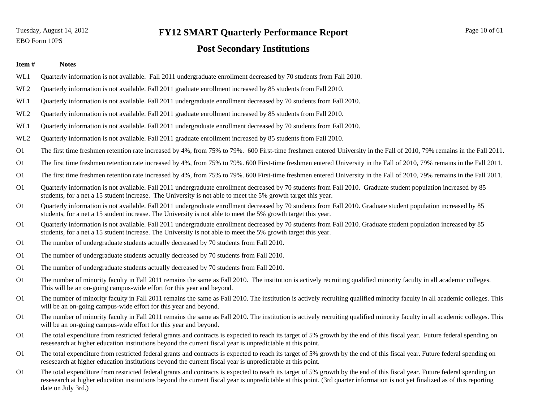#### Tuesday, August 14, 2012 **FY12 SMART Quarterly Performance Report** Page 10 of 61

#### **Post Secondary Institutions**

#### **Item # Notes**

- WL1 Quarterly information is not available. Fall 2011 undergraduate enrollment decreased by 70 students from Fall 2010.
- WL2 Quarterly information is not available. Fall 2011 graduate enrollment increased by 85 students from Fall 2010.
- WL1 Quarterly information is not available. Fall 2011 undergraduate enrollment decreased by 70 students from Fall 2010.
- WL2 Quarterly information is not available. Fall 2011 graduate enrollment increased by 85 students from Fall 2010.
- WL1 Quarterly information is not available. Fall 2011 undergraduate enrollment decreased by 70 students from Fall 2010.
- WL2 Quarterly information is not available. Fall 2011 graduate enrollment increased by 85 students from Fall 2010.
- O1 The first time freshmen retention rate increased by 4%, from 75% to 79%. 600 First-time freshmen entered University in the Fall of 2010, 79% remains in the Fall 2011.
- O1 The first time freshmen retention rate increased by 4%, from 75% to 79%. 600 First-time freshmen entered University in the Fall of 2010, 79% remains in the Fall 2011.
- O1 The first time freshmen retention rate increased by 4%, from 75% to 79%. 600 First-time freshmen entered University in the Fall of 2010, 79% remains in the Fall 2011.
- O1 Quarterly information is not available. Fall 2011 undergraduate enrollment decreased by 70 students from Fall 2010. Graduate student population increased by 85 students, for a net a 15 student increase. The University is not able to meet the 5% growth target this year.
- O1 Quarterly information is not available. Fall 2011 undergraduate enrollment decreased by 70 students from Fall 2010. Graduate student population increased by 85 students, for a net a 15 student increase. The University is not able to meet the 5% growth target this year.
- O1 Quarterly information is not available. Fall 2011 undergraduate enrollment decreased by 70 students from Fall 2010. Graduate student population increased by 85 students, for a net a 15 student increase. The University is not able to meet the 5% growth target this year.
- O1 The number of undergraduate students actually decreased by 70 students from Fall 2010.
- O1 The number of undergraduate students actually decreased by 70 students from Fall 2010.
- O1 The number of undergraduate students actually decreased by 70 students from Fall 2010.
- O1 The number of minority faculty in Fall 2011 remains the same as Fall 2010. The institution is actively recruiting qualified minority faculty in all academic colleges. This will be an on-going campus-wide effort for this year and beyond.
- O1 The number of minority faculty in Fall 2011 remains the same as Fall 2010. The institution is actively recruiting qualified minority faculty in all academic colleges. This will be an on-going campus-wide effort for this year and beyond.
- O1 The number of minority faculty in Fall 2011 remains the same as Fall 2010. The institution is actively recruiting qualified minority faculty in all academic colleges. This will be an on-going campus-wide effort for this year and beyond.
- O1 The total expenditure from restricted federal grants and contracts is expected to reach its target of 5% growth by the end of this fiscal year. Future federal spending on resesearch at higher education institutions beyond the current fiscal year is unpredictable at this point.
- O1 The total expenditure from restricted federal grants and contracts is expected to reach its target of 5% growth by the end of this fiscal year. Future federal spending on resesearch at higher education institutions beyond the current fiscal year is unpredictable at this point.
- O1 The total expenditure from restricted federal grants and contracts is expected to reach its target of 5% growth by the end of this fiscal year. Future federal spending on resesearch at higher education institutions beyond the current fiscal year is unpredictable at this point. (3rd quarter information is not yet finalized as of this reporting date on July 3rd.)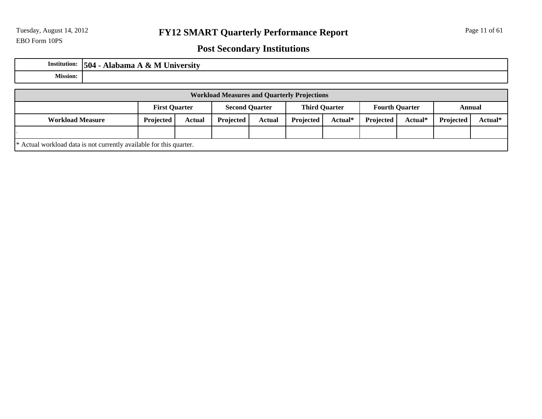| <b>Institution:</b>                                                   |  | $ 504 - \text{Alabama A} \& \text{M University} $ |               |                       |               |                      |         |                       |         |           |         |  |  |
|-----------------------------------------------------------------------|--|---------------------------------------------------|---------------|-----------------------|---------------|----------------------|---------|-----------------------|---------|-----------|---------|--|--|
| <b>Mission:</b>                                                       |  |                                                   |               |                       |               |                      |         |                       |         |           |         |  |  |
|                                                                       |  |                                                   |               |                       |               |                      |         |                       |         |           |         |  |  |
| <b>Workload Measures and Quarterly Projections</b>                    |  |                                                   |               |                       |               |                      |         |                       |         |           |         |  |  |
| <b>First Quarter</b>                                                  |  |                                                   |               | <b>Second Quarter</b> |               | <b>Third Quarter</b> |         | <b>Fourth Quarter</b> |         | Annual    |         |  |  |
| <b>Workload Measure</b>                                               |  | Projected                                         | <b>Actual</b> | <b>Projected</b>      | <b>Actual</b> | Projected            | Actual* | Projected             | Actual* | Projected | Actual* |  |  |
|                                                                       |  |                                                   |               |                       |               |                      |         |                       |         |           |         |  |  |
| $*$ Actual workload data is not currently available for this quarter. |  |                                                   |               |                       |               |                      |         |                       |         |           |         |  |  |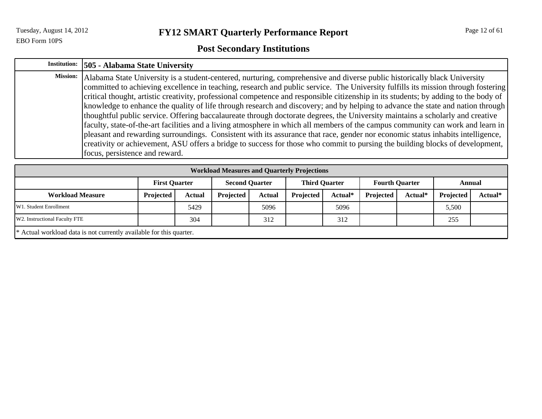| Institution:   505 - Alabama State University                                                                                        |
|--------------------------------------------------------------------------------------------------------------------------------------|
| Mission: Alabama State University is a student-centered, nurturing, comprehensive and diverse public historically black University   |
| committed to achieving excellence in teaching, research and public service. The University fulfills its mission through fostering    |
| critical thought, artistic creativity, professional competence and responsible citizenship in its students; by adding to the body of |
| knowledge to enhance the quality of life through research and discovery; and by helping to advance the state and nation through      |
| thoughtful public service. Offering baccalaureate through doctorate degrees, the University maintains a scholarly and creative       |
| faculty, state-of-the-art facilities and a living atmosphere in which all members of the campus community can work and learn in      |
| pleasant and rewarding surroundings. Consistent with its assurance that race, gender nor economic status inhabits intelligence,      |
| creativity or achievement, ASU offers a bridge to success for those who commit to pursing the building blocks of development,        |
| focus, persistence and reward.                                                                                                       |

| <b>Workload Measures and Quarterly Projections</b>                  |                      |        |                       |               |                      |         |                       |         |           |         |  |
|---------------------------------------------------------------------|----------------------|--------|-----------------------|---------------|----------------------|---------|-----------------------|---------|-----------|---------|--|
|                                                                     | <b>First Quarter</b> |        | <b>Second Quarter</b> |               | <b>Third Quarter</b> |         | <b>Fourth Quarter</b> |         | Annual    |         |  |
| <b>Workload Measure</b>                                             | Projected            | Actual | Projected             | <b>Actual</b> | Projected            | Actual* | Projected             | Actual* | Projected | Actual* |  |
| <b>W1.</b> Student Enrollment                                       |                      | 5429   |                       | 5096          |                      | 5096    |                       |         | 5,500     |         |  |
| W2. Instructional Faculty FTE                                       |                      | 304    |                       | 312           |                      | 312     |                       |         | 255       |         |  |
| * Actual workload data is not currently available for this quarter. |                      |        |                       |               |                      |         |                       |         |           |         |  |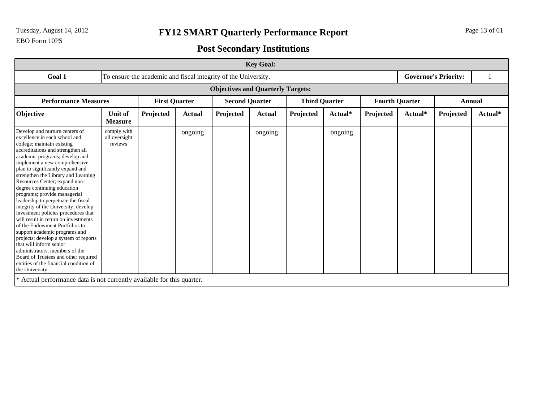#### Tuesday, August 14, 2012 **FY12 SMART Quarterly Performance Report** Page 13 of 61

| Goal 1<br>To ensure the academic and fiscal integrity of the University.<br><b>Performance Measures</b><br><b>First Quarter</b><br><b>Second Quarter</b><br>Projected<br>Objective<br>Projected<br>Unit of<br><b>Actual</b><br><b>Actual</b><br><b>Measure</b><br>Develop and nurture centers of<br>comply with<br>ongoing<br>ongoing<br>excellence in each school and<br>all oversight<br>college; maintain existing<br>reviews<br>accreditations and strengthen all<br>academic programs; develop and<br>implement a new comprehensive<br>plan to significantly expand and<br>strengthen the Library and Learning<br>Resources Center; expand non- | <b>Key Goal:</b>                              |                             |         |  |  |  |  |  |  |  |  |  |
|------------------------------------------------------------------------------------------------------------------------------------------------------------------------------------------------------------------------------------------------------------------------------------------------------------------------------------------------------------------------------------------------------------------------------------------------------------------------------------------------------------------------------------------------------------------------------------------------------------------------------------------------------|-----------------------------------------------|-----------------------------|---------|--|--|--|--|--|--|--|--|--|
|                                                                                                                                                                                                                                                                                                                                                                                                                                                                                                                                                                                                                                                      |                                               | <b>Governor's Priority:</b> |         |  |  |  |  |  |  |  |  |  |
|                                                                                                                                                                                                                                                                                                                                                                                                                                                                                                                                                                                                                                                      | <b>Objectives and Quarterly Targets:</b>      |                             |         |  |  |  |  |  |  |  |  |  |
|                                                                                                                                                                                                                                                                                                                                                                                                                                                                                                                                                                                                                                                      | <b>Third Quarter</b><br><b>Fourth Quarter</b> |                             |         |  |  |  |  |  |  |  |  |  |
|                                                                                                                                                                                                                                                                                                                                                                                                                                                                                                                                                                                                                                                      | Projected<br>Projected<br>Actual*             | Projected<br>Actual*        | Actual* |  |  |  |  |  |  |  |  |  |
| degree continuing education<br>programs; provide managerial<br>leadership to perpetuate the fiscal<br>integrity of the University; develop<br>investment policies procedures that<br>will result in return on investments<br>of the Endowment Portfolios to<br>support academic programs and<br>projects; develop a system of reports<br>that will inform senior<br>administrators, members of the<br>Board of Trustees and other required<br>entities of the financial condition of<br>the University<br>* Actual performance data is not currently available for this quarter.                                                                     | ongoing                                       |                             |         |  |  |  |  |  |  |  |  |  |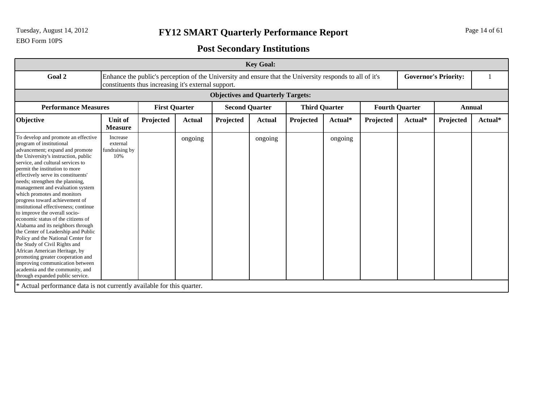| <b>Key Goal:</b>                                                                                                                                                                                                                                                                                                                                                                                                                                                                                                                                                                                                                                                                                                                                                                                                                                    |                                               |                                                     |               |                                                                                                          |         |                      |         |                       |         |                             |               |
|-----------------------------------------------------------------------------------------------------------------------------------------------------------------------------------------------------------------------------------------------------------------------------------------------------------------------------------------------------------------------------------------------------------------------------------------------------------------------------------------------------------------------------------------------------------------------------------------------------------------------------------------------------------------------------------------------------------------------------------------------------------------------------------------------------------------------------------------------------|-----------------------------------------------|-----------------------------------------------------|---------------|----------------------------------------------------------------------------------------------------------|---------|----------------------|---------|-----------------------|---------|-----------------------------|---------------|
| Goal 2                                                                                                                                                                                                                                                                                                                                                                                                                                                                                                                                                                                                                                                                                                                                                                                                                                              |                                               | constituents thus increasing it's external support. |               | Enhance the public's perception of the University and ensure that the University responds to all of it's |         |                      |         |                       |         | <b>Governor's Priority:</b> |               |
| <b>Objectives and Quarterly Targets:</b>                                                                                                                                                                                                                                                                                                                                                                                                                                                                                                                                                                                                                                                                                                                                                                                                            |                                               |                                                     |               |                                                                                                          |         |                      |         |                       |         |                             |               |
| <b>Performance Measures</b>                                                                                                                                                                                                                                                                                                                                                                                                                                                                                                                                                                                                                                                                                                                                                                                                                         |                                               | <b>First Quarter</b>                                |               | <b>Second Quarter</b>                                                                                    |         | <b>Third Quarter</b> |         | <b>Fourth Quarter</b> |         |                             | <b>Annual</b> |
| Objective                                                                                                                                                                                                                                                                                                                                                                                                                                                                                                                                                                                                                                                                                                                                                                                                                                           | Unit of<br><b>Measure</b>                     | Projected                                           | <b>Actual</b> | Projected                                                                                                | Actual  | Projected            | Actual* | Projected             | Actual* | Projected                   | Actual*       |
| To develop and promote an effective<br>program of institutional<br>advancement; expand and promote<br>the University's instruction, public<br>service, and cultural services to<br>permit the institution to more<br>effectively serve its constituents'<br>needs; strengthen the planning,<br>management and evaluation system<br>which promotes and monitors<br>progress toward achievement of<br>institutional effectiveness: continue<br>to improve the overall socio-<br>economic status of the citizens of<br>Alabama and its neighbors through<br>the Center of Leadership and Public<br>Policy and the National Center for<br>the Study of Civil Rights and<br>African American Heritage, by<br>promoting greater cooperation and<br>improving communication between<br>academia and the community, and<br>through expanded public service. | Increase<br>external<br>fundraising by<br>10% |                                                     | ongoing       |                                                                                                          | ongoing |                      | ongoing |                       |         |                             |               |
| * Actual performance data is not currently available for this quarter.                                                                                                                                                                                                                                                                                                                                                                                                                                                                                                                                                                                                                                                                                                                                                                              |                                               |                                                     |               |                                                                                                          |         |                      |         |                       |         |                             |               |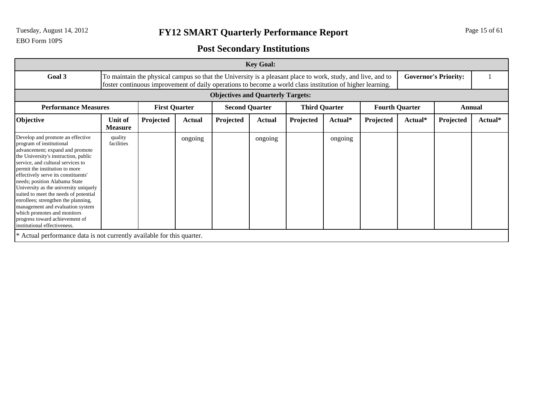| <b>Key Goal:</b>                                                                                                                                                                                                                                                                                                                                                                                                                                                                                                                                     |                           |                      |               |                                                                                                                                                                                                                          |         |                      |         |                       |         |                             |         |
|------------------------------------------------------------------------------------------------------------------------------------------------------------------------------------------------------------------------------------------------------------------------------------------------------------------------------------------------------------------------------------------------------------------------------------------------------------------------------------------------------------------------------------------------------|---------------------------|----------------------|---------------|--------------------------------------------------------------------------------------------------------------------------------------------------------------------------------------------------------------------------|---------|----------------------|---------|-----------------------|---------|-----------------------------|---------|
| Goal 3                                                                                                                                                                                                                                                                                                                                                                                                                                                                                                                                               |                           |                      |               | To maintain the physical campus so that the University is a pleasant place to work, study, and live, and to<br>foster continuous improvement of daily operations to become a world class institution of higher learning. |         |                      |         |                       |         | <b>Governor's Priority:</b> |         |
| <b>Objectives and Quarterly Targets:</b>                                                                                                                                                                                                                                                                                                                                                                                                                                                                                                             |                           |                      |               |                                                                                                                                                                                                                          |         |                      |         |                       |         |                             |         |
| <b>Performance Measures</b>                                                                                                                                                                                                                                                                                                                                                                                                                                                                                                                          |                           | <b>First Quarter</b> |               | <b>Second Quarter</b>                                                                                                                                                                                                    |         | <b>Third Quarter</b> |         | <b>Fourth Quarter</b> |         | Annual                      |         |
| Objective                                                                                                                                                                                                                                                                                                                                                                                                                                                                                                                                            | Unit of<br><b>Measure</b> | Projected            | <b>Actual</b> | Projected                                                                                                                                                                                                                | Actual  | Projected            | Actual* | Projected             | Actual* | Projected                   | Actual* |
| Develop and promote an effective<br>program of institutional<br>advancement; expand and promote<br>the University's instruction, public<br>service, and cultural services to<br>permit the institution to more<br>effectively serve its constituents'<br>needs; position Alabama State<br>University as the university uniquely<br>suited to meet the needs of potential<br>enrollees; strengthen the planning,<br>management and evaluation system<br>which promotes and monitors<br>progress toward achievement of<br>institutional effectiveness. | quality<br>facilities     |                      | ongoing       |                                                                                                                                                                                                                          | ongoing |                      | ongoing |                       |         |                             |         |
| * Actual performance data is not currently available for this quarter.                                                                                                                                                                                                                                                                                                                                                                                                                                                                               |                           |                      |               |                                                                                                                                                                                                                          |         |                      |         |                       |         |                             |         |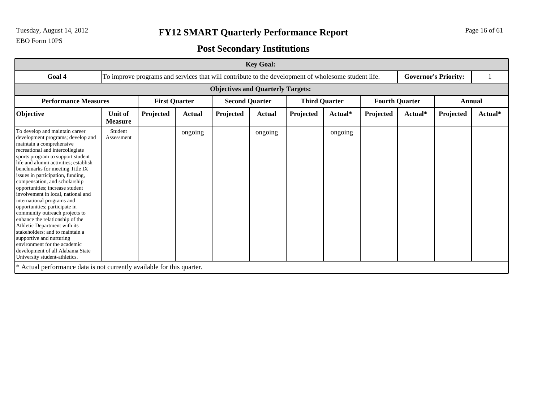#### Tuesday, August 14, 2012 **FY12 SMART Quarterly Performance Report** Page 16 of 61

| <b>Key Goal:</b>                                                                                                                                                                                                                                                                                                                                                                                                                                                                                                                                                                                                                                                                                                                            |                           |                                                                                                     |                       |                                          |                      |           |                       |           |         |                             |         |
|---------------------------------------------------------------------------------------------------------------------------------------------------------------------------------------------------------------------------------------------------------------------------------------------------------------------------------------------------------------------------------------------------------------------------------------------------------------------------------------------------------------------------------------------------------------------------------------------------------------------------------------------------------------------------------------------------------------------------------------------|---------------------------|-----------------------------------------------------------------------------------------------------|-----------------------|------------------------------------------|----------------------|-----------|-----------------------|-----------|---------|-----------------------------|---------|
| Goal 4                                                                                                                                                                                                                                                                                                                                                                                                                                                                                                                                                                                                                                                                                                                                      |                           | To improve programs and services that will contribute to the development of wholesome student life. |                       |                                          |                      |           |                       |           |         | <b>Governor's Priority:</b> |         |
|                                                                                                                                                                                                                                                                                                                                                                                                                                                                                                                                                                                                                                                                                                                                             |                           |                                                                                                     |                       | <b>Objectives and Quarterly Targets:</b> |                      |           |                       |           |         |                             |         |
| <b>Performance Measures</b>                                                                                                                                                                                                                                                                                                                                                                                                                                                                                                                                                                                                                                                                                                                 | <b>First Quarter</b>      |                                                                                                     | <b>Second Quarter</b> |                                          | <b>Third Quarter</b> |           | <b>Fourth Quarter</b> |           |         | <b>Annual</b>               |         |
| Objective                                                                                                                                                                                                                                                                                                                                                                                                                                                                                                                                                                                                                                                                                                                                   | Unit of<br><b>Measure</b> | Projected                                                                                           | <b>Actual</b>         | Projected                                | <b>Actual</b>        | Projected | Actual*               | Projected | Actual* | Projected                   | Actual* |
| To develop and maintain career<br>development programs; develop and<br>maintain a comprehensive<br>recreational and intercollegiate<br>sports program to support student<br>life and alumni activities: establish<br>benchmarks for meeting Title IX<br>issues in participation, funding,<br>compensation, and scholarship<br>opportunities; increase student<br>involvement in local, national and<br>international programs and<br>opportunities; participate in<br>community outreach projects to<br>enhance the relationship of the<br>Athletic Department with its<br>stakeholders; and to maintain a<br>supportive and nurturing<br>environment for the academic<br>development of all Alabama State<br>University student-athletics. | Student<br>Assessment     |                                                                                                     | ongoing               |                                          | ongoing              |           | ongoing               |           |         |                             |         |
| * Actual performance data is not currently available for this quarter.                                                                                                                                                                                                                                                                                                                                                                                                                                                                                                                                                                                                                                                                      |                           |                                                                                                     |                       |                                          |                      |           |                       |           |         |                             |         |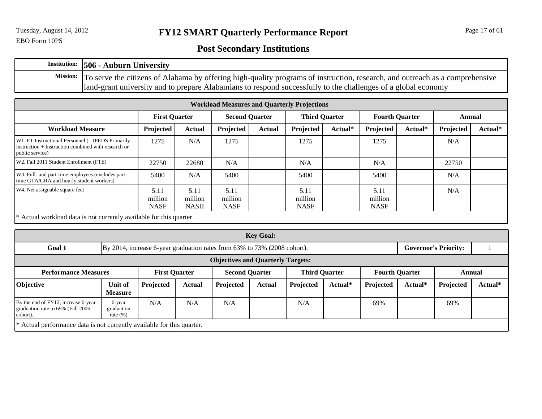| Institution: 506 - Auburn University                                                                                                  |
|---------------------------------------------------------------------------------------------------------------------------------------|
| Mission: To serve the citizens of Alabama by offering high-quality programs of instruction, research, and outreach as a comprehensive |
| land-grant university and to prepare Alabamians to respond successfully to the challenges of a global economy                         |

| <b>Workload Measures and Quarterly Projections</b>                                                                               |                                |                                |                                |                       |                                |                      |                                |                       |           |         |  |
|----------------------------------------------------------------------------------------------------------------------------------|--------------------------------|--------------------------------|--------------------------------|-----------------------|--------------------------------|----------------------|--------------------------------|-----------------------|-----------|---------|--|
|                                                                                                                                  |                                | <b>First Quarter</b>           |                                | <b>Second Quarter</b> |                                | <b>Third Quarter</b> |                                | <b>Fourth Quarter</b> | Annual    |         |  |
| <b>Workload Measure</b>                                                                                                          | Projected                      | <b>Actual</b>                  | Projected                      | Actual                | Projected                      | Actual*              | Projected                      | Actual*               | Projected | Actual* |  |
| $ W1 $ . FT Instructional Personnel (= IPEDS Primarily<br>instruction + Instruction combined with research or<br>public service) | 1275                           | N/A                            | 1275                           |                       | 1275                           |                      | 1275                           |                       | N/A       |         |  |
| W2. Fall 2011 Student Enrollment (FTE)                                                                                           | 22750                          | 22680                          | N/A                            |                       | N/A                            |                      | N/A                            |                       | 22750     |         |  |
| W3. Full- and part-time employees (excludes part-<br>time GTA/GRA and hourly student workers)                                    | 5400                           | N/A                            | 5400                           |                       | 5400                           |                      | 5400                           |                       | N/A       |         |  |
| W4. Net assignable square feet                                                                                                   | 5.11<br>million<br><b>NASF</b> | 5.11<br>million<br><b>NASH</b> | 5.11<br>million<br><b>NASF</b> |                       | 5.11<br>million<br><b>NASF</b> |                      | 5.11<br>million<br><b>NASF</b> |                       | N/A       |         |  |
| <sup>1</sup> Actual workload data is not currently available for this quarter.                                                   |                                |                                |                                |                       |                                |                      |                                |                       |           |         |  |

\* Actual workload data is not currently available for this quarter.

| <b>Key Goal:</b>                                                                                                                                                      |                           |           |               |                                                                          |        |           |         |           |                             |           |         |
|-----------------------------------------------------------------------------------------------------------------------------------------------------------------------|---------------------------|-----------|---------------|--------------------------------------------------------------------------|--------|-----------|---------|-----------|-----------------------------|-----------|---------|
| Goal 1                                                                                                                                                                |                           |           |               | By 2014, increase 6-year graduation rates from 63% to 73% (2008 cohort). |        |           |         |           | <b>Governor's Priority:</b> |           |         |
| <b>Objectives and Quarterly Targets:</b>                                                                                                                              |                           |           |               |                                                                          |        |           |         |           |                             |           |         |
| <b>Third Quarter</b><br><b>Fourth Quarter</b><br><b>First Quarter</b><br><b>Second Quarter</b><br><b>Performance Measures</b>                                         |                           |           |               |                                                                          |        |           |         |           |                             | Annual    |         |
| Objective                                                                                                                                                             | Unit of<br><b>Measure</b> | Projected | <b>Actual</b> | Projected                                                                | Actual | Projected | Actual* | Projected | Actual*                     | Projected | Actual* |
| By the end of FY12, increase 6-year<br>N/A<br>N/A<br>N/A<br>N/A<br>69%<br>6-year<br>69%<br>graduation rate to 69% (Fall 2006<br>graduation<br>cohort).<br>rate $(\%)$ |                           |           |               |                                                                          |        |           |         |           |                             |           |         |
| Actual performance data is not currently available for this quarter.                                                                                                  |                           |           |               |                                                                          |        |           |         |           |                             |           |         |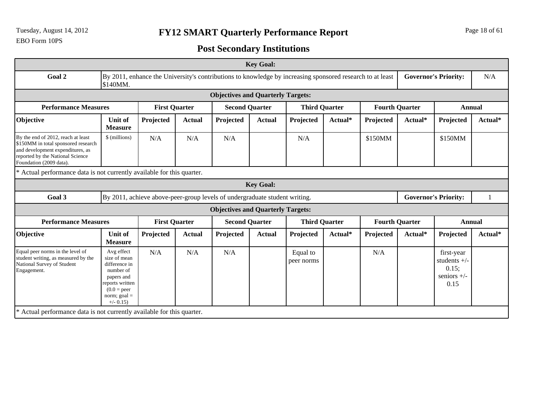|                                                                                                                                                                              |                                                                                                                                              |                      |               |                                                                                                           | <b>Key Goal:</b> |                        |         |                       |                       |                                                                |         |
|------------------------------------------------------------------------------------------------------------------------------------------------------------------------------|----------------------------------------------------------------------------------------------------------------------------------------------|----------------------|---------------|-----------------------------------------------------------------------------------------------------------|------------------|------------------------|---------|-----------------------|-----------------------|----------------------------------------------------------------|---------|
| Goal 2                                                                                                                                                                       | \$140MM.                                                                                                                                     |                      |               | By 2011, enhance the University's contributions to knowledge by increasing sponsored research to at least |                  |                        |         |                       |                       | <b>Governor's Priority:</b>                                    | N/A     |
|                                                                                                                                                                              |                                                                                                                                              |                      |               | <b>Objectives and Quarterly Targets:</b>                                                                  |                  |                        |         |                       |                       |                                                                |         |
| <b>Performance Measures</b>                                                                                                                                                  |                                                                                                                                              | <b>First Quarter</b> |               | <b>Second Quarter</b>                                                                                     |                  | <b>Third Quarter</b>   |         | <b>Fourth Quarter</b> |                       | Annual                                                         |         |
| Objective                                                                                                                                                                    | Unit of<br><b>Measure</b>                                                                                                                    | Projected            | <b>Actual</b> | Projected                                                                                                 | <b>Actual</b>    | Projected              | Actual* | Projected             | Actual*               | Projected                                                      | Actual* |
| By the end of 2012, reach at least<br>\$150MM in total sponsored research<br>and development expenditures, as<br>reported by the National Science<br>Foundation (2009 data). | \$ (millions)                                                                                                                                | N/A                  | N/A           | N/A                                                                                                       |                  | N/A                    |         | \$150MM               |                       | \$150MM                                                        |         |
| * Actual performance data is not currently available for this quarter.                                                                                                       |                                                                                                                                              |                      |               |                                                                                                           |                  |                        |         |                       |                       |                                                                |         |
|                                                                                                                                                                              |                                                                                                                                              |                      |               |                                                                                                           | <b>Key Goal:</b> |                        |         |                       |                       |                                                                |         |
| Goal 3                                                                                                                                                                       |                                                                                                                                              |                      |               | By 2011, achieve above-peer-group levels of undergraduate student writing.                                |                  |                        |         |                       |                       | <b>Governor's Priority:</b>                                    |         |
|                                                                                                                                                                              |                                                                                                                                              |                      |               | <b>Objectives and Quarterly Targets:</b>                                                                  |                  |                        |         |                       |                       |                                                                |         |
| <b>Performance Measures</b>                                                                                                                                                  |                                                                                                                                              | <b>First Quarter</b> |               | <b>Second Quarter</b>                                                                                     |                  | <b>Third Quarter</b>   |         |                       | <b>Fourth Quarter</b> | <b>Annual</b>                                                  |         |
| <b>Objective</b>                                                                                                                                                             | Unit of<br><b>Measure</b>                                                                                                                    | Projected            | <b>Actual</b> | Projected                                                                                                 | <b>Actual</b>    | Projected              | Actual* | Projected             | Actual*               | Projected                                                      | Actual* |
| Equal peer norms in the level of<br>student writing, as measured by the<br>National Survey of Student<br>Engagement.                                                         | Avg effect<br>size of mean<br>difference in<br>number of<br>papers and<br>reports written<br>$(0.0)$ = peer<br>norm; $goal =$<br>$+/-$ 0.15) | N/A                  | N/A           | N/A                                                                                                       |                  | Equal to<br>peer norms |         | N/A                   |                       | first-year<br>students $+/-$<br>0.15;<br>seniors $+/-$<br>0.15 |         |
| * Actual performance data is not currently available for this quarter.                                                                                                       |                                                                                                                                              |                      |               |                                                                                                           |                  |                        |         |                       |                       |                                                                |         |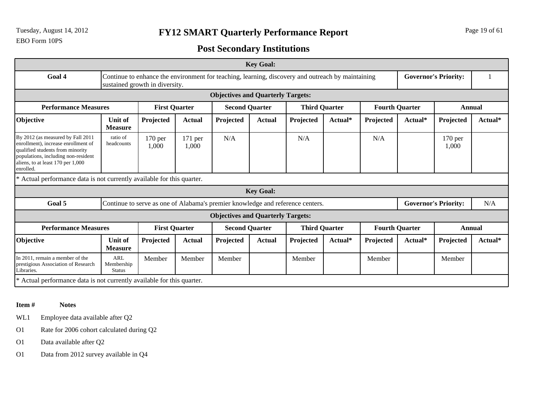|                                                                                                                                                                                                       |                                    |                                |                       |                                          | <b>Key Goal:</b> |                                                                                                   |                      |                       |                       |                             |         |
|-------------------------------------------------------------------------------------------------------------------------------------------------------------------------------------------------------|------------------------------------|--------------------------------|-----------------------|------------------------------------------|------------------|---------------------------------------------------------------------------------------------------|----------------------|-----------------------|-----------------------|-----------------------------|---------|
| Goal 4                                                                                                                                                                                                |                                    | sustained growth in diversity. |                       |                                          |                  | Continue to enhance the environment for teaching, learning, discovery and outreach by maintaining |                      |                       |                       | <b>Governor's Priority:</b> |         |
|                                                                                                                                                                                                       |                                    |                                |                       | <b>Objectives and Quarterly Targets:</b> |                  |                                                                                                   |                      |                       |                       |                             |         |
| <b>Performance Measures</b>                                                                                                                                                                           | <b>First Quarter</b>               |                                | <b>Second Quarter</b> |                                          |                  | <b>Third Quarter</b>                                                                              |                      | <b>Fourth Quarter</b> |                       | Annual                      |         |
| Objective                                                                                                                                                                                             | Unit of<br><b>Measure</b>          | Projected                      | <b>Actual</b>         | Projected                                | <b>Actual</b>    | Projected                                                                                         | Actual*              | Projected             | Actual*               | Projected                   |         |
| By 2012 (as measured by Fall 2011<br>enrollment), increase enrollment of<br>qualified students from minority<br>populations, including non-resident<br>aliens, to at least 170 per 1,000<br>enrolled. | ratio of<br>headcounts             | 170 <sub>per</sub><br>1,000    | 171 per<br>1,000      | N/A                                      |                  | N/A                                                                                               |                      | N/A                   |                       | 170 <sub>per</sub><br>1,000 |         |
| * Actual performance data is not currently available for this quarter.                                                                                                                                |                                    |                                |                       |                                          |                  |                                                                                                   |                      |                       |                       |                             |         |
|                                                                                                                                                                                                       |                                    |                                |                       |                                          | <b>Key Goal:</b> |                                                                                                   |                      |                       |                       |                             |         |
| Goal 5                                                                                                                                                                                                |                                    |                                |                       |                                          |                  | Continue to serve as one of Alabama's premier knowledge and reference centers.                    |                      |                       |                       | <b>Governor's Priority:</b> | N/A     |
|                                                                                                                                                                                                       |                                    |                                |                       | <b>Objectives and Quarterly Targets:</b> |                  |                                                                                                   |                      |                       |                       |                             |         |
| <b>Performance Measures</b>                                                                                                                                                                           |                                    | <b>First Quarter</b>           |                       | <b>Second Quarter</b>                    |                  |                                                                                                   | <b>Third Quarter</b> |                       | <b>Fourth Quarter</b> |                             | Annual  |
| Objective                                                                                                                                                                                             | Unit of<br><b>Measure</b>          | Projected                      | <b>Actual</b>         | Projected                                | <b>Actual</b>    | Projected                                                                                         | Actual*              | Projected             | Actual*               | Projected                   | Actual* |
| In 2011, remain a member of the<br>prestigious Association of Research<br>Libraries.                                                                                                                  | ARL<br>Membership<br><b>Status</b> | Member                         | Member                | Member                                   |                  | Member                                                                                            |                      | Member                |                       | Member                      |         |
| * Actual performance data is not currently available for this quarter.                                                                                                                                |                                    |                                |                       |                                          |                  |                                                                                                   |                      |                       |                       |                             |         |

#### **Item # Notes**

- WL1 Employee data available after Q2
- O1 Rate for 2006 cohort calculated during Q2
- O1 Data available after Q2
- O1 Data from 2012 survey available in Q4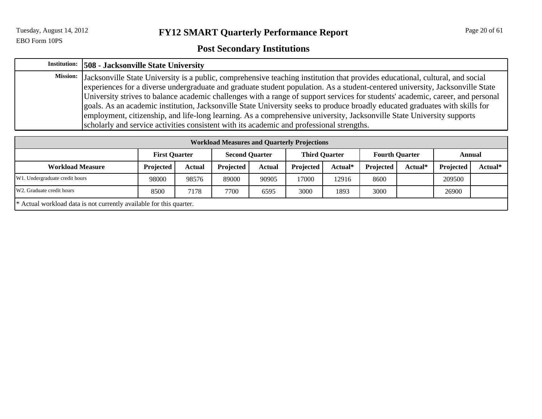| <b>Institution: 508 - Jacksonville State University</b>                                                                                                                                                                                                                                                                                                                                                                                                                                                                                                                                                                                                                                                                                                           |
|-------------------------------------------------------------------------------------------------------------------------------------------------------------------------------------------------------------------------------------------------------------------------------------------------------------------------------------------------------------------------------------------------------------------------------------------------------------------------------------------------------------------------------------------------------------------------------------------------------------------------------------------------------------------------------------------------------------------------------------------------------------------|
| Mission: Jacksonville State University is a public, comprehensive teaching institution that provides educational, cultural, and social<br>experiences for a diverse undergraduate and graduate student population. As a student-centered university, Jacksonville State<br>University strives to balance academic challenges with a range of support services for students' academic, career, and personal<br>goals. As an academic institution, Jacksonville State University seeks to produce broadly educated graduates with skills for<br>employment, citizenship, and life-long learning. As a comprehensive university, Jacksonville State University supports<br>scholarly and service activities consistent with its academic and professional strengths. |

| <b>Workload Measures and Quarterly Projections</b>                             |                      |        |                       |               |                      |         |                       |         |                  |         |  |
|--------------------------------------------------------------------------------|----------------------|--------|-----------------------|---------------|----------------------|---------|-----------------------|---------|------------------|---------|--|
|                                                                                | <b>First Quarter</b> |        | <b>Second Quarter</b> |               | <b>Third Quarter</b> |         | <b>Fourth Quarter</b> |         | Annual           |         |  |
| <b>Workload Measure</b>                                                        | Projected            | Actual | <b>Projected</b>      | <b>Actual</b> | <b>Projected</b>     | Actual* | Projected             | Actual* | <b>Projected</b> | Actual* |  |
| W1. Undergraduate credit hours                                                 | 98000                | 98576  | 89000                 | 90905         | 17000                | 12916   | 8600                  |         | 209500           |         |  |
| W2. Graduate credit hours                                                      | 8500                 | 7178   | 7700                  | 6595          | 3000                 | 1893    | 3000                  |         | 26900            |         |  |
| <sup>*</sup> Actual workload data is not currently available for this quarter. |                      |        |                       |               |                      |         |                       |         |                  |         |  |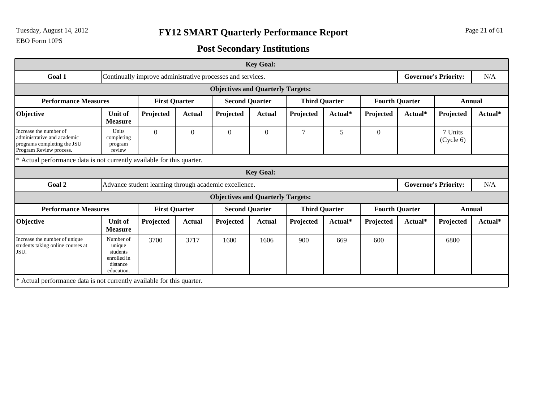|                                                                                                                 |                                                                          |                      |               |                                                            | <b>Key Goal:</b> |                      |         |                  |                       |                             |         |
|-----------------------------------------------------------------------------------------------------------------|--------------------------------------------------------------------------|----------------------|---------------|------------------------------------------------------------|------------------|----------------------|---------|------------------|-----------------------|-----------------------------|---------|
| Goal 1                                                                                                          |                                                                          |                      |               | Continually improve administrative processes and services. |                  |                      |         |                  |                       | <b>Governor's Priority:</b> | N/A     |
|                                                                                                                 |                                                                          |                      |               | <b>Objectives and Quarterly Targets:</b>                   |                  |                      |         |                  |                       |                             |         |
| <b>Performance Measures</b>                                                                                     |                                                                          | <b>First Quarter</b> |               | <b>Second Quarter</b>                                      |                  | <b>Third Quarter</b> |         |                  | <b>Fourth Quarter</b> |                             | Annual  |
| Objective                                                                                                       | Unit of<br><b>Measure</b>                                                | Projected            | <b>Actual</b> | Projected                                                  | Actual           | Projected            | Actual* | Projected        | Actual*               | Projected                   | Actual* |
| Increase the number of<br>administrative and academic<br>programs completing the JSU<br>Program Review process. | <b>Units</b><br>completing<br>program<br>review                          | $\overline{0}$       | $\theta$      | $\Omega$                                                   | $\overline{0}$   | $\overline{7}$       | 5       | $\boldsymbol{0}$ |                       | 7 Units<br>(Cycle 6)        |         |
| * Actual performance data is not currently available for this quarter.                                          |                                                                          |                      |               |                                                            |                  |                      |         |                  |                       |                             |         |
|                                                                                                                 |                                                                          |                      |               |                                                            | <b>Key Goal:</b> |                      |         |                  |                       |                             |         |
| Goal 2                                                                                                          |                                                                          |                      |               | Advance student learning through academic excellence.      |                  |                      |         |                  |                       | <b>Governor's Priority:</b> | N/A     |
|                                                                                                                 |                                                                          |                      |               | <b>Objectives and Quarterly Targets:</b>                   |                  |                      |         |                  |                       |                             |         |
| <b>Performance Measures</b>                                                                                     |                                                                          | <b>First Quarter</b> |               | <b>Second Quarter</b>                                      |                  | <b>Third Quarter</b> |         |                  | <b>Fourth Quarter</b> |                             | Annual  |
| Objective                                                                                                       | Unit of<br><b>Measure</b>                                                | Projected            | <b>Actual</b> | Projected                                                  | Actual           | Projected            | Actual* | Projected        | Actual*               | Projected                   | Actual* |
| Increase the number of unique<br>students taking online courses at<br>JSU.                                      | Number of<br>unique<br>students<br>enrolled in<br>distance<br>education. | 3700                 | 3717          | 1600                                                       | 1606             | 900                  | 669     | 600              |                       | 6800                        |         |
| * Actual performance data is not currently available for this quarter.                                          |                                                                          |                      |               |                                                            |                  |                      |         |                  |                       |                             |         |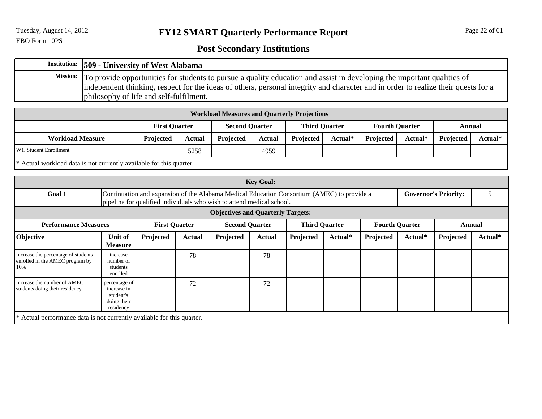| Institution: [509 - University of West Alabama                                                                                     |
|------------------------------------------------------------------------------------------------------------------------------------|
| Mission: To provide opportunities for students to pursue a quality education and assist in developing the important qualities of   |
| independent thinking, respect for the ideas of others, personal integrity and character and in order to realize their quests for a |
| philosophy of life and self-fulfilment.                                                                                            |

| <b>Workload Measures and Quarterly Projections</b>                                                       |                  |        |           |        |                  |         |                  |         |                  |         |  |
|----------------------------------------------------------------------------------------------------------|------------------|--------|-----------|--------|------------------|---------|------------------|---------|------------------|---------|--|
| <b>Third Quarter</b><br><b>Fourth Quarter</b><br><b>Second Quarter</b><br><b>First Quarter</b><br>Annual |                  |        |           |        |                  |         |                  |         |                  |         |  |
| <b>Workload Measure</b>                                                                                  | <b>Projected</b> | Actual | Projected | Actual | <b>Projected</b> | Actual* | <b>Projected</b> | Actual* | <b>Projected</b> | Actual* |  |
| W1. Student Enrollment<br>5258<br>4959                                                                   |                  |        |           |        |                  |         |                  |         |                  |         |  |
| $\frac{1}{2}$ Actual workload data is not currently available for this quarter                           |                  |        |           |        |                  |         |                  |         |                  |         |  |

Actual workload data is not currently available for this quarter.

| <b>Key Goal:</b>                                                              |                                                                        |                                                                                                                                                                                                    |               |                       |        |                      |         |                       |         |           |         |
|-------------------------------------------------------------------------------|------------------------------------------------------------------------|----------------------------------------------------------------------------------------------------------------------------------------------------------------------------------------------------|---------------|-----------------------|--------|----------------------|---------|-----------------------|---------|-----------|---------|
| <b>Goal 1</b>                                                                 |                                                                        | Continuation and expansion of the Alabama Medical Education Consortium (AMEC) to provide a<br><b>Governor's Priority:</b><br>pipeline for qualified individuals who wish to attend medical school. |               |                       |        |                      |         |                       |         |           |         |
| <b>Objectives and Quarterly Targets:</b>                                      |                                                                        |                                                                                                                                                                                                    |               |                       |        |                      |         |                       |         |           |         |
| <b>Performance Measures</b>                                                   |                                                                        | <b>First Quarter</b>                                                                                                                                                                               |               | <b>Second Quarter</b> |        | <b>Third Quarter</b> |         | <b>Fourth Quarter</b> |         |           | Annual  |
| Objective                                                                     | Unit of<br><b>Measure</b>                                              | Projected                                                                                                                                                                                          | <b>Actual</b> | Projected             | Actual | Projected            | Actual* | Projected             | Actual* | Projected | Actual* |
| Increase the percentage of students<br>enrolled in the AMEC program by<br>10% | increase<br>number of<br>students<br>enrolled                          |                                                                                                                                                                                                    | 78            |                       | 78     |                      |         |                       |         |           |         |
| Increase the number of AMEC<br>students doing their residency                 | percentage of<br>increase in<br>student's<br>doing their<br>residency  |                                                                                                                                                                                                    | 72            |                       | 72     |                      |         |                       |         |           |         |
|                                                                               | * Actual performance data is not currently available for this quarter. |                                                                                                                                                                                                    |               |                       |        |                      |         |                       |         |           |         |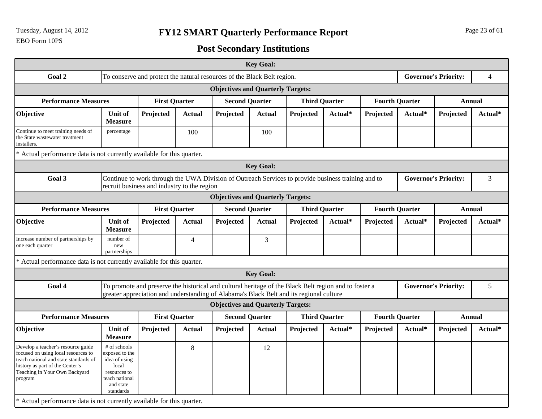|                                                                                                                                                                                                   |                                                                                                                                                                                  |                                                                                                                                                                                                  |                |                                          | <b>Key Goal:</b> |                      |                      |                       |                       |                             |                |  |
|---------------------------------------------------------------------------------------------------------------------------------------------------------------------------------------------------|----------------------------------------------------------------------------------------------------------------------------------------------------------------------------------|--------------------------------------------------------------------------------------------------------------------------------------------------------------------------------------------------|----------------|------------------------------------------|------------------|----------------------|----------------------|-----------------------|-----------------------|-----------------------------|----------------|--|
| Goal 2                                                                                                                                                                                            |                                                                                                                                                                                  | To conserve and protect the natural resources of the Black Belt region.                                                                                                                          |                |                                          |                  |                      |                      |                       |                       | <b>Governor's Priority:</b> | $\overline{4}$ |  |
|                                                                                                                                                                                                   |                                                                                                                                                                                  |                                                                                                                                                                                                  |                | <b>Objectives and Quarterly Targets:</b> |                  |                      |                      |                       |                       |                             |                |  |
| <b>Performance Measures</b>                                                                                                                                                                       |                                                                                                                                                                                  | <b>First Quarter</b>                                                                                                                                                                             |                | <b>Second Quarter</b>                    |                  | <b>Third Quarter</b> |                      |                       | <b>Fourth Quarter</b> |                             | <b>Annual</b>  |  |
| Objective                                                                                                                                                                                         | Unit of<br><b>Measure</b>                                                                                                                                                        | Projected                                                                                                                                                                                        | <b>Actual</b>  | Projected                                | Actual           | Projected            | Actual*              | Projected             | Actual*               | Projected                   | Actual*        |  |
| Continue to meet training needs of<br>the State wastewater treatment<br>installers.                                                                                                               | percentage                                                                                                                                                                       |                                                                                                                                                                                                  | 100            |                                          | 100              |                      |                      |                       |                       |                             |                |  |
| * Actual performance data is not currently available for this quarter.                                                                                                                            |                                                                                                                                                                                  |                                                                                                                                                                                                  |                |                                          |                  |                      |                      |                       |                       |                             |                |  |
| <b>Key Goal:</b>                                                                                                                                                                                  |                                                                                                                                                                                  |                                                                                                                                                                                                  |                |                                          |                  |                      |                      |                       |                       |                             |                |  |
| Goal 3                                                                                                                                                                                            | Continue to work through the UWA Division of Outreach Services to provide business training and to<br><b>Governor's Priority:</b><br>recruit business and industry to the region |                                                                                                                                                                                                  |                |                                          |                  |                      |                      |                       |                       |                             |                |  |
| <b>Objectives and Quarterly Targets:</b>                                                                                                                                                          |                                                                                                                                                                                  |                                                                                                                                                                                                  |                |                                          |                  |                      |                      |                       |                       |                             |                |  |
| <b>Performance Measures</b>                                                                                                                                                                       |                                                                                                                                                                                  | <b>First Quarter</b>                                                                                                                                                                             |                | <b>Second Quarter</b>                    |                  | <b>Third Quarter</b> |                      | <b>Fourth Quarter</b> |                       |                             | <b>Annual</b>  |  |
| Objective                                                                                                                                                                                         | Unit of<br><b>Measure</b>                                                                                                                                                        | Projected                                                                                                                                                                                        | <b>Actual</b>  | Projected                                | Actual           | Projected            | Actual*              | Projected             | Actual*               | Projected                   | Actual*        |  |
| Increase number of partnerships by<br>one each quarter                                                                                                                                            | number of<br>new<br>partnerships                                                                                                                                                 |                                                                                                                                                                                                  | $\overline{4}$ |                                          | 3                |                      |                      |                       |                       |                             |                |  |
| * Actual performance data is not currently available for this quarter.                                                                                                                            |                                                                                                                                                                                  |                                                                                                                                                                                                  |                |                                          |                  |                      |                      |                       |                       |                             |                |  |
|                                                                                                                                                                                                   |                                                                                                                                                                                  |                                                                                                                                                                                                  |                |                                          | <b>Key Goal:</b> |                      |                      |                       |                       |                             |                |  |
| Goal 4                                                                                                                                                                                            |                                                                                                                                                                                  | To promote and preserve the historical and cultural heritage of the Black Belt region and to foster a<br>greater appreciation and understanding of Alabama's Black Belt and its regional culture |                |                                          |                  |                      |                      |                       |                       | <b>Governor's Priority:</b> | 5              |  |
|                                                                                                                                                                                                   |                                                                                                                                                                                  |                                                                                                                                                                                                  |                | <b>Objectives and Quarterly Targets:</b> |                  |                      |                      |                       |                       |                             |                |  |
| <b>Performance Measures</b>                                                                                                                                                                       |                                                                                                                                                                                  | <b>First Quarter</b>                                                                                                                                                                             |                | <b>Second Quarter</b>                    |                  |                      | <b>Third Quarter</b> |                       | <b>Fourth Quarter</b> |                             | Annual         |  |
| Objective                                                                                                                                                                                         | Unit of<br><b>Measure</b>                                                                                                                                                        | Projected                                                                                                                                                                                        | <b>Actual</b>  | Projected                                | Actual           | Projected            | Actual*              | Projected             | Actual*               | Projected                   | Actual*        |  |
| Develop a teacher's resource guide<br>focused on using local resources to<br>teach national and state standards of<br>history as part of the Center's<br>Teaching in Your Own Backyard<br>program | # of schools<br>exposed to the<br>idea of using<br>local<br>resources to<br>teach national<br>and state<br>standards                                                             |                                                                                                                                                                                                  | 8              |                                          | 12               |                      |                      |                       |                       |                             |                |  |
| * Actual performance data is not currently available for this quarter.                                                                                                                            |                                                                                                                                                                                  |                                                                                                                                                                                                  |                |                                          |                  |                      |                      |                       |                       |                             |                |  |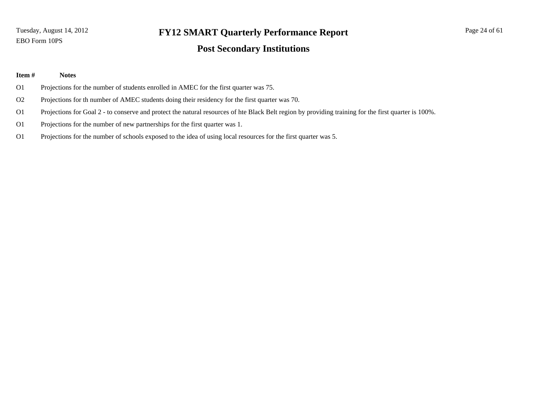#### **Item # Notes**

- O1 Projections for the number of students enrolled in AMEC for the first quarter was 75.
- O2 Projections for th number of AMEC students doing their residency for the first quarter was 70.
- O1 Projections for Goal 2 to conserve and protect the natural resources of hte Black Belt region by providing training for the first quarter is 100%.
- O1 Projections for the number of new partnerships for the first quarter was 1.
- O1 Projections for the number of schools exposed to the idea of using local resources for the first quarter was 5.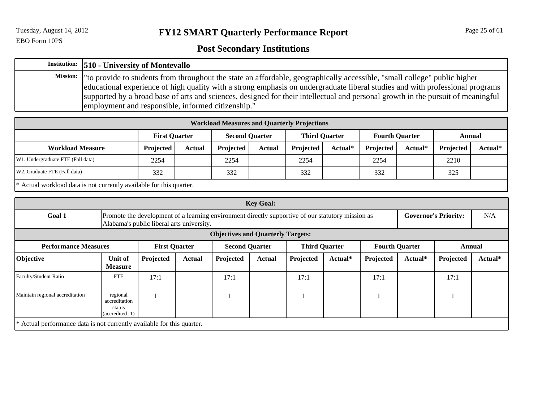| Institution: 510 - University of Montevallo                                                                                         |
|-------------------------------------------------------------------------------------------------------------------------------------|
| Mission:  "to provide to students from throughout the state an affordable, geographically accessible, "small college" public higher |
| educational experience of high quality with a strong emphasis on undergraduate liberal studies and with professional programs       |
| supported by a broad base of arts and sciences, designed for their intellectual and personal growth in the pursuit of meaningful    |
| employment and responsible, informed citizenship."                                                                                  |

| <b>Workload Measures and Quarterly Projections</b>                  |                      |        |                       |               |                      |         |                       |         |           |         |  |
|---------------------------------------------------------------------|----------------------|--------|-----------------------|---------------|----------------------|---------|-----------------------|---------|-----------|---------|--|
|                                                                     | <b>First Quarter</b> |        | <b>Second Quarter</b> |               | <b>Third Quarter</b> |         | <b>Fourth Quarter</b> |         | Annual    |         |  |
| <b>Workload Measure</b>                                             | Projected            | Actual | Projected             | <b>Actual</b> | <b>Projected</b>     | Actual* | Projected             | Actual* | Projected | Actual* |  |
| W1. Undergraduate FTE (Fall data)                                   | 2254                 |        | 2254                  |               | 2254                 |         | 2254                  |         | 2210      |         |  |
| W2. Graduate FTE (Fall data)                                        | 332                  |        | 332                   |               | 332                  |         | 332                   |         | 325       |         |  |
| * Actual workload data is not currently available for this quarter. |                      |        |                       |               |                      |         |                       |         |           |         |  |

| <b>Key Goal:</b>                                                     |                                                                |                                                                                                                                                |               |                                                                 |  |      |  |      |  |                             |         |  |
|----------------------------------------------------------------------|----------------------------------------------------------------|------------------------------------------------------------------------------------------------------------------------------------------------|---------------|-----------------------------------------------------------------|--|------|--|------|--|-----------------------------|---------|--|
| Goal 1                                                               |                                                                | Promote the development of a learning environment directly supportive of our statutory mission as<br>Alabama's public liberal arts university. |               |                                                                 |  |      |  |      |  | <b>Governor's Priority:</b> | N/A     |  |
| <b>Objectives and Quarterly Targets:</b>                             |                                                                |                                                                                                                                                |               |                                                                 |  |      |  |      |  |                             |         |  |
| <b>Performance Measures</b>                                          |                                                                | <b>Fourth Quarter</b><br><b>First Quarter</b><br><b>Second Quarter</b><br><b>Third Quarter</b><br>Annual                                       |               |                                                                 |  |      |  |      |  |                             |         |  |
| Objective                                                            | Unit of<br><b>Measure</b>                                      | Projected                                                                                                                                      | <b>Actual</b> | Projected<br>Projected<br>Projected<br>Actual*<br><b>Actual</b> |  |      |  |      |  | Projected                   | Actual* |  |
| Faculty/Student Ratio                                                | <b>FTE</b>                                                     | 17:1                                                                                                                                           |               | 17:1                                                            |  | 17:1 |  | 17:1 |  | 17:1                        |         |  |
| Maintain regional accreditation                                      | regional<br>accreditation<br>status<br>$(\text{accredited}=1)$ |                                                                                                                                                |               |                                                                 |  |      |  |      |  |                             |         |  |
| Actual performance data is not currently available for this quarter. |                                                                |                                                                                                                                                |               |                                                                 |  |      |  |      |  |                             |         |  |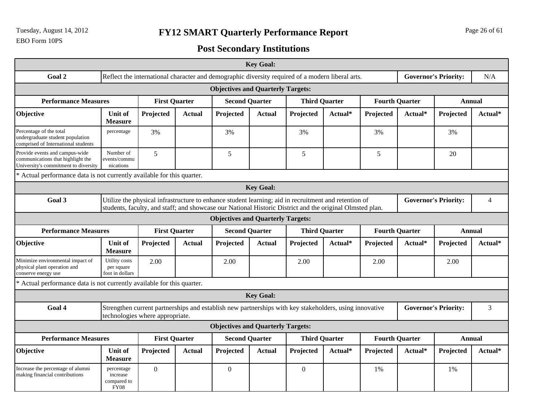|                                                                                                             |                                                                                                                                                                                                                                                                   |                                 |               |                                                                                                        | <b>Key Goal:</b> |                      |         |                       |                       |                             |               |
|-------------------------------------------------------------------------------------------------------------|-------------------------------------------------------------------------------------------------------------------------------------------------------------------------------------------------------------------------------------------------------------------|---------------------------------|---------------|--------------------------------------------------------------------------------------------------------|------------------|----------------------|---------|-----------------------|-----------------------|-----------------------------|---------------|
| Goal 2                                                                                                      |                                                                                                                                                                                                                                                                   |                                 |               | Reflect the international character and demographic diversity required of a modern liberal arts.       |                  |                      |         |                       |                       | <b>Governor's Priority:</b> | N/A           |
|                                                                                                             |                                                                                                                                                                                                                                                                   |                                 |               | <b>Objectives and Quarterly Targets:</b>                                                               |                  |                      |         |                       |                       |                             |               |
| <b>Performance Measures</b>                                                                                 |                                                                                                                                                                                                                                                                   | <b>First Quarter</b>            |               | <b>Second Quarter</b>                                                                                  |                  | <b>Third Quarter</b> |         | <b>Fourth Quarter</b> |                       |                             | Annual        |
| Objective                                                                                                   | Unit of<br><b>Measure</b>                                                                                                                                                                                                                                         | Projected                       | Actual        | Projected                                                                                              | <b>Actual</b>    | Projected            | Actual* | Projected             | Actual*               | Projected                   | Actual*       |
| Percentage of the total<br>undergraduate student population<br>comprised of International students          | percentage                                                                                                                                                                                                                                                        | 3%                              |               | 3%                                                                                                     |                  | 3%                   |         | 3%                    |                       | 3%                          |               |
| Provide events and campus-wide<br>communications that highlight the<br>University's commitment to diversity | Number of<br>events/commu<br>nications                                                                                                                                                                                                                            | 5                               |               | 5                                                                                                      |                  | 5                    |         | 5                     |                       | 20                          |               |
| * Actual performance data is not currently available for this quarter.                                      |                                                                                                                                                                                                                                                                   |                                 |               |                                                                                                        |                  |                      |         |                       |                       |                             |               |
|                                                                                                             |                                                                                                                                                                                                                                                                   |                                 |               |                                                                                                        | <b>Key Goal:</b> |                      |         |                       |                       |                             |               |
| Goal 3                                                                                                      | Utilize the physical infrastructure to enhance student learning; aid in recruitment and retention of<br><b>Governor's Priority:</b><br>$\overline{4}$<br>students, faculty, and staff; and showcase our National Historic District and the original Olmsted plan. |                                 |               |                                                                                                        |                  |                      |         |                       |                       |                             |               |
|                                                                                                             |                                                                                                                                                                                                                                                                   |                                 |               | <b>Objectives and Quarterly Targets:</b>                                                               |                  |                      |         |                       |                       |                             |               |
| <b>Performance Measures</b>                                                                                 |                                                                                                                                                                                                                                                                   | <b>First Quarter</b>            |               | <b>Second Quarter</b>                                                                                  |                  | <b>Third Quarter</b> |         |                       | <b>Fourth Quarter</b> |                             | <b>Annual</b> |
| Objective                                                                                                   | Unit of<br><b>Measure</b>                                                                                                                                                                                                                                         | Projected                       | Actual        | Projected                                                                                              | Actual           | Projected            | Actual* | Projected             | Actual*               | Projected                   | Actual*       |
| Minimize environmental impact of<br>physical plant operation and<br>conserve energy use                     | Utility costs<br>per square<br>foot in dollars                                                                                                                                                                                                                    | 2.00                            |               | 2.00                                                                                                   |                  | 2.00                 |         | 2.00                  |                       | 2.00                        |               |
| * Actual performance data is not currently available for this quarter.                                      |                                                                                                                                                                                                                                                                   |                                 |               |                                                                                                        |                  |                      |         |                       |                       |                             |               |
|                                                                                                             |                                                                                                                                                                                                                                                                   |                                 |               |                                                                                                        | <b>Key Goal:</b> |                      |         |                       |                       |                             |               |
| Goal 4                                                                                                      |                                                                                                                                                                                                                                                                   | technologies where appropriate. |               | Strengthen current partnerships and establish new partnerships with key stakeholders, using innovative |                  |                      |         |                       |                       | <b>Governor's Priority:</b> | 3             |
|                                                                                                             |                                                                                                                                                                                                                                                                   |                                 |               | <b>Objectives and Quarterly Targets:</b>                                                               |                  |                      |         |                       |                       |                             |               |
| <b>Performance Measures</b>                                                                                 |                                                                                                                                                                                                                                                                   | <b>First Quarter</b>            |               | <b>Second Quarter</b>                                                                                  |                  | <b>Third Quarter</b> |         |                       | <b>Fourth Quarter</b> |                             | Annual        |
| Objective                                                                                                   | Unit of<br><b>Measure</b>                                                                                                                                                                                                                                         | Projected                       | <b>Actual</b> | Projected                                                                                              | Actual           | Projected            | Actual* | Projected             | Actual*               | Projected                   | Actual*       |
| Increase the percentage of alumni<br>making financial contributions                                         | percentage<br>increase<br>compared to<br>FY08                                                                                                                                                                                                                     | $\overline{0}$                  |               | $\mathbf{0}$                                                                                           |                  | $\boldsymbol{0}$     |         | 1%                    |                       | 1%                          |               |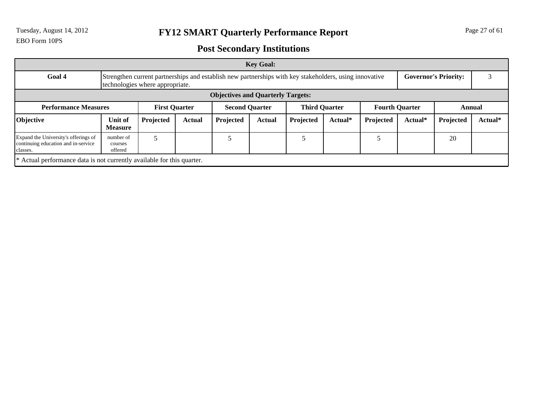| <b>Key Goal:</b>                                                                        |                                 |                                                                                                                                                                          |  |  |  |         |           |         |  |    |        |  |
|-----------------------------------------------------------------------------------------|---------------------------------|--------------------------------------------------------------------------------------------------------------------------------------------------------------------------|--|--|--|---------|-----------|---------|--|----|--------|--|
| Goal 4                                                                                  |                                 | <b>Governor's Priority:</b><br>Strengthen current partnerships and establish new partnerships with key stakeholders, using innovative<br>technologies where appropriate. |  |  |  |         |           |         |  |    |        |  |
| <b>Objectives and Quarterly Targets:</b>                                                |                                 |                                                                                                                                                                          |  |  |  |         |           |         |  |    |        |  |
| <b>Performance Measures</b>                                                             |                                 | <b>Third Quarter</b><br><b>Fourth Quarter</b><br><b>First Quarter</b><br><b>Second Quarter</b>                                                                           |  |  |  |         |           |         |  |    | Annual |  |
| Objective                                                                               | Unit of<br><b>Measure</b>       | Projected<br>Projected<br>Projected<br>Projected<br>Actual*<br>Actual<br>Actual                                                                                          |  |  |  | Actual* | Projected | Actual* |  |    |        |  |
| Expand the University's offerings of<br>continuing education and in-service<br>classes. | number of<br>courses<br>offered |                                                                                                                                                                          |  |  |  |         |           |         |  | 20 |        |  |
| Actual performance data is not currently available for this quarter.                    |                                 |                                                                                                                                                                          |  |  |  |         |           |         |  |    |        |  |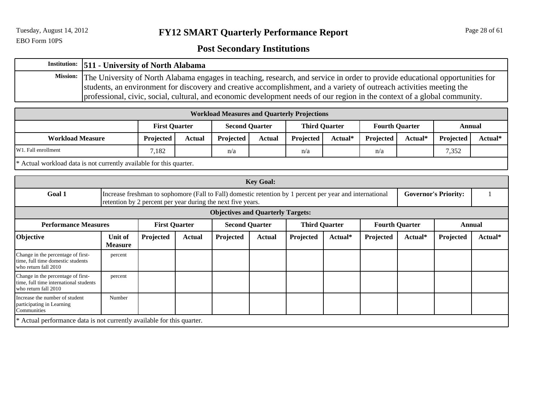| Institution: 511 - University of North Alabama                                                                                        |
|---------------------------------------------------------------------------------------------------------------------------------------|
| Mission: The University of North Alabama engages in teaching, research, and service in order to provide educational opportunities for |
| students, an environment for discovery and creative accomplishment, and a variety of outreach activities meeting the                  |
| professional, civic, social, cultural, and economic development needs of our region in the context of a global community.             |

| <b>Workload Measures and Quarterly Projections</b>                                                                                                                                                                                                                                                                                                                                                                                                         |                                                                                                          |        |                  |        |                  |         |                  |         |                  |  |  |  |
|------------------------------------------------------------------------------------------------------------------------------------------------------------------------------------------------------------------------------------------------------------------------------------------------------------------------------------------------------------------------------------------------------------------------------------------------------------|----------------------------------------------------------------------------------------------------------|--------|------------------|--------|------------------|---------|------------------|---------|------------------|--|--|--|
|                                                                                                                                                                                                                                                                                                                                                                                                                                                            | <b>Third Quarter</b><br><b>Fourth Quarter</b><br><b>Second Quarter</b><br><b>First Quarter</b><br>Annual |        |                  |        |                  |         |                  |         |                  |  |  |  |
| <b>Workload Measure</b>                                                                                                                                                                                                                                                                                                                                                                                                                                    | <b>Projected</b>                                                                                         | Actual | <b>Projected</b> | Actual | <b>Projected</b> | Actual* | <b>Projected</b> | Actual* | <b>Projected</b> |  |  |  |
| W <sub>1</sub> . Fall enrollment<br>7,352<br>7.182<br>n/a<br>n/a<br>n/a                                                                                                                                                                                                                                                                                                                                                                                    |                                                                                                          |        |                  |        |                  |         |                  |         |                  |  |  |  |
| $\mathbf{1} \oplus \mathbf{1} \oplus \mathbf{1} \oplus \mathbf{1} \oplus \mathbf{1} \oplus \mathbf{1} \oplus \mathbf{1} \oplus \mathbf{1} \oplus \mathbf{1} \oplus \mathbf{1} \oplus \mathbf{1} \oplus \mathbf{1} \oplus \mathbf{1} \oplus \mathbf{1} \oplus \mathbf{1} \oplus \mathbf{1} \oplus \mathbf{1} \oplus \mathbf{1} \oplus \mathbf{1} \oplus \mathbf{1} \oplus \mathbf{1} \oplus \mathbf{1} \oplus \mathbf{1} \oplus \mathbf{1} \oplus \mathbf{$ |                                                                                                          |        |                  |        |                  |         |                  |         |                  |  |  |  |

\* Actual workload data is not currently available for this quarter.

| <b>Key Goal:</b>                                                                                                                        |                                                                      |                                                                                                                                                                                                        |               |           |        |           |           |         |           |         |  |  |  |
|-----------------------------------------------------------------------------------------------------------------------------------------|----------------------------------------------------------------------|--------------------------------------------------------------------------------------------------------------------------------------------------------------------------------------------------------|---------------|-----------|--------|-----------|-----------|---------|-----------|---------|--|--|--|
| Goal 1                                                                                                                                  |                                                                      | <b>Governor's Priority:</b><br>Increase freshman to sophomore (Fall to Fall) domestic retention by 1 percent per year and international<br>retention by 2 percent per year during the next five years. |               |           |        |           |           |         |           |         |  |  |  |
| <b>Objectives and Quarterly Targets:</b>                                                                                                |                                                                      |                                                                                                                                                                                                        |               |           |        |           |           |         |           |         |  |  |  |
| <b>Third Quarter</b><br><b>First Quarter</b><br><b>Second Quarter</b><br><b>Fourth Quarter</b><br><b>Performance Measures</b><br>Annual |                                                                      |                                                                                                                                                                                                        |               |           |        |           |           |         |           |         |  |  |  |
| Objective                                                                                                                               | Unit of<br><b>Measure</b>                                            | Projected                                                                                                                                                                                              | <b>Actual</b> | Projected | Actual | Projected | Projected | Actual* | Projected | Actual* |  |  |  |
| Change in the percentage of first-<br>time, full time domestic students<br>who return fall 2010                                         | percent                                                              |                                                                                                                                                                                                        |               |           |        |           |           |         |           |         |  |  |  |
| Change in the percentage of first-<br>time, full time international students<br>who return fall 2010                                    | percent                                                              |                                                                                                                                                                                                        |               |           |        |           |           |         |           |         |  |  |  |
| Increase the number of student<br>participating in Learning<br>Communities                                                              | Number                                                               |                                                                                                                                                                                                        |               |           |        |           |           |         |           |         |  |  |  |
|                                                                                                                                         | Actual performance data is not currently available for this quarter. |                                                                                                                                                                                                        |               |           |        |           |           |         |           |         |  |  |  |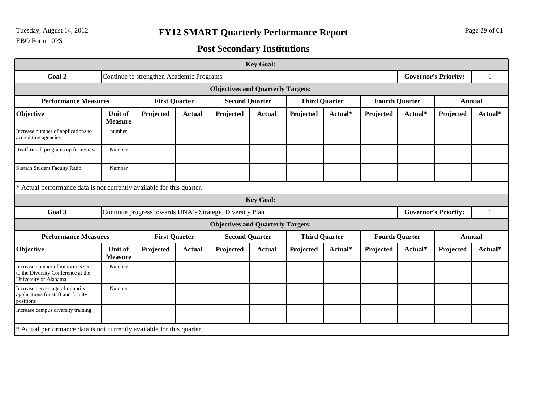|                                                                                                   |                           |                                          |               |                                                          | <b>Key Goal:</b> |           |                      |           |                       |                             |               |  |  |
|---------------------------------------------------------------------------------------------------|---------------------------|------------------------------------------|---------------|----------------------------------------------------------|------------------|-----------|----------------------|-----------|-----------------------|-----------------------------|---------------|--|--|
| Goal 2                                                                                            |                           | Continue to strengthen Academic Programs |               |                                                          |                  |           |                      |           |                       | <b>Governor's Priority:</b> | 1             |  |  |
|                                                                                                   |                           |                                          |               | <b>Objectives and Quarterly Targets:</b>                 |                  |           |                      |           |                       |                             |               |  |  |
| <b>Performance Measures</b>                                                                       |                           | <b>First Quarter</b>                     |               | <b>Second Quarter</b>                                    |                  |           | <b>Third Quarter</b> |           | <b>Fourth Quarter</b> |                             | <b>Annual</b> |  |  |
| <b>Objective</b>                                                                                  | Unit of<br><b>Measure</b> | Projected                                | <b>Actual</b> | Projected                                                | <b>Actual</b>    | Projected | Actual*              | Projected | Actual*               | Projected                   | Actual*       |  |  |
| Increase number of applications to<br>accrediting agencies                                        | number                    |                                          |               |                                                          |                  |           |                      |           |                       |                             |               |  |  |
| Reaffirm all programs up for review                                                               | Number                    |                                          |               |                                                          |                  |           |                      |           |                       |                             |               |  |  |
| Sustain Student Faculty Ratio                                                                     | Number                    |                                          |               |                                                          |                  |           |                      |           |                       |                             |               |  |  |
| * Actual performance data is not currently available for this quarter.                            |                           |                                          |               |                                                          |                  |           |                      |           |                       |                             |               |  |  |
|                                                                                                   |                           |                                          |               |                                                          | <b>Key Goal:</b> |           |                      |           |                       |                             |               |  |  |
| Goal 3                                                                                            |                           |                                          |               | Continue progress towards UNA's Strategic Diversity Plan |                  |           |                      |           |                       | <b>Governor's Priority:</b> |               |  |  |
|                                                                                                   |                           |                                          |               | <b>Objectives and Quarterly Targets:</b>                 |                  |           |                      |           |                       |                             |               |  |  |
| <b>Performance Measures</b>                                                                       |                           | <b>First Quarter</b>                     |               | <b>Second Quarter</b>                                    |                  |           | <b>Third Quarter</b> |           | <b>Fourth Quarter</b> |                             | <b>Annual</b> |  |  |
| Objective                                                                                         | Unit of<br><b>Measure</b> | Projected                                | Actual        | Projected                                                | Actual           | Projected | Actual*              | Projected | Actual*               | Projected                   | Actual*       |  |  |
| Increase number of minorities sent<br>to the Diversity Conference at the<br>University of Alabama | Number                    |                                          |               |                                                          |                  |           |                      |           |                       |                             |               |  |  |
| Increase percentage of minority<br>applications for staff and faculty<br>positions                | Number                    |                                          |               |                                                          |                  |           |                      |           |                       |                             |               |  |  |
| Increase campus diversity training                                                                |                           |                                          |               |                                                          |                  |           |                      |           |                       |                             |               |  |  |
| * Actual performance data is not currently available for this quarter.                            |                           |                                          |               |                                                          |                  |           |                      |           |                       |                             |               |  |  |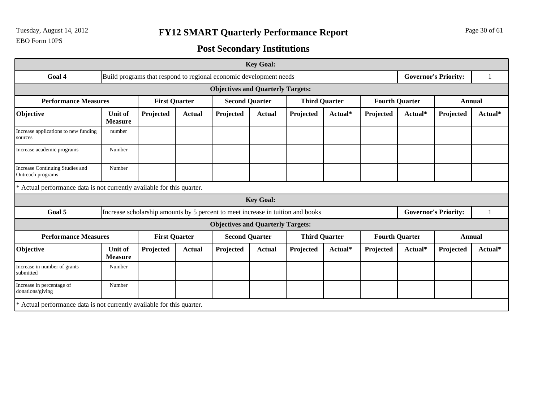|                                                                        |                           |                      |               |                                                                                 | <b>Key Goal:</b> |                      |         |           |                       |                             |               |  |  |  |  |  |
|------------------------------------------------------------------------|---------------------------|----------------------|---------------|---------------------------------------------------------------------------------|------------------|----------------------|---------|-----------|-----------------------|-----------------------------|---------------|--|--|--|--|--|
| Goal 4                                                                 |                           |                      |               | Build programs that respond to regional economic development needs              |                  |                      |         |           |                       | <b>Governor's Priority:</b> |               |  |  |  |  |  |
|                                                                        |                           |                      |               | <b>Objectives and Quarterly Targets:</b>                                        |                  |                      |         |           |                       |                             |               |  |  |  |  |  |
| <b>Performance Measures</b>                                            |                           | <b>First Quarter</b> |               | <b>Second Quarter</b>                                                           |                  | <b>Third Quarter</b> |         |           | <b>Fourth Quarter</b> |                             | <b>Annual</b> |  |  |  |  |  |
| Objective                                                              | Unit of<br><b>Measure</b> | Projected            | Actual        | Projected                                                                       | <b>Actual</b>    | Projected            | Actual* | Projected | Actual*               | Projected                   | $Actual*$     |  |  |  |  |  |
| Increase applications to new funding<br>sources                        | number                    |                      |               |                                                                                 |                  |                      |         |           |                       |                             |               |  |  |  |  |  |
| Increase academic programs                                             | Number                    |                      |               |                                                                                 |                  |                      |         |           |                       |                             |               |  |  |  |  |  |
| Increase Continuing Studies and<br>Outreach programs                   | Number                    |                      |               |                                                                                 |                  |                      |         |           |                       |                             |               |  |  |  |  |  |
| * Actual performance data is not currently available for this quarter. |                           |                      |               |                                                                                 |                  |                      |         |           |                       |                             |               |  |  |  |  |  |
|                                                                        |                           |                      |               |                                                                                 | <b>Key Goal:</b> |                      |         |           |                       |                             |               |  |  |  |  |  |
| Goal 5                                                                 |                           |                      |               | Increase scholarship amounts by 5 percent to meet increase in tuition and books |                  |                      |         |           |                       | <b>Governor's Priority:</b> |               |  |  |  |  |  |
|                                                                        |                           |                      |               | <b>Objectives and Quarterly Targets:</b>                                        |                  |                      |         |           |                       |                             |               |  |  |  |  |  |
| <b>Performance Measures</b>                                            |                           | <b>First Quarter</b> |               | <b>Second Quarter</b>                                                           |                  | <b>Third Quarter</b> |         |           | <b>Fourth Quarter</b> |                             | <b>Annual</b> |  |  |  |  |  |
| Objective                                                              | Unit of<br><b>Measure</b> | Projected            | <b>Actual</b> | Projected                                                                       | <b>Actual</b>    | Projected            | Actual* | Projected | Actual*               | Projected                   | Actual*       |  |  |  |  |  |
| Increase in number of grants<br>submitted                              | Number                    |                      |               |                                                                                 |                  |                      |         |           |                       |                             |               |  |  |  |  |  |
| Increase in percentage of<br>donations/giving                          | Number                    |                      |               |                                                                                 |                  |                      |         |           |                       |                             |               |  |  |  |  |  |
| * Actual performance data is not currently available for this quarter. |                           |                      |               |                                                                                 |                  |                      |         |           |                       |                             |               |  |  |  |  |  |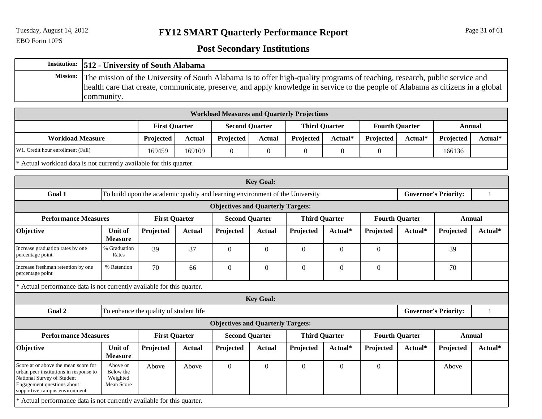| Institution: 512 - University of South Alabama                                                                                                                                                                                                                         |
|------------------------------------------------------------------------------------------------------------------------------------------------------------------------------------------------------------------------------------------------------------------------|
| Mission: The mission of the University of South Alabama is to offer high-quality programs of teaching, research, public service and<br>health care that create, communicate, preserve, and apply knowledge in service to the people of Alabama as citizens in a global |
| community.                                                                                                                                                                                                                                                             |

| <b>Workload Measures and Quarterly Projections</b>                          |                      |        |                                                                                                |                       |                      |  |                       |  |         |        |  |  |
|-----------------------------------------------------------------------------|----------------------|--------|------------------------------------------------------------------------------------------------|-----------------------|----------------------|--|-----------------------|--|---------|--------|--|--|
|                                                                             | <b>First Quarter</b> |        |                                                                                                | <b>Second Quarter</b> | <b>Third Quarter</b> |  | <b>Fourth Quarter</b> |  |         | Annual |  |  |
| <b>Workload Measure</b>                                                     | <b>Projected</b>     | Actual | Actual*<br>Actual*<br><b>Projected</b><br>Projected<br>Projected<br><b>Projected</b><br>Actual |                       |                      |  |                       |  | Actual* |        |  |  |
| W <sub>1</sub> . Credit hour enrollment (Fall)<br>169109<br>69459<br>166136 |                      |        |                                                                                                |                       |                      |  |                       |  |         |        |  |  |
| क्रिकेट पाया पाटल है। उन्हें भाषा है और                                     |                      |        |                                                                                                |                       |                      |  |                       |  |         |        |  |  |

\* Actual workload data is not currently available for this quarter.

|                                                                                                                                                                                    | <b>Key Goal:</b>                                                                                                                             |                                        |               |                                                                               |                  |                      |                      |                       |                       |                             |         |  |
|------------------------------------------------------------------------------------------------------------------------------------------------------------------------------------|----------------------------------------------------------------------------------------------------------------------------------------------|----------------------------------------|---------------|-------------------------------------------------------------------------------|------------------|----------------------|----------------------|-----------------------|-----------------------|-----------------------------|---------|--|
| <b>Goal 1</b>                                                                                                                                                                      |                                                                                                                                              |                                        |               | To build upon the academic quality and learning environment of the University |                  |                      |                      |                       |                       | <b>Governor's Priority:</b> |         |  |
|                                                                                                                                                                                    |                                                                                                                                              |                                        |               | <b>Objectives and Quarterly Targets:</b>                                      |                  |                      |                      |                       |                       |                             |         |  |
| <b>Performance Measures</b>                                                                                                                                                        |                                                                                                                                              | <b>First Quarter</b>                   |               | <b>Second Quarter</b>                                                         |                  | <b>Third Quarter</b> |                      | <b>Fourth Quarter</b> |                       | Annual                      |         |  |
| Objective                                                                                                                                                                          | Unit of<br><b>Measure</b>                                                                                                                    | Projected                              | <b>Actual</b> | Projected                                                                     | <b>Actual</b>    | Projected            | Actual*              | Projected             | Actual*               | Projected                   | Actual* |  |
| Increase graduation rates by one<br>percentage point                                                                                                                               | % Graduation<br>Rates                                                                                                                        | 39                                     | 37            | $\Omega$                                                                      | $\overline{0}$   | $\Omega$             | $\boldsymbol{0}$     | $\theta$              |                       | 39                          |         |  |
| Increase freshman retention by one<br>percentage point                                                                                                                             | % Retention<br>70<br>$\mathbf{0}$<br>$\boldsymbol{0}$<br>$\Omega$<br>$\mathbf{0}$<br>$\theta$<br>70<br>66                                    |                                        |               |                                                                               |                  |                      |                      |                       |                       |                             |         |  |
|                                                                                                                                                                                    | * Actual performance data is not currently available for this quarter.                                                                       |                                        |               |                                                                               |                  |                      |                      |                       |                       |                             |         |  |
|                                                                                                                                                                                    |                                                                                                                                              |                                        |               |                                                                               | <b>Key Goal:</b> |                      |                      |                       |                       |                             |         |  |
| Goal 2                                                                                                                                                                             |                                                                                                                                              | To enhance the quality of student life |               |                                                                               |                  |                      |                      |                       |                       | <b>Governor's Priority:</b> | 1       |  |
|                                                                                                                                                                                    |                                                                                                                                              |                                        |               | <b>Objectives and Quarterly Targets:</b>                                      |                  |                      |                      |                       |                       |                             |         |  |
| <b>Performance Measures</b>                                                                                                                                                        |                                                                                                                                              | <b>First Quarter</b>                   |               | <b>Second Quarter</b>                                                         |                  |                      | <b>Third Quarter</b> |                       | <b>Fourth Quarter</b> | <b>Annual</b>               |         |  |
| Objective                                                                                                                                                                          | Unit of<br><b>Measure</b>                                                                                                                    | Projected                              | <b>Actual</b> | Projected                                                                     | Actual           | Projected            | Actual*              | Projected             | Actual*               | Projected                   | Actual* |  |
| Score at or above the mean score for<br>urban peer institutions in response to<br>National Survey of Student<br><b>Engagement questions about</b><br>supportive campus environment | Above or<br>$\theta$<br>$\Omega$<br>Above<br>$\overline{0}$<br>$\Omega$<br>$\theta$<br>Above<br>Above<br>Below the<br>Weighted<br>Mean Score |                                        |               |                                                                               |                  |                      |                      |                       |                       |                             |         |  |
| * Actual performance data is not currently available for this quarter.                                                                                                             |                                                                                                                                              |                                        |               |                                                                               |                  |                      |                      |                       |                       |                             |         |  |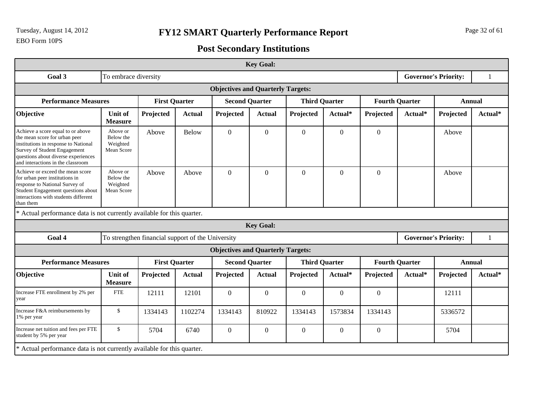|                                                                                                                                                                                                                        |                                                                                                                                                            |                                                   |               |                                          | <b>Key Goal:</b> |                      |                |                |                       |                             |               |
|------------------------------------------------------------------------------------------------------------------------------------------------------------------------------------------------------------------------|------------------------------------------------------------------------------------------------------------------------------------------------------------|---------------------------------------------------|---------------|------------------------------------------|------------------|----------------------|----------------|----------------|-----------------------|-----------------------------|---------------|
| Goal 3                                                                                                                                                                                                                 | To embrace diversity                                                                                                                                       |                                                   |               |                                          |                  |                      |                |                |                       | <b>Governor's Priority:</b> | 1             |
|                                                                                                                                                                                                                        |                                                                                                                                                            |                                                   |               | <b>Objectives and Quarterly Targets:</b> |                  |                      |                |                |                       |                             |               |
| <b>Performance Measures</b>                                                                                                                                                                                            |                                                                                                                                                            | <b>First Quarter</b>                              |               | <b>Second Quarter</b>                    |                  | <b>Third Quarter</b> |                |                | <b>Fourth Quarter</b> |                             | <b>Annual</b> |
| Objective                                                                                                                                                                                                              | Unit of<br><b>Measure</b>                                                                                                                                  | Projected                                         | <b>Actual</b> | Projected                                | <b>Actual</b>    | Projected            | Actual*        | Projected      | Actual*               | Projected                   | Actual*       |
| Achieve a score equal to or above<br>the mean score for urban peer<br>institutions in response to National<br>Survey of Student Engagement<br>questions about diverse experiences<br>and interactions in the classroom | Above or<br>Below the<br>Weighted<br>Mean Score                                                                                                            | Above                                             | Below         | $\Omega$                                 | $\Omega$         | $\theta$             | $\Omega$       | $\overline{0}$ |                       | Above                       |               |
| Achieve or exceed the mean score<br>for urban peer institutions in<br>response to National Survey of<br>Student Engagement questions about<br>interactions with students different<br>than them                        | Above or<br>$\mathbf{0}$<br>$\mathbf{0}$<br>$\overline{0}$<br>Above<br>Above<br>$\overline{0}$<br>$\Omega$<br>Above<br>Below the<br>Weighted<br>Mean Score |                                                   |               |                                          |                  |                      |                |                |                       |                             |               |
| * Actual performance data is not currently available for this quarter.                                                                                                                                                 |                                                                                                                                                            |                                                   |               |                                          |                  |                      |                |                |                       |                             |               |
|                                                                                                                                                                                                                        |                                                                                                                                                            |                                                   |               |                                          | <b>Key Goal:</b> |                      |                |                |                       |                             |               |
| Goal 4                                                                                                                                                                                                                 |                                                                                                                                                            | To strengthen financial support of the University |               |                                          |                  |                      |                |                |                       | <b>Governor's Priority:</b> | 1             |
|                                                                                                                                                                                                                        |                                                                                                                                                            |                                                   |               | <b>Objectives and Quarterly Targets:</b> |                  |                      |                |                |                       |                             |               |
| <b>Performance Measures</b>                                                                                                                                                                                            |                                                                                                                                                            | <b>First Quarter</b>                              |               | <b>Second Quarter</b>                    |                  | <b>Third Quarter</b> |                |                | <b>Fourth Quarter</b> |                             | <b>Annual</b> |
| Objective                                                                                                                                                                                                              | Unit of<br><b>Measure</b>                                                                                                                                  | Projected                                         | <b>Actual</b> | Projected                                | <b>Actual</b>    | Projected            | Actual*        | Projected      | Actual*               | Projected                   | Actual*       |
| Increase FTE enrollment by 2% per<br>year                                                                                                                                                                              | <b>FTE</b>                                                                                                                                                 | 12111                                             | 12101         | $\Omega$                                 | $\Omega$         | $\theta$             | $\Omega$       | $\theta$       |                       | 12111                       |               |
| Increase F&A reimbursements by<br>1% per year                                                                                                                                                                          | \$                                                                                                                                                         | 1334143                                           | 1102274       | 1334143                                  | 810922           | 1334143              | 1573834        | 1334143        |                       | 5336572                     |               |
| Increase net tuition and fees per FTE<br>student by 5% per year                                                                                                                                                        | \$                                                                                                                                                         | 5704                                              | 6740          | $\overline{0}$                           | $\overline{0}$   | $\overline{0}$       | $\overline{0}$ | $\theta$       |                       | 5704                        |               |
| * Actual performance data is not currently available for this quarter.                                                                                                                                                 |                                                                                                                                                            |                                                   |               |                                          |                  |                      |                |                |                       |                             |               |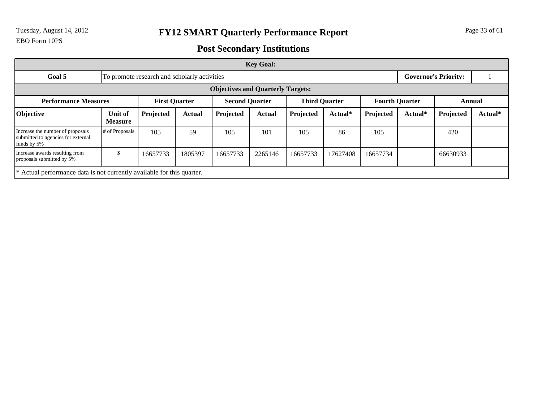|                                                                                       |                                          |                                                                             |         |                       | <b>Key Goal:</b> |                      |          |           |                       |           |         |
|---------------------------------------------------------------------------------------|------------------------------------------|-----------------------------------------------------------------------------|---------|-----------------------|------------------|----------------------|----------|-----------|-----------------------|-----------|---------|
| Goal 5                                                                                |                                          | <b>Governor's Priority:</b><br>To promote research and scholarly activities |         |                       |                  |                      |          |           |                       |           |         |
|                                                                                       | <b>Objectives and Quarterly Targets:</b> |                                                                             |         |                       |                  |                      |          |           |                       |           |         |
| <b>First Quarter</b><br><b>Performance Measures</b>                                   |                                          |                                                                             |         | <b>Second Quarter</b> |                  | <b>Third Quarter</b> |          |           | <b>Fourth Quarter</b> |           | Annual  |
| Objective                                                                             | Unit of<br><b>Measure</b>                | Projected                                                                   | Actual  | Projected             | Actual           | Projected            | Actual*  | Projected | Actual*               | Projected | Actual* |
| Increase the number of proposals<br>submitted to agencies for external<br>funds by 5% | # of Proposals                           | 105                                                                         | 59      | 105                   | 101              | 105                  | 86       | 105       |                       | 420       |         |
| Increase awards resulting from<br>proposals submitted by 5%                           | \$                                       | 16657733                                                                    | 1805397 | 16657733              | 2265146          | 16657733             | 17627408 | 16657734  |                       | 66630933  |         |
| Actual performance data is not currently available for this quarter.                  |                                          |                                                                             |         |                       |                  |                      |          |           |                       |           |         |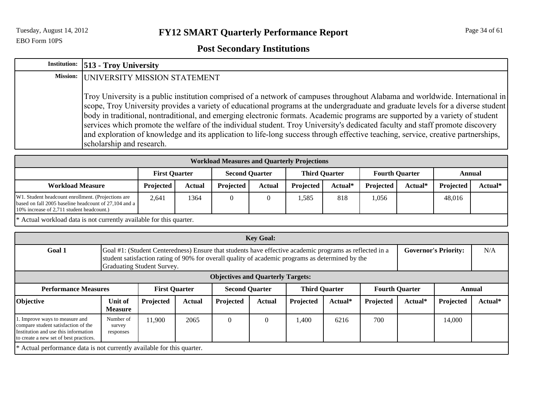| <b>Institution:</b> [513 - Troy University                                                                                                                                                                                                                                                                                                                                                                                                                                                                                                                                                                                                                                                            |
|-------------------------------------------------------------------------------------------------------------------------------------------------------------------------------------------------------------------------------------------------------------------------------------------------------------------------------------------------------------------------------------------------------------------------------------------------------------------------------------------------------------------------------------------------------------------------------------------------------------------------------------------------------------------------------------------------------|
| Mission: UNIVERSITY MISSION STATEMENT                                                                                                                                                                                                                                                                                                                                                                                                                                                                                                                                                                                                                                                                 |
| Troy University is a public institution comprised of a network of campuses throughout Alabama and worldwide. International in<br>scope, Troy University provides a variety of educational programs at the undergraduate and graduate levels for a diverse student<br>body in traditional, nontraditional, and emerging electronic formats. Academic programs are supported by a variety of student<br>services which promote the welfare of the individual student. Troy University's dedicated faculty and staff promote discovery<br>and exploration of knowledge and its application to life-long success through effective teaching, service, creative partnerships,<br>scholarship and research. |

| <b>Workload Measures and Quarterly Projections</b>                                                                                                       |           |                      |                  |                       |                  |                      |           |                       |           |         |  |
|----------------------------------------------------------------------------------------------------------------------------------------------------------|-----------|----------------------|------------------|-----------------------|------------------|----------------------|-----------|-----------------------|-----------|---------|--|
|                                                                                                                                                          |           | <b>First Quarter</b> |                  | <b>Second Quarter</b> |                  | <b>Third Quarter</b> |           | <b>Fourth Quarter</b> |           | Annual  |  |
| <b>Workload Measure</b>                                                                                                                                  | Projected | Actual               | <b>Projected</b> | Actual                | <b>Projected</b> | Actual*              | Projected | Actual*               | Projected | Actual* |  |
| W1. Student headcount enrollment. (Projections are<br>based on fall 2005 baseline headcount of 27,104 and a<br>10% increase of 2,711 student headcount.) | 2,641     | 1364                 |                  |                       | .585             | 818                  | .056      |                       | 48,016    |         |  |

\* Actual workload data is not currently available for this quarter.

| <b>Key Goal:</b>                                                                                                                                        |                                  |                                                                                                                                                                                                                                                                          |               |                       |        |                      |         |                       |         |           |         |
|---------------------------------------------------------------------------------------------------------------------------------------------------------|----------------------------------|--------------------------------------------------------------------------------------------------------------------------------------------------------------------------------------------------------------------------------------------------------------------------|---------------|-----------------------|--------|----------------------|---------|-----------------------|---------|-----------|---------|
| Goal 1                                                                                                                                                  |                                  | <b>Governor's Priority:</b><br>Goal #1: (Student Centeredness) Ensure that students have effective academic programs as reflected in a<br>student satisfaction rating of 90% for overall quality of academic programs as determined by the<br>Graduating Student Survey. |               |                       |        |                      |         |                       |         |           |         |
| <b>Objectives and Quarterly Targets:</b>                                                                                                                |                                  |                                                                                                                                                                                                                                                                          |               |                       |        |                      |         |                       |         |           |         |
| <b>Performance Measures</b>                                                                                                                             |                                  | <b>First Quarter</b>                                                                                                                                                                                                                                                     |               | <b>Second Quarter</b> |        | <b>Third Quarter</b> |         | <b>Fourth Quarter</b> |         | Annual    |         |
| Objective                                                                                                                                               | Unit of<br><b>Measure</b>        | Projected                                                                                                                                                                                                                                                                | <b>Actual</b> | Projected             | Actual | Projected            | Actual* | Projected             | Actual* | Projected | Actual* |
| 1. Improve ways to measure and<br>compare student satisfaction of the<br>Institution and use this information<br>to create a new set of best practices. | Number of<br>survey<br>responses | 11,900<br>2065<br>700<br>$\Omega$<br>1,400<br>6216<br>14,000                                                                                                                                                                                                             |               |                       |        |                      |         |                       |         |           |         |
| Actual performance data is not currently available for this quarter.                                                                                    |                                  |                                                                                                                                                                                                                                                                          |               |                       |        |                      |         |                       |         |           |         |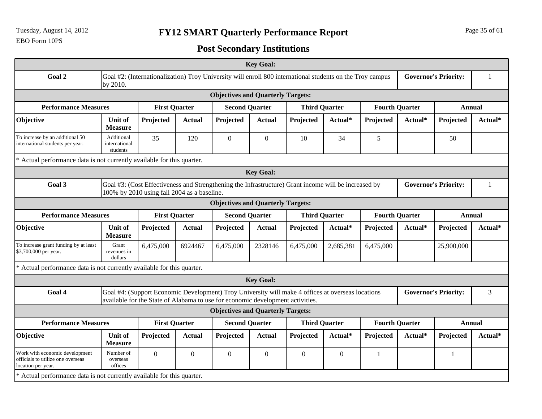|                                                                                           |                                         |                                                                                                                                                                                         |                |                                                                                | <b>Key Goal:</b> |                                                                                                           |                  |                       |                       |                             |               |  |  |
|-------------------------------------------------------------------------------------------|-----------------------------------------|-----------------------------------------------------------------------------------------------------------------------------------------------------------------------------------------|----------------|--------------------------------------------------------------------------------|------------------|-----------------------------------------------------------------------------------------------------------|------------------|-----------------------|-----------------------|-----------------------------|---------------|--|--|
| Goal 2                                                                                    | by 2010.                                |                                                                                                                                                                                         |                |                                                                                |                  | Goal #2: (Internationalization) Troy University will enroll 800 international students on the Troy campus |                  |                       |                       | <b>Governor's Priority:</b> | 1             |  |  |
|                                                                                           |                                         |                                                                                                                                                                                         |                | <b>Objectives and Quarterly Targets:</b>                                       |                  |                                                                                                           |                  |                       |                       |                             |               |  |  |
| <b>Performance Measures</b>                                                               |                                         | <b>First Quarter</b>                                                                                                                                                                    |                | <b>Second Quarter</b>                                                          |                  | <b>Third Quarter</b>                                                                                      |                  |                       | <b>Fourth Quarter</b> |                             | Annual        |  |  |
| Objective                                                                                 | Unit of<br><b>Measure</b>               | Projected                                                                                                                                                                               | Actual         | Projected                                                                      | Actual           | Projected                                                                                                 | Actual*          | Projected             | Actual*               | Projected<br>Actual*        |               |  |  |
| To increase by an additional 50<br>international students per year.                       | Additional<br>international<br>students | 35<br>120<br>$\theta$<br>$\overline{0}$<br>34<br>5<br>10<br>50                                                                                                                          |                |                                                                                |                  |                                                                                                           |                  |                       |                       |                             |               |  |  |
| * Actual performance data is not currently available for this quarter.                    |                                         |                                                                                                                                                                                         |                |                                                                                |                  |                                                                                                           |                  |                       |                       |                             |               |  |  |
|                                                                                           |                                         |                                                                                                                                                                                         |                |                                                                                | <b>Key Goal:</b> |                                                                                                           |                  |                       |                       |                             |               |  |  |
| Goal 3                                                                                    |                                         | Goal #3: (Cost Effectiveness and Strengthening the Infrastructure) Grant income will be increased by<br><b>Governor's Priority:</b><br>1<br>100% by 2010 using fall 2004 as a baseline. |                |                                                                                |                  |                                                                                                           |                  |                       |                       |                             |               |  |  |
|                                                                                           |                                         |                                                                                                                                                                                         |                | <b>Objectives and Quarterly Targets:</b>                                       |                  |                                                                                                           |                  |                       |                       |                             |               |  |  |
| <b>Performance Measures</b>                                                               |                                         | <b>First Quarter</b>                                                                                                                                                                    |                | <b>Second Quarter</b>                                                          |                  | <b>Third Quarter</b>                                                                                      |                  | <b>Fourth Quarter</b> |                       |                             | <b>Annual</b> |  |  |
| Objective                                                                                 | Unit of<br><b>Measure</b>               | Projected                                                                                                                                                                               | Actual         | Projected                                                                      | <b>Actual</b>    | Projected                                                                                                 | Actual*          | Projected             | Actual*               | Projected                   | Actual*       |  |  |
| To increase grant funding by at least<br>\$3,700,000 per year.                            | Grant<br>revenues in<br>dollars         | 6,475,000                                                                                                                                                                               | 6924467        | 6,475,000                                                                      | 2328146          | 6,475,000                                                                                                 | 2,685,381        | 6,475,000             |                       | 25,900,000                  |               |  |  |
| * Actual performance data is not currently available for this quarter.                    |                                         |                                                                                                                                                                                         |                |                                                                                |                  |                                                                                                           |                  |                       |                       |                             |               |  |  |
|                                                                                           |                                         |                                                                                                                                                                                         |                |                                                                                | <b>Key Goal:</b> |                                                                                                           |                  |                       |                       |                             |               |  |  |
| Goal 4                                                                                    |                                         |                                                                                                                                                                                         |                | available for the State of Alabama to use for economic development activities. |                  | Goal #4: (Support Economic Development) Troy University will make 4 offices at overseas locations         |                  |                       |                       | <b>Governor's Priority:</b> | 3             |  |  |
|                                                                                           |                                         |                                                                                                                                                                                         |                | <b>Objectives and Quarterly Targets:</b>                                       |                  |                                                                                                           |                  |                       |                       |                             |               |  |  |
| <b>Performance Measures</b>                                                               |                                         | <b>First Quarter</b>                                                                                                                                                                    |                | <b>Second Quarter</b>                                                          |                  | <b>Third Quarter</b>                                                                                      |                  |                       | <b>Fourth Quarter</b> |                             | Annual        |  |  |
| Objective                                                                                 | Unit of<br><b>Measure</b>               | Projected                                                                                                                                                                               | <b>Actual</b>  | Projected                                                                      | <b>Actual</b>    | Projected                                                                                                 | Actual*          | Projected             | Actual*               | Projected                   | Actual*       |  |  |
| Work with economic development<br>officials to utilize one overseas<br>location per year. | Number of<br>overseas<br>offices        | $\overline{0}$                                                                                                                                                                          | $\overline{0}$ | $\boldsymbol{0}$                                                               | $\boldsymbol{0}$ | $\boldsymbol{0}$                                                                                          | $\boldsymbol{0}$ | $\mathbf{1}$          |                       | 1                           |               |  |  |
| * Actual performance data is not currently available for this quarter.                    |                                         |                                                                                                                                                                                         |                |                                                                                |                  |                                                                                                           |                  |                       |                       |                             |               |  |  |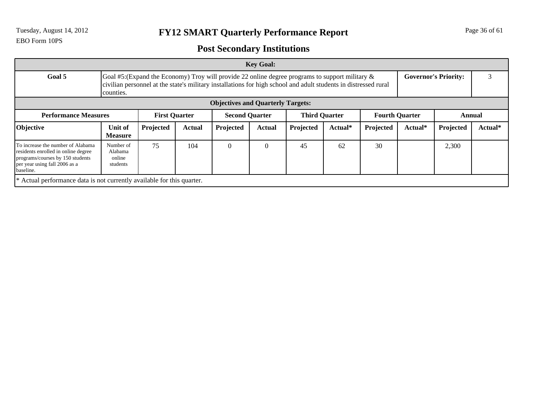| <b>Key Goal:</b>                                                                                                                                           |                                            |                                                                                                                                                                                                                                                     |                      |           |                       |                      |         |                       |         |           |         |
|------------------------------------------------------------------------------------------------------------------------------------------------------------|--------------------------------------------|-----------------------------------------------------------------------------------------------------------------------------------------------------------------------------------------------------------------------------------------------------|----------------------|-----------|-----------------------|----------------------|---------|-----------------------|---------|-----------|---------|
| Goal 5                                                                                                                                                     | counties.                                  | Goal #5:(Expand the Economy) Troy will provide 22 online degree programs to support military $\&$<br><b>Governor's Priority:</b><br>civilian personnel at the state's military installations for high school and adult students in distressed rural |                      |           |                       |                      |         |                       |         |           |         |
|                                                                                                                                                            | <b>Objectives and Quarterly Targets:</b>   |                                                                                                                                                                                                                                                     |                      |           |                       |                      |         |                       |         |           |         |
| <b>Performance Measures</b>                                                                                                                                |                                            |                                                                                                                                                                                                                                                     | <b>First Quarter</b> |           | <b>Second Quarter</b> | <b>Third Quarter</b> |         | <b>Fourth Quarter</b> |         |           | Annual  |
| Objective                                                                                                                                                  | Unit of<br><b>Measure</b>                  | Projected                                                                                                                                                                                                                                           | <b>Actual</b>        | Projected | <b>Actual</b>         | Projected            | Actual* | Projected             | Actual* | Projected | Actual* |
| To increase the number of Alabama<br>residents enrolled in online degree<br>programs/courses by 150 students<br>per year using fall 2006 as a<br>baseline. | Number of<br>Alabama<br>online<br>students | 75                                                                                                                                                                                                                                                  | 104                  | $\Omega$  | $\theta$              | 45                   | 62      | 30                    |         | 2,300     |         |
| Actual performance data is not currently available for this quarter.                                                                                       |                                            |                                                                                                                                                                                                                                                     |                      |           |                       |                      |         |                       |         |           |         |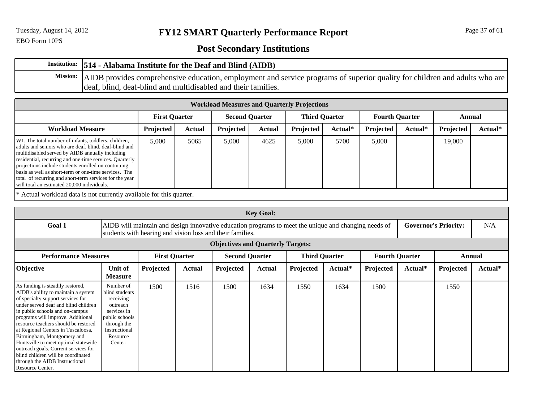| Institution: [514 - Alabama Institute for the Deaf and Blind (AIDB)                                                                                                                                  |
|------------------------------------------------------------------------------------------------------------------------------------------------------------------------------------------------------|
| Mission: AIDB provides comprehensive education, employment and service programs of superior quality for children and adults who are<br>deaf, blind, deaf-blind and multidisabled and their families. |

| <b>Workload Measures and Quarterly Projections</b>                                                                                                                                                                                                                                                                                                                                                                                                     |                      |               |                       |               |                      |         |                       |         |           |         |
|--------------------------------------------------------------------------------------------------------------------------------------------------------------------------------------------------------------------------------------------------------------------------------------------------------------------------------------------------------------------------------------------------------------------------------------------------------|----------------------|---------------|-----------------------|---------------|----------------------|---------|-----------------------|---------|-----------|---------|
|                                                                                                                                                                                                                                                                                                                                                                                                                                                        | <b>First Quarter</b> |               | <b>Second Quarter</b> |               | <b>Third Quarter</b> |         | <b>Fourth Quarter</b> |         | Annual    |         |
| <b>Workload Measure</b>                                                                                                                                                                                                                                                                                                                                                                                                                                | Projected            | <b>Actual</b> | Projected             | <b>Actual</b> | Projected            | Actual* | Projected             | Actual* | Projected | Actual* |
| W1. The total number of infants, toddlers, children,<br>adults and seniors who are deaf, blind, deaf-blind and<br>multidisabled served by AIDB annually including<br>residential, recurring and one-time services. Quarterly<br>projections include students enrolled on continuing<br>basis as well as short-term or one-time services. The<br>total of recurring and short-term services for the year<br>will total an estimated 20,000 individuals. | 5,000                | 5065          | 5,000                 | 4625          | 5,000                | 5700    | 5,000                 |         | 19,000    |         |

\* Actual workload data is not currently available for this quarter.

|                                                                                                                                                                                                                                                                                                                                                                                                                                                                                                                      |                                                                                                                                              |                                                                                                                                                                                                  |        |                                          | <b>Key Goal:</b> |                      |         |                       |         |           |               |
|----------------------------------------------------------------------------------------------------------------------------------------------------------------------------------------------------------------------------------------------------------------------------------------------------------------------------------------------------------------------------------------------------------------------------------------------------------------------------------------------------------------------|----------------------------------------------------------------------------------------------------------------------------------------------|--------------------------------------------------------------------------------------------------------------------------------------------------------------------------------------------------|--------|------------------------------------------|------------------|----------------------|---------|-----------------------|---------|-----------|---------------|
| <b>Goal 1</b>                                                                                                                                                                                                                                                                                                                                                                                                                                                                                                        |                                                                                                                                              | AIDB will maintain and design innovative education programs to meet the unique and changing needs of<br><b>Governor's Priority:</b><br>students with hearing and vision loss and their families. |        |                                          |                  |                      |         |                       |         |           | N/A           |
|                                                                                                                                                                                                                                                                                                                                                                                                                                                                                                                      |                                                                                                                                              |                                                                                                                                                                                                  |        | <b>Objectives and Quarterly Targets:</b> |                  |                      |         |                       |         |           |               |
| <b>Performance Measures</b><br><b>First Quarter</b>                                                                                                                                                                                                                                                                                                                                                                                                                                                                  |                                                                                                                                              |                                                                                                                                                                                                  |        | <b>Second Quarter</b>                    |                  | <b>Third Quarter</b> |         | <b>Fourth Quarter</b> |         |           | <b>Annual</b> |
| Objective                                                                                                                                                                                                                                                                                                                                                                                                                                                                                                            | Unit of<br><b>Measure</b>                                                                                                                    | Projected                                                                                                                                                                                        | Actual | Projected                                | Actual           | Projected            | Actual* | Projected             | Actual* | Projected | Actual*       |
| As funding is steadily restored,<br>AIDB's ability to maintain a system<br>of specialty support services for<br>under served deaf and blind children<br>in public schools and on-campus<br>programs will improve. Additional<br>resource teachers should be restored<br>at Regional Centers in Tuscaloosa,<br>Birmingham, Montgomery and<br>Huntsville to meet optimal statewide<br>outreach goals. Current services for<br>blind children will be coordinated<br>through the AIDB Instructional<br>Resource Center. | Number of<br>blind students<br>receiving<br>outreach<br>services in<br>public schools<br>through the<br>Instructional<br>Resource<br>Center. | 1500                                                                                                                                                                                             | 1516   | 1500                                     | 1634             | 1550                 | 1634    | 1500                  |         | 1550      |               |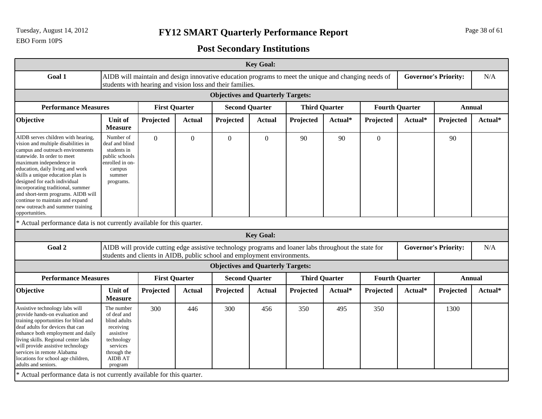|                                                                                                                                                                                                                                                                                                                                                                                                                                                      |                                                                                                                                           |                                                                                                                                                                                        |               |                                                                                                                                                                                   | <b>Key Goal:</b> |                      |         |                       |         |                             |               |  |  |  |
|------------------------------------------------------------------------------------------------------------------------------------------------------------------------------------------------------------------------------------------------------------------------------------------------------------------------------------------------------------------------------------------------------------------------------------------------------|-------------------------------------------------------------------------------------------------------------------------------------------|----------------------------------------------------------------------------------------------------------------------------------------------------------------------------------------|---------------|-----------------------------------------------------------------------------------------------------------------------------------------------------------------------------------|------------------|----------------------|---------|-----------------------|---------|-----------------------------|---------------|--|--|--|
| Goal 1                                                                                                                                                                                                                                                                                                                                                                                                                                               |                                                                                                                                           |                                                                                                                                                                                        |               | AIDB will maintain and design innovative education programs to meet the unique and changing needs of<br>students with hearing and vision loss and their families.                 |                  |                      |         |                       |         | <b>Governor's Priority:</b> | N/A           |  |  |  |
|                                                                                                                                                                                                                                                                                                                                                                                                                                                      |                                                                                                                                           |                                                                                                                                                                                        |               | <b>Objectives and Quarterly Targets:</b>                                                                                                                                          |                  |                      |         |                       |         |                             |               |  |  |  |
| <b>Performance Measures</b>                                                                                                                                                                                                                                                                                                                                                                                                                          |                                                                                                                                           | <b>First Quarter</b>                                                                                                                                                                   |               | <b>Second Quarter</b>                                                                                                                                                             |                  | <b>Third Quarter</b> |         | <b>Fourth Quarter</b> |         |                             | <b>Annual</b> |  |  |  |
| Objective                                                                                                                                                                                                                                                                                                                                                                                                                                            | Unit of<br><b>Measure</b>                                                                                                                 | Projected                                                                                                                                                                              | <b>Actual</b> | Projected                                                                                                                                                                         | Actual           | Projected            | Actual* | Projected             | Actual* | Projected<br>Actual*        |               |  |  |  |
| AIDB serves children with hearing,<br>vision and multiple disabilities in<br>campus and outreach environments<br>statewide. In order to meet<br>maximum independence in<br>education, daily living and work<br>skills a unique education plan is<br>designed for each individual<br>incorporating traditional, summer<br>and short-term programs. AIDB will<br>continue to maintain and expand<br>new outreach and summer training<br>opportunities. | Number of<br>deaf and blind<br>students in<br>public schools<br>enrolled in on-<br>campus<br>summer<br>programs.                          | $\boldsymbol{0}$<br>$\boldsymbol{0}$<br>$\mathbf{0}$<br>$\overline{0}$<br>90<br>$\boldsymbol{0}$<br>90<br>90<br>* Actual performance data is not currently available for this quarter. |               |                                                                                                                                                                                   |                  |                      |         |                       |         |                             |               |  |  |  |
|                                                                                                                                                                                                                                                                                                                                                                                                                                                      |                                                                                                                                           |                                                                                                                                                                                        |               |                                                                                                                                                                                   | <b>Key Goal:</b> |                      |         |                       |         |                             |               |  |  |  |
| Goal 2                                                                                                                                                                                                                                                                                                                                                                                                                                               |                                                                                                                                           |                                                                                                                                                                                        |               | AIDB will provide cutting edge assistive technology programs and loaner labs throughout the state for<br>students and clients in AIDB, public school and employment environments. |                  |                      |         |                       |         | <b>Governor's Priority:</b> | N/A           |  |  |  |
|                                                                                                                                                                                                                                                                                                                                                                                                                                                      |                                                                                                                                           |                                                                                                                                                                                        |               | <b>Objectives and Quarterly Targets:</b>                                                                                                                                          |                  |                      |         |                       |         |                             |               |  |  |  |
| <b>Performance Measures</b>                                                                                                                                                                                                                                                                                                                                                                                                                          |                                                                                                                                           | <b>First Quarter</b>                                                                                                                                                                   |               | <b>Second Quarter</b>                                                                                                                                                             |                  | <b>Third Quarter</b> |         | <b>Fourth Quarter</b> |         |                             | <b>Annual</b> |  |  |  |
| Objective                                                                                                                                                                                                                                                                                                                                                                                                                                            | <b>Unit of</b><br><b>Measure</b>                                                                                                          | Projected                                                                                                                                                                              | <b>Actual</b> | Projected                                                                                                                                                                         | <b>Actual</b>    | Projected            | Actual* | Projected             | Actual* | Projected                   | Actual*       |  |  |  |
| Assistive technology labs will<br>provide hands-on evaluation and<br>training opportunities for blind and<br>deaf adults for devices that can<br>enhance both employment and daily<br>living skills. Regional center labs<br>will provide assistive technology<br>services in remote Alabama<br>locations for school age children,<br>adults and seniors.                                                                                            | The number<br>of deaf and<br>blind adults<br>receiving<br>assistive<br>technology<br>services<br>through the<br><b>AIDB AT</b><br>program | 300                                                                                                                                                                                    | 446           | 300                                                                                                                                                                               | 456              | 350                  | 495     | 350                   |         | 1300                        |               |  |  |  |
| * Actual performance data is not currently available for this quarter.                                                                                                                                                                                                                                                                                                                                                                               |                                                                                                                                           |                                                                                                                                                                                        |               |                                                                                                                                                                                   |                  |                      |         |                       |         |                             |               |  |  |  |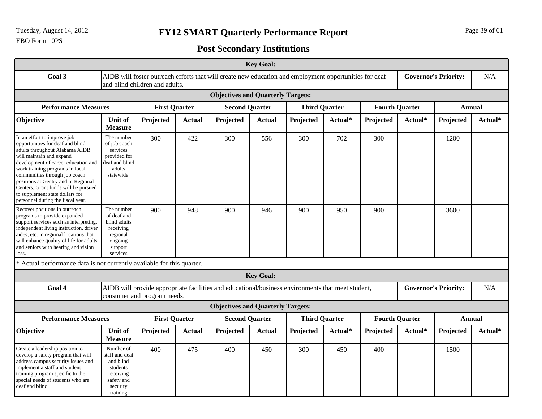|                                                                                                                                                                                                                                                                                                                                                                                                 |                                                                                                         |                                |                                                                                      |                                          | <b>Key Goal:</b> |                                                                                                        |         |                                    |                       |                             |               |
|-------------------------------------------------------------------------------------------------------------------------------------------------------------------------------------------------------------------------------------------------------------------------------------------------------------------------------------------------------------------------------------------------|---------------------------------------------------------------------------------------------------------|--------------------------------|--------------------------------------------------------------------------------------|------------------------------------------|------------------|--------------------------------------------------------------------------------------------------------|---------|------------------------------------|-----------------------|-----------------------------|---------------|
| Goal 3                                                                                                                                                                                                                                                                                                                                                                                          |                                                                                                         | and blind children and adults. |                                                                                      |                                          |                  | AIDB will foster outreach efforts that will create new education and employment opportunities for deaf |         |                                    |                       | <b>Governor's Priority:</b> | N/A           |
|                                                                                                                                                                                                                                                                                                                                                                                                 |                                                                                                         |                                |                                                                                      | <b>Objectives and Quarterly Targets:</b> |                  |                                                                                                        |         |                                    |                       |                             |               |
| <b>Performance Measures</b>                                                                                                                                                                                                                                                                                                                                                                     |                                                                                                         | <b>First Quarter</b>           |                                                                                      | <b>Second Quarter</b>                    |                  | <b>Third Quarter</b>                                                                                   |         |                                    | <b>Fourth Quarter</b> |                             | <b>Annual</b> |
| Objective                                                                                                                                                                                                                                                                                                                                                                                       | <b>Unit of</b><br><b>Measure</b>                                                                        | Projected                      | Projected<br>Projected<br>Projected<br>Actual*<br>Actual*<br>Actual<br><b>Actual</b> |                                          |                  |                                                                                                        |         |                                    |                       | Projected                   | Actual*       |
| In an effort to improve job<br>opportunities for deaf and blind<br>adults throughout Alabama AIDB<br>will maintain and expand<br>development of career education and<br>work training programs in local<br>communities through job coach<br>positions at Gentry and in Regional<br>Centers. Grant funds will be pursued<br>to supplement state dollars for<br>personnel during the fiscal year. | The number<br>of job coach<br>services<br>provided for<br>deaf and blind<br>adults<br>statewide.        | 300                            | 422                                                                                  | 300                                      | 556              | 300                                                                                                    | 702     | 300                                |                       | 1200                        |               |
| Recover positions in outreach<br>programs to provide expanded<br>support services such as interpreting,<br>independent living instruction, driver<br>aides, etc. in regional locations that<br>will enhance quality of life for adults<br>and seniors with hearing and vision<br>loss.                                                                                                          | The number<br>of deaf and<br>blind adults<br>receiving<br>regional<br>ongoing<br>support<br>services    | 900                            | 948                                                                                  | 900                                      | 946              | 900                                                                                                    | 950     | 900                                |                       | 3600                        |               |
| * Actual performance data is not currently available for this quarter.                                                                                                                                                                                                                                                                                                                          |                                                                                                         |                                |                                                                                      |                                          |                  |                                                                                                        |         |                                    |                       |                             |               |
|                                                                                                                                                                                                                                                                                                                                                                                                 |                                                                                                         |                                |                                                                                      |                                          | <b>Key Goal:</b> |                                                                                                        |         |                                    |                       |                             |               |
| Goal 4                                                                                                                                                                                                                                                                                                                                                                                          |                                                                                                         | consumer and program needs.    |                                                                                      |                                          |                  | AIDB will provide appropriate facilities and educational/business environments that meet student,      |         | <b>Governor's Priority:</b><br>N/A |                       |                             |               |
|                                                                                                                                                                                                                                                                                                                                                                                                 |                                                                                                         |                                |                                                                                      | <b>Objectives and Quarterly Targets:</b> |                  |                                                                                                        |         |                                    |                       |                             |               |
| <b>Performance Measures</b>                                                                                                                                                                                                                                                                                                                                                                     |                                                                                                         | <b>First Quarter</b>           |                                                                                      | <b>Second Quarter</b>                    |                  | <b>Third Quarter</b>                                                                                   |         |                                    | <b>Fourth Quarter</b> |                             | Annual        |
| Objective                                                                                                                                                                                                                                                                                                                                                                                       | Unit of<br><b>Measure</b>                                                                               | Projected                      | <b>Actual</b>                                                                        | Projected                                | <b>Actual</b>    | Projected                                                                                              | Actual* | Projected                          | Actual*               | Projected                   | Actual*       |
| Create a leadership position to<br>develop a safety program that will<br>address campus security issues and<br>implement a staff and student<br>training program specific to the<br>special needs of students who are<br>deaf and blind.                                                                                                                                                        | Number of<br>staff and deaf<br>and blind<br>students<br>receiving<br>safety and<br>security<br>training | 400                            | 475                                                                                  | 400                                      | 450              | 300                                                                                                    | 450     | 400                                |                       | 1500                        |               |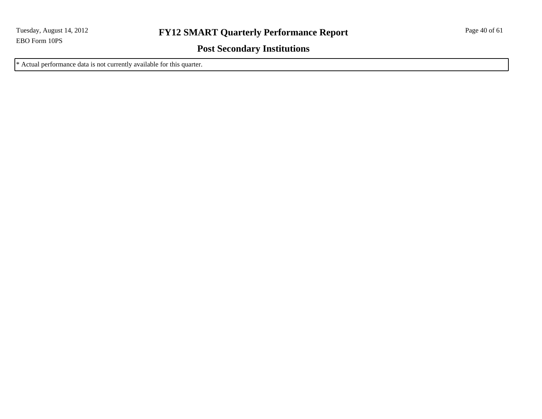\* Actual performance data is not currently available for this quarter.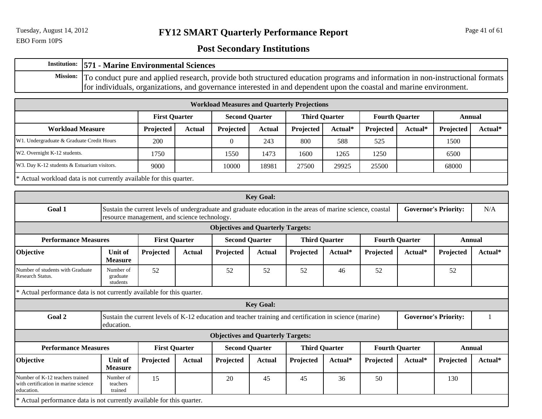| Institution: [571 - Marine Environmental Sciences                                                                                      |
|----------------------------------------------------------------------------------------------------------------------------------------|
| Mission: To conduct pure and applied research, provide both structured education programs and information in non-instructional formats |
| for individuals, organizations, and governance interested in and dependent upon the coastal and marine environment.                    |

| <b>Workload Measures and Quarterly Projections</b>                  |                      |               |                       |               |                      |         |                       |         |           |         |  |
|---------------------------------------------------------------------|----------------------|---------------|-----------------------|---------------|----------------------|---------|-----------------------|---------|-----------|---------|--|
|                                                                     | <b>First Quarter</b> |               | <b>Second Quarter</b> |               | <b>Third Quarter</b> |         | <b>Fourth Quarter</b> |         | Annual    |         |  |
| <b>Workload Measure</b>                                             | <b>Projected</b>     | <b>Actual</b> | Projected             | <b>Actual</b> | Projected            | Actual* | Projected             | Actual* | Projected | Actual* |  |
| W1. Undergraduate & Graduate Credit Hours                           | 200                  |               |                       | 243           | 800                  | 588     | 525                   |         | 1500      |         |  |
| W2. Overnight K-12 students.                                        | 1750                 |               | 1550                  | 1473          | 1600                 | 1265    | 1250                  |         | 6500      |         |  |
| $W3.$ Day K-12 students & Estuarium visitors.                       | 9000                 |               | 10000                 | 18981         | 27500                | 29925   | 25500                 |         | 68000     |         |  |
| * Actual workload data is not currently available for this quarter. |                      |               |                       |               |                      |         |                       |         |           |         |  |

|                                                                                       |                                          |                                              |               |                                                                                                            | <b>Key Goal:</b> |                      |         |           |                       |                             |         |  |  |  |
|---------------------------------------------------------------------------------------|------------------------------------------|----------------------------------------------|---------------|------------------------------------------------------------------------------------------------------------|------------------|----------------------|---------|-----------|-----------------------|-----------------------------|---------|--|--|--|
| Goal 1                                                                                |                                          | resource management, and science technology. |               | Sustain the current levels of undergraduate and graduate education in the areas of marine science, coastal |                  |                      |         |           |                       | <b>Governor's Priority:</b> | N/A     |  |  |  |
|                                                                                       | <b>Objectives and Quarterly Targets:</b> |                                              |               |                                                                                                            |                  |                      |         |           |                       |                             |         |  |  |  |
| <b>Performance Measures</b>                                                           |                                          | <b>First Quarter</b>                         |               | <b>Second Quarter</b>                                                                                      |                  | <b>Third Quarter</b> |         |           | <b>Fourth Quarter</b> | <b>Annual</b>               |         |  |  |  |
| Objective                                                                             | Unit of<br><b>Measure</b>                | Projected                                    | Actual        | Projected                                                                                                  | Actual           | Projected            | Actual* | Projected | Actual*               | Projected                   | Actual* |  |  |  |
| Number of students with Graduate<br>Research Status.                                  | Number of<br>graduate<br>students        | 52                                           |               | 52                                                                                                         | 52               | 52                   | 46      | 52        |                       | 52                          |         |  |  |  |
| Actual performance data is not currently available for this quarter.                  |                                          |                                              |               |                                                                                                            |                  |                      |         |           |                       |                             |         |  |  |  |
|                                                                                       |                                          |                                              |               |                                                                                                            | <b>Key Goal:</b> |                      |         |           |                       |                             |         |  |  |  |
| Goal 2                                                                                | education.                               |                                              |               | Sustain the current levels of K-12 education and teacher training and certification in science (marine)    |                  |                      |         |           |                       | <b>Governor's Priority:</b> |         |  |  |  |
|                                                                                       |                                          |                                              |               | <b>Objectives and Quarterly Targets:</b>                                                                   |                  |                      |         |           |                       |                             |         |  |  |  |
| <b>Performance Measures</b>                                                           |                                          | <b>First Quarter</b>                         |               | <b>Second Quarter</b>                                                                                      |                  | <b>Third Quarter</b> |         |           | <b>Fourth Quarter</b> | Annual                      |         |  |  |  |
| <b>Objective</b>                                                                      | Unit of<br><b>Measure</b>                | Projected                                    | <b>Actual</b> | Projected                                                                                                  | Actual           | Projected            | Actual* | Projected | Actual*               | Projected                   | Actual* |  |  |  |
| Number of K-12 teachers trained<br>with certification in marine science<br>education. | Number of<br>teachers<br>trained         | 15<br>20<br>36<br>50<br>45<br>45             |               |                                                                                                            |                  |                      |         |           |                       | 130                         |         |  |  |  |
| * Actual performance data is not currently available for this quarter.                |                                          |                                              |               |                                                                                                            |                  |                      |         |           |                       |                             |         |  |  |  |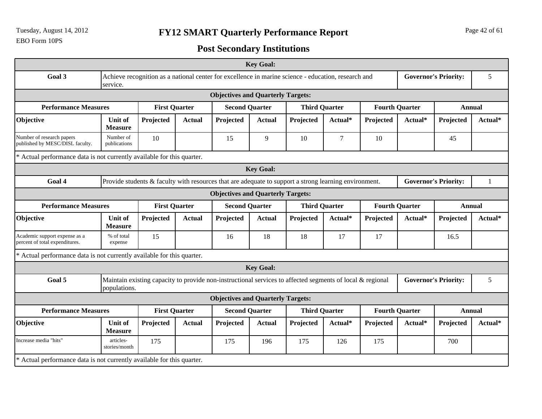|                                                                                                                                                     |                                  |                      |               |                                                                                                           | <b>Key Goal:</b> |                      |                |           |                       |                             |               |
|-----------------------------------------------------------------------------------------------------------------------------------------------------|----------------------------------|----------------------|---------------|-----------------------------------------------------------------------------------------------------------|------------------|----------------------|----------------|-----------|-----------------------|-----------------------------|---------------|
| Goal 3                                                                                                                                              | service.                         |                      |               | Achieve recognition as a national center for excellence in marine science - education, research and       |                  |                      |                |           |                       | <b>Governor's Priority:</b> | 5             |
|                                                                                                                                                     |                                  |                      |               | <b>Objectives and Quarterly Targets:</b>                                                                  |                  |                      |                |           |                       |                             |               |
| <b>Performance Measures</b>                                                                                                                         |                                  | <b>First Quarter</b> |               | <b>Second Quarter</b>                                                                                     |                  | <b>Third Quarter</b> |                |           | <b>Fourth Quarter</b> |                             | Annual        |
| Objective                                                                                                                                           | <b>Unit of</b><br><b>Measure</b> | Projected            | <b>Actual</b> | Projected                                                                                                 | <b>Actual</b>    | Projected            | Actual*        | Projected | Actual*               | Projected                   | Actual*       |
| Number of research papers<br>published by MESC/DISL faculty.                                                                                        | Number of<br>publications        | 10                   |               | 15                                                                                                        | 9                | 10                   | $\overline{7}$ | 10        |                       | 45                          |               |
| * Actual performance data is not currently available for this quarter.                                                                              |                                  |                      |               |                                                                                                           |                  |                      |                |           |                       |                             |               |
|                                                                                                                                                     |                                  |                      |               |                                                                                                           | <b>Key Goal:</b> |                      |                |           |                       |                             |               |
| Goal 4<br>Provide students & faculty with resources that are adequate to support a strong learning environment.<br><b>Governor's Priority:</b><br>1 |                                  |                      |               |                                                                                                           |                  |                      |                |           |                       |                             |               |
|                                                                                                                                                     |                                  |                      |               | <b>Objectives and Quarterly Targets:</b>                                                                  |                  |                      |                |           |                       |                             |               |
| <b>Performance Measures</b>                                                                                                                         |                                  | <b>First Quarter</b> |               | <b>Second Quarter</b>                                                                                     |                  | <b>Third Quarter</b> |                |           | <b>Fourth Quarter</b> |                             | Annual        |
| Objective                                                                                                                                           | Unit of<br><b>Measure</b>        | Projected            | <b>Actual</b> | Projected                                                                                                 | <b>Actual</b>    | Projected            | Actual*        | Projected | Actual*               | Projected                   |               |
| Academic support expense as a<br>percent of total expenditures.                                                                                     | % of total<br>expense            | 15                   |               | 16                                                                                                        | 18               | 18                   | 17             | 17        |                       | 16.5                        |               |
| * Actual performance data is not currently available for this quarter.                                                                              |                                  |                      |               |                                                                                                           |                  |                      |                |           |                       |                             |               |
|                                                                                                                                                     |                                  |                      |               |                                                                                                           | <b>Key Goal:</b> |                      |                |           |                       |                             |               |
| Goal 5                                                                                                                                              | populations.                     |                      |               | Maintain existing capacity to provide non-instructional services to affected segments of local & regional |                  |                      |                |           |                       | <b>Governor's Priority:</b> | 5             |
|                                                                                                                                                     |                                  |                      |               | <b>Objectives and Quarterly Targets:</b>                                                                  |                  |                      |                |           |                       |                             |               |
| <b>Performance Measures</b>                                                                                                                         |                                  | <b>First Quarter</b> |               | <b>Second Quarter</b>                                                                                     |                  | <b>Third Quarter</b> |                |           | <b>Fourth Quarter</b> |                             | <b>Annual</b> |
| Objective                                                                                                                                           | Unit of<br><b>Measure</b>        | Projected            | <b>Actual</b> | Projected                                                                                                 | Actual           | Projected            | Actual*        | Projected | Actual*               | Projected                   | Actual*       |
| Increase media "hits"                                                                                                                               | articles-<br>stories/month       | 175                  |               | 175                                                                                                       | 196              | 175                  | 126            | 175       |                       | 700                         |               |
| * Actual performance data is not currently available for this quarter.                                                                              |                                  |                      |               |                                                                                                           |                  |                      |                |           |                       |                             |               |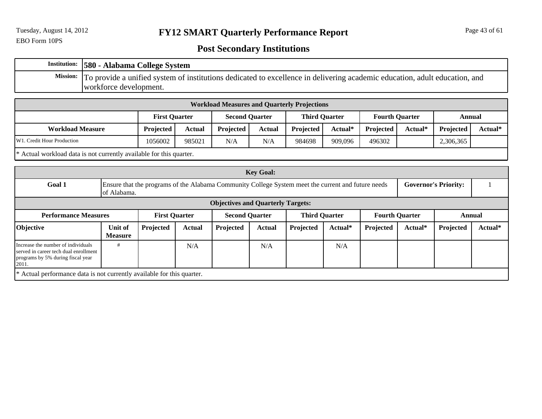| Institution: 580 - Alabama College System                                                                                                                     |
|---------------------------------------------------------------------------------------------------------------------------------------------------------------|
| Mission: To provide a unified system of institutions dedicated to excellence in delivering academic education, adult education, and<br>workforce development. |

| <b>Workload Measures and Quarterly Projections</b>                                                       |           |               |                  |        |           |         |           |         |                  |         |  |
|----------------------------------------------------------------------------------------------------------|-----------|---------------|------------------|--------|-----------|---------|-----------|---------|------------------|---------|--|
| <b>Third Quarter</b><br><b>Fourth Quarter</b><br><b>Second Quarter</b><br><b>First Quarter</b><br>Annual |           |               |                  |        |           |         |           |         |                  |         |  |
| <b>Workload Measure</b>                                                                                  | Projected | <b>Actual</b> | <b>Projected</b> | Actual | Projected | Actual* | Projected | Actual* | <b>Projected</b> | Actual* |  |
| W1. Credit Hour Production                                                                               | 1056002   | 985021        | N/A              | N/A    | 984698    | 909,096 | 496302    |         | 2,306,365        |         |  |
| <sup>*</sup> Actual workload data is not currently available for this quarter.                           |           |               |                  |        |           |         |           |         |                  |         |  |

| <b>Key Goal:</b>                                                                                                          |                           |                                                                                                                                   |               |                       |        |                      |         |           |                       |           |         |
|---------------------------------------------------------------------------------------------------------------------------|---------------------------|-----------------------------------------------------------------------------------------------------------------------------------|---------------|-----------------------|--------|----------------------|---------|-----------|-----------------------|-----------|---------|
| Goal 1                                                                                                                    | lof Alabama.              | <b>Governor's Priority:</b><br>Ensure that the programs of the Alabama Community College System meet the current and future needs |               |                       |        |                      |         |           |                       |           |         |
| <b>Objectives and Quarterly Targets:</b>                                                                                  |                           |                                                                                                                                   |               |                       |        |                      |         |           |                       |           |         |
| <b>Performance Measures</b><br><b>First Quarter</b>                                                                       |                           |                                                                                                                                   |               | <b>Second Quarter</b> |        | <b>Third Quarter</b> |         |           | <b>Fourth Quarter</b> |           | Annual  |
| Objective                                                                                                                 | Unit of<br><b>Measure</b> | Projected                                                                                                                         | <b>Actual</b> | Projected             | Actual | Projected            | Actual* | Projected | Actual*               | Projected | Actual* |
| Increase the number of individuals<br>served in career tech dual enrollment<br>programs by 5% during fiscal year<br>2011. | #                         |                                                                                                                                   | N/A           |                       | N/A    |                      | N/A     |           |                       |           |         |
| Actual performance data is not currently available for this quarter.                                                      |                           |                                                                                                                                   |               |                       |        |                      |         |           |                       |           |         |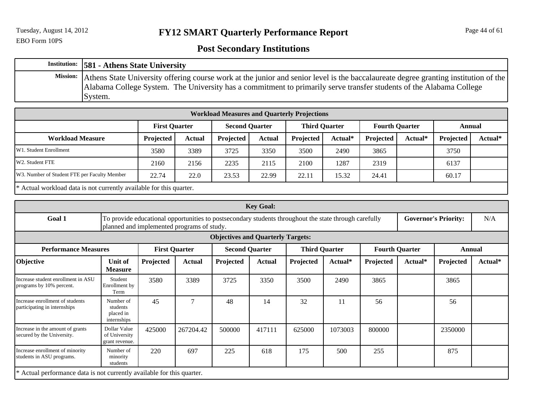| Institution: 581 - Athens State University                                                                                                   |
|----------------------------------------------------------------------------------------------------------------------------------------------|
| Mission: Athens State University offering course work at the junior and senior level is the baccalaureate degree granting institution of the |
| Alabama College System. The University has a commitment to primarily serve transfer students of the Alabama College                          |
| System.                                                                                                                                      |

| <b>Workload Measures and Quarterly Projections</b>                  |                      |               |                       |               |                      |         |                       |         |                  |         |  |  |
|---------------------------------------------------------------------|----------------------|---------------|-----------------------|---------------|----------------------|---------|-----------------------|---------|------------------|---------|--|--|
|                                                                     | <b>First Quarter</b> |               | <b>Second Quarter</b> |               | <b>Third Quarter</b> |         | <b>Fourth Quarter</b> |         | Annual           |         |  |  |
| <b>Workload Measure</b>                                             | Projected            | <b>Actual</b> | <b>Projected</b>      | <b>Actual</b> | Projected            | Actual* | Projected             | Actual* | <b>Projected</b> | Actual* |  |  |
| W1. Student Enrollment                                              | 3580                 | 3389          | 3725                  | 3350          | 3500                 | 2490    | 3865                  |         | 3750             |         |  |  |
| W2. Student FTE                                                     | 2160                 | 2156          | 2235                  | 2115          | 2100                 | 1287    | 2319                  |         | 6137             |         |  |  |
| W3. Number of Student FTE per Faculty Member                        | 22.74                | 22.0          | 23.53                 | 22.99         | 22.11                | 15.32   | 24.41                 |         | 60.17            |         |  |  |
| * Actual workload data is not currently available for this quarter. |                      |               |                       |               |                      |         |                       |         |                  |         |  |  |

| <b>Key Goal:</b>                                                                                                                        |                                                                        |                                                                                                                                                                                    |               |           |        |           |         |           |         |           |         |
|-----------------------------------------------------------------------------------------------------------------------------------------|------------------------------------------------------------------------|------------------------------------------------------------------------------------------------------------------------------------------------------------------------------------|---------------|-----------|--------|-----------|---------|-----------|---------|-----------|---------|
| Goal 1                                                                                                                                  |                                                                        | <b>Governor's Priority:</b><br>To provide educational opportunities to postsecondary students throughout the state through carefully<br>planned and implemented programs of study. |               |           |        |           |         |           |         |           |         |
| <b>Objectives and Quarterly Targets:</b>                                                                                                |                                                                        |                                                                                                                                                                                    |               |           |        |           |         |           |         |           |         |
| <b>Third Quarter</b><br><b>First Quarter</b><br><b>Second Quarter</b><br><b>Fourth Quarter</b><br><b>Performance Measures</b><br>Annual |                                                                        |                                                                                                                                                                                    |               |           |        |           |         |           |         |           |         |
| Objective                                                                                                                               | Unit of<br><b>Measure</b>                                              | Projected                                                                                                                                                                          | <b>Actual</b> | Projected | Actual | Projected | Actual* | Projected | Actual* | Projected | Actual* |
| Increase student enrollment in ASU<br>programs by 10% percent.                                                                          | Student<br>Enrollment by<br>Term                                       | 3580                                                                                                                                                                               | 3389          | 3725      | 3350   | 3500      | 2490    | 3865      |         | 3865      |         |
| Increase enrollment of students<br>participating in internships                                                                         | Number of<br>students<br>placed in<br>internships                      | 45                                                                                                                                                                                 | 7             | 48        | 14     | 32        | 11      | 56        |         | 56        |         |
| Increase in the amount of grants<br>secured by the University.                                                                          | Dollar Value<br>of University<br>grant revenue.                        | 425000                                                                                                                                                                             | 267204.42     | 500000    | 417111 | 625000    | 1073003 | 800000    |         | 2350000   |         |
| Increase enrollment of minority<br>students in ASU programs.                                                                            | Number of<br>minority<br>students                                      | 220                                                                                                                                                                                | 697           | 225       | 618    | 175       | 500     | 255       |         | 875       |         |
|                                                                                                                                         | * Actual performance data is not currently available for this quarter. |                                                                                                                                                                                    |               |           |        |           |         |           |         |           |         |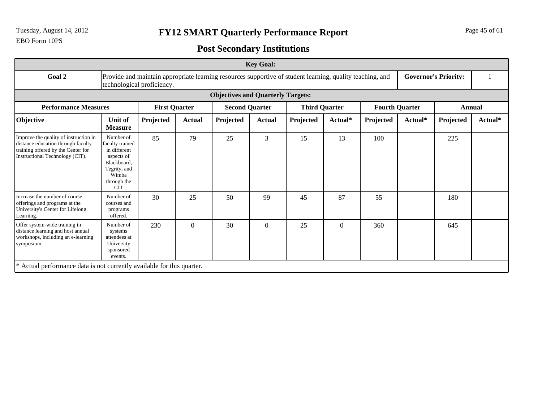|                                                                                                                                                      |                                                                                                                                 |                                                                                                                                         |               |                                          | <b>Key Goal:</b> |           |                      |           |                       |           |         |
|------------------------------------------------------------------------------------------------------------------------------------------------------|---------------------------------------------------------------------------------------------------------------------------------|-----------------------------------------------------------------------------------------------------------------------------------------|---------------|------------------------------------------|------------------|-----------|----------------------|-----------|-----------------------|-----------|---------|
| Goal 2                                                                                                                                               |                                                                                                                                 | Provide and maintain appropriate learning resources supportive of student learning, quality teaching, and<br>technological proficiency. |               | <b>Governor's Priority:</b>              |                  |           |                      |           |                       |           |         |
|                                                                                                                                                      |                                                                                                                                 |                                                                                                                                         |               | <b>Objectives and Quarterly Targets:</b> |                  |           |                      |           |                       |           |         |
| <b>Performance Measures</b>                                                                                                                          |                                                                                                                                 | <b>First Quarter</b>                                                                                                                    |               | <b>Second Quarter</b>                    |                  |           | <b>Third Quarter</b> |           | <b>Fourth Quarter</b> |           | Annual  |
| Objective                                                                                                                                            | Unit of<br><b>Measure</b>                                                                                                       | Projected                                                                                                                               | <b>Actual</b> | Projected                                | <b>Actual</b>    | Projected | Actual*              | Projected | Actual*               | Projected | Actual* |
| Improve the quality of instruction in<br>distance education through faculty<br>training offered by the Center for<br>Instructional Technology (CIT). | Number of<br>faculty trained<br>in different<br>aspects of<br>Blackboard,<br>Tegrity, and<br>Wimba<br>through the<br><b>CIT</b> | 85                                                                                                                                      | 79            | 25                                       | 3                | 15        | 13                   | 100       |                       | 225       |         |
| Increase the number of course<br>offerings and programs at the<br>University's Center for Lifelong<br>Learning.                                      | Number of<br>courses and<br>programs<br>offered.                                                                                | 30                                                                                                                                      | 25            | 50                                       | 99               | 45        | 87                   | 55        |                       | 180       |         |
| Offer system-wide training in<br>distance learning and host annual<br>workshops, including an e-learning<br>symposium.                               | Number of<br>systems<br>attendees at<br>University<br>sponsored<br>events.                                                      | 230                                                                                                                                     | $\Omega$      | 30                                       | $\theta$         | 25        | $\theta$             | 360       |                       | 645       |         |
| * Actual performance data is not currently available for this quarter.                                                                               |                                                                                                                                 |                                                                                                                                         |               |                                          |                  |           |                      |           |                       |           |         |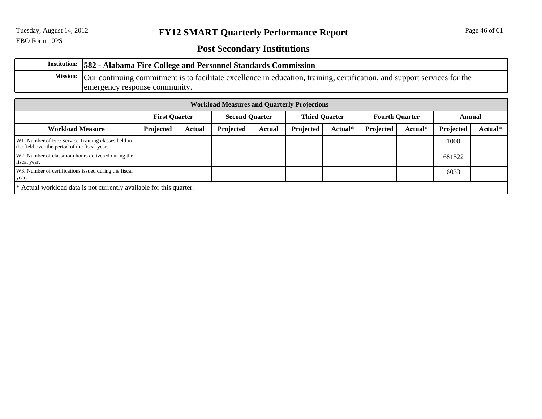| Institution: [582 - Alabama Fire College and Personnel Standards Commission                                                        |
|------------------------------------------------------------------------------------------------------------------------------------|
| Mission: Our continuing commitment is to facilitate excellence in education, training, certification, and support services for the |
| emergency response community.                                                                                                      |

| <b>Workload Measures and Quarterly Projections</b>                                                   |                      |               |                       |               |                      |         |                       |         |           |         |  |  |
|------------------------------------------------------------------------------------------------------|----------------------|---------------|-----------------------|---------------|----------------------|---------|-----------------------|---------|-----------|---------|--|--|
|                                                                                                      | <b>First Quarter</b> |               | <b>Second Quarter</b> |               | <b>Third Quarter</b> |         | <b>Fourth Quarter</b> |         | Annual    |         |  |  |
| <b>Workload Measure</b>                                                                              | Projected            | <b>Actual</b> | Projected             | <b>Actual</b> | Projected            | Actual* | Projected             | Actual* | Projected | Actual* |  |  |
| W1. Number of Fire Service Training classes held in<br>the field over the period of the fiscal year. |                      |               |                       |               |                      |         |                       |         | 1000      |         |  |  |
| W2. Number of classroom hours delivered during the<br>fiscal year.                                   |                      |               |                       |               |                      |         |                       |         | 681522    |         |  |  |
| W3. Number of certifications issued during the fiscal<br>year.                                       |                      |               |                       |               |                      |         |                       |         | 6033      |         |  |  |
| * Actual workload data is not currently available for this quarter.                                  |                      |               |                       |               |                      |         |                       |         |           |         |  |  |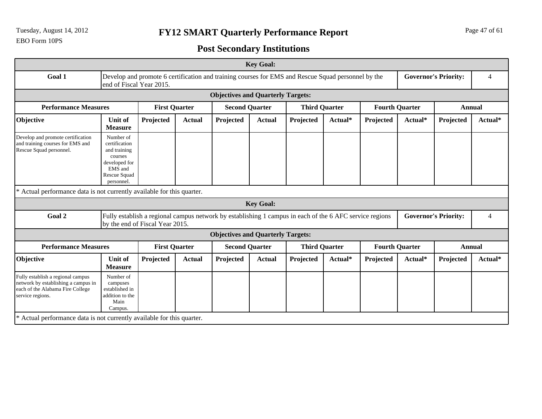|                                                                                                                                  |                                                                                                                 |                                 |               |                                                                                                         | <b>Key Goal:</b> |                      |                      |           |                       |                             |               |
|----------------------------------------------------------------------------------------------------------------------------------|-----------------------------------------------------------------------------------------------------------------|---------------------------------|---------------|---------------------------------------------------------------------------------------------------------|------------------|----------------------|----------------------|-----------|-----------------------|-----------------------------|---------------|
| Goal 1                                                                                                                           | end of Fiscal Year 2015.                                                                                        |                                 |               | Develop and promote 6 certification and training courses for EMS and Rescue Squad personnel by the      |                  |                      |                      |           |                       | <b>Governor's Priority:</b> | 4             |
|                                                                                                                                  |                                                                                                                 |                                 |               | <b>Objectives and Quarterly Targets:</b>                                                                |                  |                      |                      |           |                       |                             |               |
| <b>Performance Measures</b>                                                                                                      |                                                                                                                 | <b>First Quarter</b>            |               | <b>Second Quarter</b>                                                                                   |                  | <b>Third Quarter</b> |                      |           | <b>Fourth Quarter</b> |                             | <b>Annual</b> |
| Objective                                                                                                                        | Unit of<br><b>Measure</b>                                                                                       | Projected                       | <b>Actual</b> | Projected                                                                                               | Actual           | Projected            | Actual*              | Projected | Actual*               | Projected                   | Actual*       |
| Develop and promote certification<br>and training courses for EMS and<br>Rescue Squad personnel.                                 | Number of<br>certification<br>and training<br>courses<br>developed for<br>EMS and<br>Rescue Squad<br>personnel. |                                 |               |                                                                                                         |                  |                      |                      |           |                       |                             |               |
| * Actual performance data is not currently available for this quarter.                                                           |                                                                                                                 |                                 |               |                                                                                                         |                  |                      |                      |           |                       |                             |               |
|                                                                                                                                  |                                                                                                                 |                                 |               |                                                                                                         | <b>Key Goal:</b> |                      |                      |           |                       |                             |               |
| Goal 2                                                                                                                           |                                                                                                                 | by the end of Fiscal Year 2015. |               | Fully establish a regional campus network by establishing 1 campus in each of the 6 AFC service regions |                  |                      |                      |           |                       | <b>Governor's Priority:</b> | 4             |
|                                                                                                                                  |                                                                                                                 |                                 |               | <b>Objectives and Quarterly Targets:</b>                                                                |                  |                      |                      |           |                       |                             |               |
| <b>Performance Measures</b>                                                                                                      |                                                                                                                 | <b>First Quarter</b>            |               | <b>Second Quarter</b>                                                                                   |                  |                      | <b>Third Quarter</b> |           | <b>Fourth Quarter</b> |                             | <b>Annual</b> |
| Objective                                                                                                                        | Unit of<br><b>Measure</b>                                                                                       | Projected                       | <b>Actual</b> | Projected                                                                                               | <b>Actual</b>    | Projected            | Actual*              | Projected | Actual*               | Projected                   | Actual*       |
| Fully establish a regional campus<br>network by establishing a campus in<br>each of the Alabama Fire College<br>service regions. | Number of<br>campuses<br>established in<br>addition to the<br>Main<br>Campus.                                   |                                 |               |                                                                                                         |                  |                      |                      |           |                       |                             |               |
| * Actual performance data is not currently available for this quarter.                                                           |                                                                                                                 |                                 |               |                                                                                                         |                  |                      |                      |           |                       |                             |               |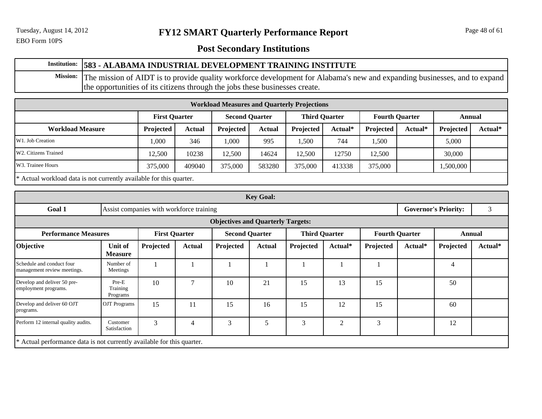#### Mission: The mission of AIDT is to provide quality workforce development for Alabama's new and expanding businesses, and to expand the opportunities of its citizens through the jobs these businesses create. **Institution: 583 - ALABAMA INDUSTRIAL DEVELOPMENT TRAINING INSTITUTE**

| <b>Workload Measures and Quarterly Projections</b>                               |                      |               |                       |        |                      |         |                       |         |           |         |  |  |  |
|----------------------------------------------------------------------------------|----------------------|---------------|-----------------------|--------|----------------------|---------|-----------------------|---------|-----------|---------|--|--|--|
|                                                                                  | <b>First Quarter</b> |               | <b>Second Quarter</b> |        | <b>Third Quarter</b> |         | <b>Fourth Quarter</b> |         | Annual    |         |  |  |  |
| <b>Workload Measure</b>                                                          | Projected            | <b>Actual</b> | Projected             | Actual | Projected            | Actual* | <b>Projected</b>      | Actual* | Projected | Actual* |  |  |  |
| W1. Job Creation                                                                 | 000.                 | 346           | 000.1                 | 995    | 1.500                | 744     | ,500                  |         | 5,000     |         |  |  |  |
| W2. Citizens Trained                                                             | 2.500                | 10238         | 12.500                | 14624  | 12.500               | 12750   | 12,500                |         | 30,000    |         |  |  |  |
| W3. Trainee Hours                                                                | 375,000              | 409040        | 375,000               | 583280 | 375,000              | 413338  | 375,000               |         | 1,500,000 |         |  |  |  |
| $\mathbb{R}$ . A stual workload data is not qurrently available for this quarter |                      |               |                       |        |                      |         |                       |         |           |         |  |  |  |

Actual workload data is not currently available for this quarter.

| <b>Key Goal:</b>                                                                                                                        |                               |                                          |               |           |        |           |                |           |                             |           |         |  |
|-----------------------------------------------------------------------------------------------------------------------------------------|-------------------------------|------------------------------------------|---------------|-----------|--------|-----------|----------------|-----------|-----------------------------|-----------|---------|--|
| Goal 1                                                                                                                                  |                               | Assist companies with workforce training |               |           |        |           |                |           | <b>Governor's Priority:</b> | 3         |         |  |
| <b>Objectives and Quarterly Targets:</b>                                                                                                |                               |                                          |               |           |        |           |                |           |                             |           |         |  |
| <b>First Quarter</b><br><b>Third Quarter</b><br><b>Fourth Quarter</b><br><b>Performance Measures</b><br><b>Second Quarter</b><br>Annual |                               |                                          |               |           |        |           |                |           |                             |           |         |  |
| Objective                                                                                                                               | Unit of<br><b>Measure</b>     | Projected                                | <b>Actual</b> | Projected | Actual | Projected | Actual*        | Projected | Actual*                     | Projected | Actual* |  |
| Schedule and conduct four<br>management review meetings.                                                                                | Number of<br>Meetings         |                                          |               |           |        |           |                |           |                             | 4         |         |  |
| Develop and deliver 50 pre-<br>employment programs.                                                                                     | Pre-E<br>Training<br>Programs | 10                                       | 7             | 10        | 21     | 15        | 13             | 15        |                             | 50        |         |  |
| Develop and deliver 60 OJT<br>programs.                                                                                                 | <b>OJT</b> Programs           | 15                                       | 11            | 15        | 16     | 15        | 12             | 15        |                             | 60        |         |  |
| Perform 12 internal quality audits.                                                                                                     | Customer<br>Satisfaction      | 3                                        | 4             | 3         | 5      | 3         | $\overline{2}$ | 3         |                             | 12        |         |  |
| Actual performance data is not currently available for this quarter.                                                                    |                               |                                          |               |           |        |           |                |           |                             |           |         |  |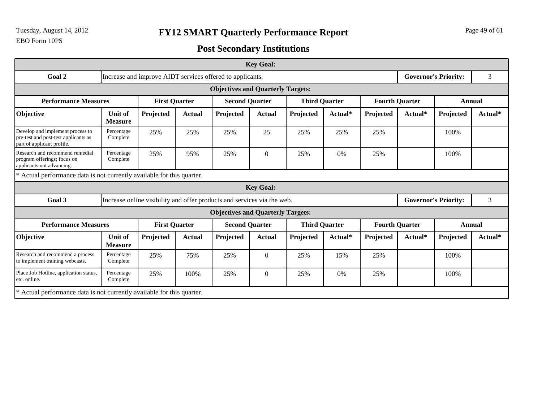|                                                                                                        |                           |                      |               |                                                                         | <b>Key Goal:</b> |                      |         |           |                       |                             |               |
|--------------------------------------------------------------------------------------------------------|---------------------------|----------------------|---------------|-------------------------------------------------------------------------|------------------|----------------------|---------|-----------|-----------------------|-----------------------------|---------------|
| Goal 2                                                                                                 |                           |                      |               | Increase and improve AIDT services offered to applicants.               |                  |                      |         |           |                       | <b>Governor's Priority:</b> | 3             |
|                                                                                                        |                           |                      |               | <b>Objectives and Quarterly Targets:</b>                                |                  |                      |         |           |                       |                             |               |
| <b>Performance Measures</b>                                                                            |                           | <b>First Quarter</b> |               | <b>Second Quarter</b>                                                   |                  | <b>Third Quarter</b> |         |           | <b>Fourth Quarter</b> |                             | Annual        |
| Objective                                                                                              | Unit of<br><b>Measure</b> | Projected            | <b>Actual</b> | Projected                                                               | <b>Actual</b>    | Projected            | Actual* | Projected | Actual*               | Projected                   | Actual*       |
| Develop and implement process to<br>pre-test and post-test applicants as<br>part of applicant profile. | Percentage<br>Complete    | 25%                  | 25%           | 25%                                                                     | 25               | 25%                  | 25%     | 25%       |                       | 100%                        |               |
| Research and recommend remedial<br>program offerings; focus on<br>applicants not advancing.            | Percentage<br>Complete    | 25%                  | 95%           | 25%                                                                     | $\Omega$         | 25%                  | 0%      | 25%       |                       | 100%                        |               |
| * Actual performance data is not currently available for this quarter.                                 |                           |                      |               |                                                                         |                  |                      |         |           |                       |                             |               |
|                                                                                                        |                           |                      |               |                                                                         | <b>Key Goal:</b> |                      |         |           |                       |                             |               |
| Goal 3                                                                                                 |                           |                      |               | Increase online visibility and offer products and services via the web. |                  |                      |         |           |                       | <b>Governor's Priority:</b> | 3             |
|                                                                                                        |                           |                      |               | <b>Objectives and Quarterly Targets:</b>                                |                  |                      |         |           |                       |                             |               |
| <b>Performance Measures</b>                                                                            |                           | <b>First Quarter</b> |               | <b>Second Quarter</b>                                                   |                  | <b>Third Quarter</b> |         |           | <b>Fourth Quarter</b> |                             | <b>Annual</b> |
| Objective                                                                                              | Unit of<br><b>Measure</b> | Projected            | Actual        | Projected                                                               | Actual           | Projected            | Actual* | Projected | Actual*               | Projected                   | Actual*       |
| Research and recommend a process<br>to implement training webcasts.                                    | Percentage<br>Complete    | 25%                  | 75%           | 25%                                                                     | $\boldsymbol{0}$ | 25%                  | 15%     | 25%       |                       | 100%                        |               |
| Place Job Hotline, application status,<br>etc. online.                                                 | Percentage<br>Complete    | 25%                  | 100%          | 25%                                                                     | $\overline{0}$   | 25%                  | 0%      | 25%       |                       | 100%                        |               |
| * Actual performance data is not currently available for this quarter.                                 |                           |                      |               |                                                                         |                  |                      |         |           |                       |                             |               |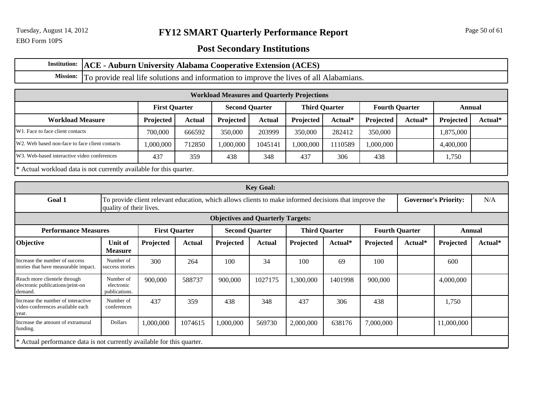| stītution:<br>ın۶ | ahamar.<br>Aoners<br>ΩИ<br>--<br>111770<br>eıt:<br>1810 H<br>$\sim$<br>v.a                           |
|-------------------|------------------------------------------------------------------------------------------------------|
| <b>Mission:</b>   | the<br>ച<br>11VAC<br>$\ldots$ inform<br>solutions<br>and<br>nr<br>real<br>nve<br>нге<br>vide<br>ımnr |

| <b>Workload Measures and Quarterly Projections</b> |                                                                                |               |                       |               |                      |         |                       |         |           |         |  |  |
|----------------------------------------------------|--------------------------------------------------------------------------------|---------------|-----------------------|---------------|----------------------|---------|-----------------------|---------|-----------|---------|--|--|
|                                                    | <b>First Quarter</b>                                                           |               | <b>Second Quarter</b> |               | <b>Third Quarter</b> |         | <b>Fourth Quarter</b> |         | Annual    |         |  |  |
| <b>Workload Measure</b>                            | Projected                                                                      | <b>Actual</b> | Projected             | <b>Actual</b> | Projected            | Actual* | Projected             | Actual* | Projected | Actual* |  |  |
| W <sub>1</sub> . Face to face client contacts      | 700,000                                                                        | 666592        | 350,000               | 203999        | 350,000              | 282412  | 350,000               |         | 1,875,000 |         |  |  |
| W2. Web based non-face to face client contacts     | 1,000,000                                                                      | 712850        | 1,000,000             | 1045141       | ,000,000             | 1110589 | 000,000               |         | 4,400,000 |         |  |  |
| W3. Web-based interactive video conferences        | 437                                                                            | 359           | 438                   | 348           | 437                  | 306     | 438                   |         | 1,750     |         |  |  |
|                                                    | <sup>*</sup> Actual workload data is not currently available for this quarter. |               |                       |               |                      |         |                       |         |           |         |  |  |

| <b>Key Goal:</b>                                                                                                                        |                                                                                                                                                                         |           |               |           |         |           |         |           |         |            |         |  |  |
|-----------------------------------------------------------------------------------------------------------------------------------------|-------------------------------------------------------------------------------------------------------------------------------------------------------------------------|-----------|---------------|-----------|---------|-----------|---------|-----------|---------|------------|---------|--|--|
| Goal 1                                                                                                                                  | N/A<br>To provide client relevant education, which allows clients to make informed decisions that improve the<br><b>Governor's Priority:</b><br>quality of their lives. |           |               |           |         |           |         |           |         |            |         |  |  |
| <b>Objectives and Quarterly Targets:</b>                                                                                                |                                                                                                                                                                         |           |               |           |         |           |         |           |         |            |         |  |  |
| <b>Performance Measures</b><br><b>First Quarter</b><br><b>Third Quarter</b><br><b>Fourth Quarter</b><br><b>Second Quarter</b><br>Annual |                                                                                                                                                                         |           |               |           |         |           |         |           |         |            |         |  |  |
| Objective                                                                                                                               | Unit of<br><b>Measure</b>                                                                                                                                               | Projected | <b>Actual</b> | Projected | Actual  | Projected | Actual* | Projected | Actual* | Projected  | Actual* |  |  |
| Increase the number of success<br>stories that have measurable impact.                                                                  | Number of<br>success stories                                                                                                                                            | 300       | 264           | 100       | 34      | 100       | 69      | 100       |         | 600        |         |  |  |
| Reach more clientele through<br>electronic publications/print-on<br>demand.                                                             | Number of<br>electronic<br>publications.                                                                                                                                | 900,000   | 588737        | 900,000   | 1027175 | 1,300,000 | 1401998 | 900,000   |         | 4,000,000  |         |  |  |
| Increase the number of interactive<br>video conferences available each<br>year.                                                         | Number of<br>conferences                                                                                                                                                | 437       | 359           | 438       | 348     | 437       | 306     | 438       |         | 1,750      |         |  |  |
| Increase the amount of extramural<br>funding.                                                                                           | Dollars                                                                                                                                                                 | 1,000,000 | 1074615       | 1,000,000 | 569730  | 2,000,000 | 638176  | 7,000,000 |         | 11,000,000 |         |  |  |
| Actual performance data is not currently available for this quarter.<br>∗                                                               |                                                                                                                                                                         |           |               |           |         |           |         |           |         |            |         |  |  |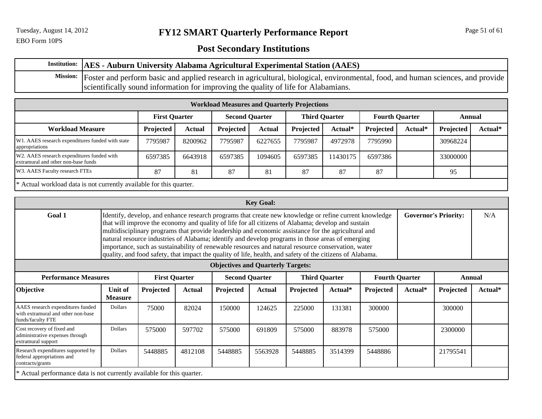#### Mission: Foster and perform basic and applied research in agricultural, biological, environmental, food, and human sciences, and provide scientifically sound information for improving the quality of life for Alabamians. **Institution: AES - Auburn University Alabama Agricultural Experimental Station (AAES)**

| <b>Workload Measures and Quarterly Projections</b>                                |                      |               |                       |               |                      |          |                       |         |           |         |  |  |  |
|-----------------------------------------------------------------------------------|----------------------|---------------|-----------------------|---------------|----------------------|----------|-----------------------|---------|-----------|---------|--|--|--|
|                                                                                   | <b>First Quarter</b> |               | <b>Second Quarter</b> |               | <b>Third Quarter</b> |          | <b>Fourth Quarter</b> |         | Annual    |         |  |  |  |
| <b>Workload Measure</b>                                                           | Projected            | <b>Actual</b> | <b>Projected</b>      | <b>Actual</b> | Projected            | Actual*  | Projected             | Actual* | Projected | Actual* |  |  |  |
| W1. AAES research expenditures funded with state<br><i>appropriations</i>         | 7795987              | 8200962       | 7795987               | 6227655       | 7795987              | 4972978  | 7795990               |         | 30968224  |         |  |  |  |
| W2. AAES research expenditures funded with<br>extramural and other non-base funds | 6597385              | 6643918       | 6597385               | 1094605       | 6597385              | 11430175 | 6597386               |         | 33000000  |         |  |  |  |
| W3. AAES Faculty research FTEs                                                    | 87                   | 81            | 87                    | 81            | 87                   | 87       | 87                    |         | 95        |         |  |  |  |
| $\mathbb{R}^*$ Actual workload data is not currently available for this quarter   |                      |               |                       |               |                      |          |                       |         |           |         |  |  |  |

workload data is not currently available for this quarter.

|                                                                                              |                                                                                                      |                                                                                                                                                                                                                                                                                                                                                                                                                                                                                                                                                                                                                                                                                                                              |         |           | <b>Key Goal:</b> |           |         |           |                       |           |         |  |
|----------------------------------------------------------------------------------------------|------------------------------------------------------------------------------------------------------|------------------------------------------------------------------------------------------------------------------------------------------------------------------------------------------------------------------------------------------------------------------------------------------------------------------------------------------------------------------------------------------------------------------------------------------------------------------------------------------------------------------------------------------------------------------------------------------------------------------------------------------------------------------------------------------------------------------------------|---------|-----------|------------------|-----------|---------|-----------|-----------------------|-----------|---------|--|
| <b>Goal 1</b>                                                                                |                                                                                                      | N/A<br>Identify, develop, and enhance research programs that create new knowledge or refine current knowledge<br><b>Governor's Priority:</b><br>that will improve the economy and quality of life for all citizens of Alabama; develop and sustain<br>multidisciplinary programs that provide leadership and economic assistance for the agricultural and<br>natural resource industries of Alabama; identify and develop programs in those areas of emerging<br>importance, such as sustainability of renewable resources and natural resource conservation, water<br>quality, and food safety, that impact the quality of life, health, and safety of the citizens of Alabama.<br><b>Objectives and Quarterly Targets:</b> |         |           |                  |           |         |           |                       |           |         |  |
|                                                                                              |                                                                                                      |                                                                                                                                                                                                                                                                                                                                                                                                                                                                                                                                                                                                                                                                                                                              |         |           |                  |           |         |           |                       |           |         |  |
|                                                                                              | <b>First Quarter</b><br><b>Second Quarter</b><br><b>Third Quarter</b><br><b>Performance Measures</b> |                                                                                                                                                                                                                                                                                                                                                                                                                                                                                                                                                                                                                                                                                                                              |         |           |                  |           |         |           | <b>Fourth Quarter</b> |           | Annual  |  |
| Objective                                                                                    | Unit of<br><b>Measure</b>                                                                            | Projected                                                                                                                                                                                                                                                                                                                                                                                                                                                                                                                                                                                                                                                                                                                    | Actual  | Projected | Actual           | Projected | Actual* | Projected | Actual*               | Projected | Actual* |  |
| AAES research expenditures funded<br>with extramural and other non-base<br>funds/faculty FTE | <b>Dollars</b>                                                                                       | 75000                                                                                                                                                                                                                                                                                                                                                                                                                                                                                                                                                                                                                                                                                                                        | 82024   | 150000    | 124625           | 225000    | 131381  | 300000    |                       | 300000    |         |  |
| Cost recovery of fixed and<br>administrative expenses through<br>extramural support          | <b>Dollars</b>                                                                                       | 575000                                                                                                                                                                                                                                                                                                                                                                                                                                                                                                                                                                                                                                                                                                                       | 597702  | 575000    | 691809           | 575000    | 883978  | 575000    |                       | 2300000   |         |  |
| Research expenditures supported by<br>federal appropriations and<br>contracts/grants         | Dollars                                                                                              | 5448885                                                                                                                                                                                                                                                                                                                                                                                                                                                                                                                                                                                                                                                                                                                      | 4812108 | 5448885   | 5563928          | 5448885   | 3514399 | 5448886   |                       | 21795541  |         |  |
| * Actual performance data is not currently available for this quarter.                       |                                                                                                      |                                                                                                                                                                                                                                                                                                                                                                                                                                                                                                                                                                                                                                                                                                                              |         |           |                  |           |         |           |                       |           |         |  |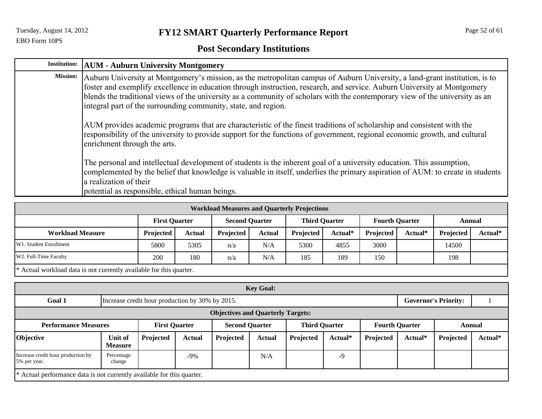| <b>Institution:</b> | <b>AUM - Auburn University Montgomery</b>                                                                                                                                                                                                                                                                                                                                                                                                                 |
|---------------------|-----------------------------------------------------------------------------------------------------------------------------------------------------------------------------------------------------------------------------------------------------------------------------------------------------------------------------------------------------------------------------------------------------------------------------------------------------------|
| <b>Mission:</b>     | Auburn University at Montgomery's mission, as the metropolitan campus of Auburn University, a land-grant institution, is to<br>foster and exemplify excellence in education through instruction, research, and service. Auburn University at Montgomery<br>blends the traditional views of the university as a community of scholars with the contemporary view of the university as an<br>integral part of the surrounding community, state, and region. |
|                     | AUM provides academic programs that are characteristic of the finest traditions of scholarship and consistent with the<br>responsibility of the university to provide support for the functions of government, regional economic growth, and cultural<br>enrichment through the arts.                                                                                                                                                                     |
|                     | The personal and intellectual development of students is the inherent goal of a university education. This assumption,<br>complemented by the belief that knowledge is valuable in itself, underlies the primary aspiration of AUM: to create in students<br>a realization of their<br>potential as responsible, ethical human beings.                                                                                                                    |

| <b>Workload Measures and Quarterly Projections</b>                                 |                      |               |                       |        |                      |         |                       |         |           |         |  |  |
|------------------------------------------------------------------------------------|----------------------|---------------|-----------------------|--------|----------------------|---------|-----------------------|---------|-----------|---------|--|--|
|                                                                                    | <b>First Quarter</b> |               | <b>Second Quarter</b> |        | <b>Third Quarter</b> |         | <b>Fourth Quarter</b> |         | Annual    |         |  |  |
| <b>Workload Measure</b>                                                            | Projected            | <b>Actual</b> | <b>Projected</b>      | Actual | Projected            | Actual* | Projected             | Actual* | Projected | Actual* |  |  |
| W1. Student Enrollment                                                             | 5800                 | 5305          | n/a                   | N/A    | 5300                 | 4855    | 3000                  |         | 14500     |         |  |  |
| W2. Full-Time Faculty                                                              | 200                  | 180           | n/a                   | N/A    | 185                  | 189     | 150                   |         | 198       |         |  |  |
| $\mathbb{R}$ . A stuel workload data is not survantly available for this supporter |                      |               |                       |        |                      |         |                       |         |           |         |  |  |

\* Actual workload data is not currently available for this quarter.

| <b>Key Goal:</b>                                                                                                                        |                                                                                |           |               |           |               |           |         |           |         |           |         |  |
|-----------------------------------------------------------------------------------------------------------------------------------------|--------------------------------------------------------------------------------|-----------|---------------|-----------|---------------|-----------|---------|-----------|---------|-----------|---------|--|
| <b>Goal 1</b>                                                                                                                           | <b>Governor's Priority:</b><br>Increase credit hour production by 30% by 2015. |           |               |           |               |           |         |           |         |           |         |  |
| <b>Objectives and Quarterly Targets:</b>                                                                                                |                                                                                |           |               |           |               |           |         |           |         |           |         |  |
| <b>Performance Measures</b><br><b>First Quarter</b><br><b>Third Quarter</b><br><b>Fourth Quarter</b><br><b>Second Quarter</b><br>Annual |                                                                                |           |               |           |               |           |         |           |         |           |         |  |
| Objective                                                                                                                               | Unit of<br><b>Measure</b>                                                      | Projected | <b>Actual</b> | Projected | <b>Actual</b> | Projected | Actual* | Projected | Actual* | Projected | Actual* |  |
| Increase credit hour production by<br>5% per year.                                                                                      | Percentage<br>change                                                           |           | $-9\%$        |           | N/A           |           | -9      |           |         |           |         |  |
|                                                                                                                                         | * Actual performance data is not currently available for this quarter.         |           |               |           |               |           |         |           |         |           |         |  |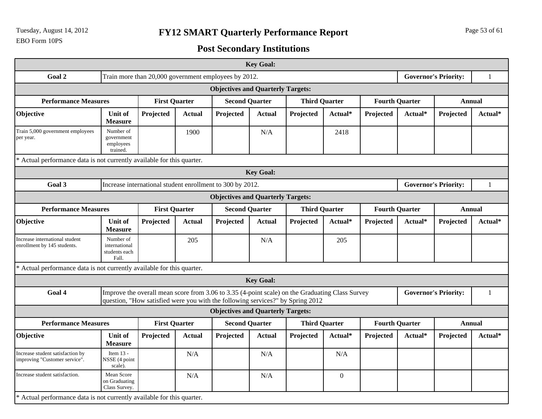|                                                                        |                                                      |                                                                                                                                                                                   |               |                                          | <b>Key Goal:</b>      |                      |                      |                       |                       |                             |         |
|------------------------------------------------------------------------|------------------------------------------------------|-----------------------------------------------------------------------------------------------------------------------------------------------------------------------------------|---------------|------------------------------------------|-----------------------|----------------------|----------------------|-----------------------|-----------------------|-----------------------------|---------|
| Goal 2                                                                 |                                                      | Train more than 20,000 government employees by 2012.                                                                                                                              |               |                                          |                       |                      |                      |                       |                       | <b>Governor's Priority:</b> | 1       |
|                                                                        |                                                      |                                                                                                                                                                                   |               | <b>Objectives and Quarterly Targets:</b> |                       |                      |                      |                       |                       |                             |         |
| <b>Performance Measures</b>                                            |                                                      | <b>First Quarter</b>                                                                                                                                                              |               | <b>Second Quarter</b>                    |                       | <b>Third Quarter</b> |                      | <b>Fourth Quarter</b> |                       | <b>Annual</b>               |         |
| Objective                                                              | <b>Unit of</b><br><b>Measure</b>                     | Projected                                                                                                                                                                         | <b>Actual</b> | Projected                                | <b>Actual</b>         | Projected            | Actual*              | Projected             | Actual*               | Projected                   | Actual* |
| Train 5,000 government employees<br>per year.                          | Number of<br>government<br>employees<br>trained.     |                                                                                                                                                                                   | 1900          |                                          | N/A                   |                      | 2418                 |                       |                       |                             |         |
| Actual performance data is not currently available for this quarter.   |                                                      |                                                                                                                                                                                   |               |                                          |                       |                      |                      |                       |                       |                             |         |
|                                                                        |                                                      |                                                                                                                                                                                   |               |                                          | <b>Key Goal:</b>      |                      |                      |                       |                       |                             |         |
| Goal 3                                                                 |                                                      | Increase international student enrollment to 300 by 2012.                                                                                                                         |               |                                          |                       |                      |                      |                       |                       | <b>Governor's Priority:</b> | 1       |
| <b>Objectives and Quarterly Targets:</b>                               |                                                      |                                                                                                                                                                                   |               |                                          |                       |                      |                      |                       |                       |                             |         |
| <b>Performance Measures</b>                                            |                                                      | <b>First Quarter</b>                                                                                                                                                              |               |                                          | <b>Second Quarter</b> |                      | <b>Third Quarter</b> |                       | <b>Fourth Quarter</b> | <b>Annual</b>               |         |
| Objective                                                              | <b>Unit of</b><br><b>Measure</b>                     | Projected                                                                                                                                                                         | Actual        | Projected                                | <b>Actual</b>         | Projected            | Actual*              | Projected             | Actual*               | Projected                   | Actual* |
| Increase international student<br>enrollment by 145 students.          | Number of<br>international<br>students each<br>Fall. |                                                                                                                                                                                   | 205           |                                          | N/A                   |                      | 205                  |                       |                       |                             |         |
| * Actual performance data is not currently available for this quarter. |                                                      |                                                                                                                                                                                   |               |                                          |                       |                      |                      |                       |                       |                             |         |
|                                                                        |                                                      |                                                                                                                                                                                   |               |                                          | <b>Key Goal:</b>      |                      |                      |                       |                       |                             |         |
| Goal 4                                                                 |                                                      | Improve the overall mean score from 3.06 to 3.35 (4-point scale) on the Graduating Class Survey<br>question, "How satisfied were you with the following services?" by Spring 2012 |               |                                          |                       |                      |                      |                       |                       | <b>Governor's Priority:</b> |         |
|                                                                        |                                                      |                                                                                                                                                                                   |               | <b>Objectives and Quarterly Targets:</b> |                       |                      |                      |                       |                       |                             |         |
| <b>Performance Measures</b>                                            |                                                      | <b>First Quarter</b>                                                                                                                                                              |               | <b>Second Quarter</b>                    |                       | <b>Third Quarter</b> |                      | <b>Fourth Quarter</b> |                       | <b>Annual</b>               |         |
| Objective                                                              | <b>Unit of</b><br><b>Measure</b>                     | Projected                                                                                                                                                                         | Actual        | Projected                                | Actual                | Projected            | Actual*              | Projected             | Actual*               | Projected                   | Actual* |
| Increase student satisfaction by<br>improving "Customer service".      | Item 13 -<br>NSSE (4 point<br>scale).                |                                                                                                                                                                                   | N/A           |                                          | N/A                   |                      | N/A                  |                       |                       |                             |         |
| Increase student satisfaction.                                         | Mean Score<br>on Graduating<br>Class Survey.         |                                                                                                                                                                                   | N/A           |                                          | N/A                   |                      | $\boldsymbol{0}$     |                       |                       |                             |         |
| * Actual performance data is not currently available for this quarter. |                                                      |                                                                                                                                                                                   |               |                                          |                       |                      |                      |                       |                       |                             |         |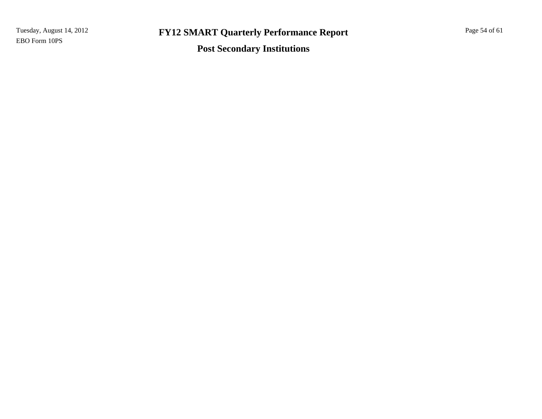EBO Form 10PS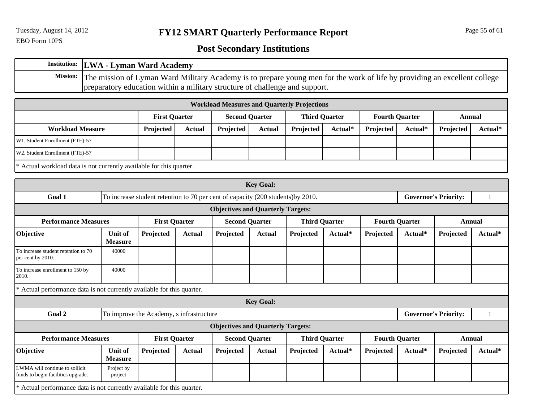| <b>Institution: LWA - Lyman Ward Academy</b>                                                                                       |
|------------------------------------------------------------------------------------------------------------------------------------|
| Mission: The mission of Lyman Ward Military Academy is to prepare young men for the work of life by providing an excellent college |
| preparatory education within a military structure of challenge and support.                                                        |

| <b>Workload Measures and Quarterly Projections</b>                             |                                               |               |           |                      |           |                       |                  |         |           |         |  |
|--------------------------------------------------------------------------------|-----------------------------------------------|---------------|-----------|----------------------|-----------|-----------------------|------------------|---------|-----------|---------|--|
|                                                                                | <b>Second Quarter</b><br><b>First Quarter</b> |               |           | <b>Third Quarter</b> |           | <b>Fourth Quarter</b> |                  | Annual  |           |         |  |
| <b>Workload Measure</b>                                                        | Projected                                     | <b>Actual</b> | Projected | <b>Actual</b>        | Projected | Actual*               | <b>Projected</b> | Actual* | Projected | Actual* |  |
| W1. Student Enrollment (FTE)-57                                                |                                               |               |           |                      |           |                       |                  |         |           |         |  |
| W2. Student Enrollment (FTE)-57                                                |                                               |               |           |                      |           |                       |                  |         |           |         |  |
| <sup>*</sup> Actual workload data is not currently available for this quarter. |                                               |               |           |                      |           |                       |                  |         |           |         |  |

| <b>Key Goal:</b>                                                       |                           |                                          |        |                                                                                  |                  |                      |         |                       |                       |                             |         |  |
|------------------------------------------------------------------------|---------------------------|------------------------------------------|--------|----------------------------------------------------------------------------------|------------------|----------------------|---------|-----------------------|-----------------------|-----------------------------|---------|--|
| Goal 1                                                                 |                           |                                          |        | To increase student retention to 70 per cent of capacity (200 students) by 2010. |                  |                      |         |                       |                       | <b>Governor's Priority:</b> |         |  |
|                                                                        |                           |                                          |        | <b>Objectives and Quarterly Targets:</b>                                         |                  |                      |         |                       |                       |                             |         |  |
| <b>Performance Measures</b>                                            |                           | <b>First Quarter</b>                     |        | <b>Second Quarter</b>                                                            |                  | <b>Third Quarter</b> |         | <b>Fourth Quarter</b> |                       | Annual                      |         |  |
| Objective                                                              | Unit of<br><b>Measure</b> | Projected                                | Actual | Projected<br>Projected<br>Actual*<br>Projected<br>Actual                         |                  |                      |         | Actual*               | Projected             | Actual*                     |         |  |
| To increase student retention to 70<br>per cent by 2010.               | 40000                     |                                          |        |                                                                                  |                  |                      |         |                       |                       |                             |         |  |
| To increase enrollment to 150 by<br>2010.                              | 40000                     |                                          |        |                                                                                  |                  |                      |         |                       |                       |                             |         |  |
| * Actual performance data is not currently available for this quarter. |                           |                                          |        |                                                                                  |                  |                      |         |                       |                       |                             |         |  |
|                                                                        |                           |                                          |        |                                                                                  | <b>Key Goal:</b> |                      |         |                       |                       |                             |         |  |
| Goal 2                                                                 |                           | To improve the Academy, s infrastructure |        |                                                                                  |                  |                      |         |                       |                       | <b>Governor's Priority:</b> |         |  |
|                                                                        |                           |                                          |        | <b>Objectives and Quarterly Targets:</b>                                         |                  |                      |         |                       |                       |                             |         |  |
| <b>Performance Measures</b>                                            |                           | <b>First Quarter</b>                     |        | <b>Second Quarter</b>                                                            |                  | <b>Third Quarter</b> |         |                       | <b>Fourth Quarter</b> | Annual                      |         |  |
| Objective                                                              | Unit of<br><b>Measure</b> | Projected                                | Actual | Projected                                                                        | Actual           | Projected            | Actual* | Projected             | Actual*               | Projected                   | Actual* |  |
| LWMA will continue to sollicit<br>funds to begin facilities upgrade.   | Project by<br>project     |                                          |        |                                                                                  |                  |                      |         |                       |                       |                             |         |  |
| * Actual performance data is not currently available for this quarter. |                           |                                          |        |                                                                                  |                  |                      |         |                       |                       |                             |         |  |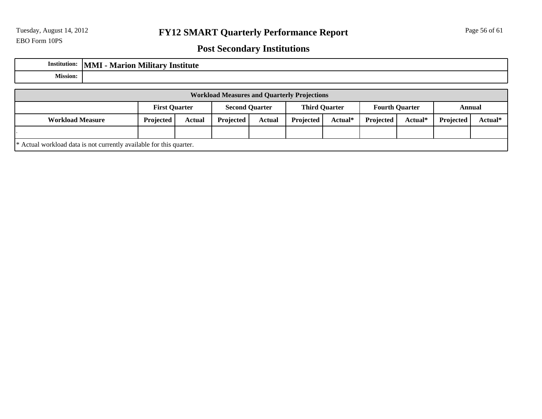|                                                                       |                                                                                                | <b>Institution: MMI - Marion Military Institute</b> |               |           |               |           |         |           |         |           |         |  |  |
|-----------------------------------------------------------------------|------------------------------------------------------------------------------------------------|-----------------------------------------------------|---------------|-----------|---------------|-----------|---------|-----------|---------|-----------|---------|--|--|
| <b>Mission:</b>                                                       |                                                                                                |                                                     |               |           |               |           |         |           |         |           |         |  |  |
|                                                                       |                                                                                                |                                                     |               |           |               |           |         |           |         |           |         |  |  |
| <b>Workload Measures and Quarterly Projections</b>                    |                                                                                                |                                                     |               |           |               |           |         |           |         |           |         |  |  |
|                                                                       | <b>Second Quarter</b><br><b>Third Quarter</b><br><b>Fourth Quarter</b><br><b>First Quarter</b> |                                                     |               |           |               |           |         |           |         | Annual    |         |  |  |
| <b>Workload Measure</b>                                               |                                                                                                | Projected                                           | <b>Actual</b> | Projected | <b>Actual</b> | Projected | Actual* | Projected | Actual* | Projected | Actual* |  |  |
|                                                                       |                                                                                                |                                                     |               |           |               |           |         |           |         |           |         |  |  |
| $*$ Actual workload data is not currently available for this quarter. |                                                                                                |                                                     |               |           |               |           |         |           |         |           |         |  |  |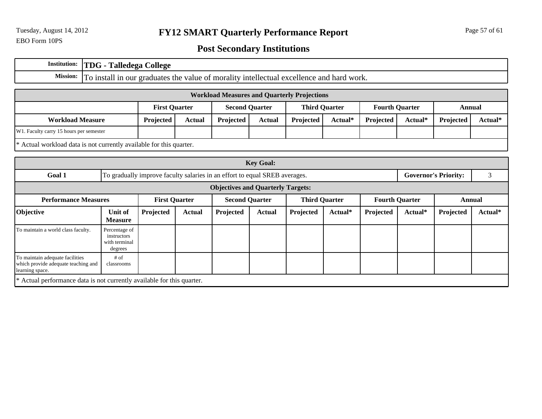| . .<br>stitution | ollege<br>ал:                                                                                                                                                  |
|------------------|----------------------------------------------------------------------------------------------------------------------------------------------------------------|
| <b>Mission:</b>  | –<br>' work.<br>hard<br>7 intellectual<br>morality<br>ano<br>$\sim$ $\mathbf{v}$<br>the<br>1nstal<br>value<br>$\cup$ lence<br>raduates<br>oui<br>$\sigma$<br>Ш |
|                  |                                                                                                                                                                |

| <b>Workload Measures and Quarterly Projections</b>                              |                  |                                               |           |        |                      |         |                       |         |                  |         |  |
|---------------------------------------------------------------------------------|------------------|-----------------------------------------------|-----------|--------|----------------------|---------|-----------------------|---------|------------------|---------|--|
|                                                                                 |                  | <b>First Quarter</b><br><b>Second Quarter</b> |           |        | <b>Third Quarter</b> |         | <b>Fourth Quarter</b> |         | Annual           |         |  |
| <b>Workload Measure</b>                                                         | <b>Projected</b> | <b>Actual</b>                                 | Projected | Actual | <b>Projected</b>     | Actual* | <b>Projected</b>      | Actual* | <b>Projected</b> | Actual* |  |
| W <sub>1</sub> . Faculty carry 15 hours per semester                            |                  |                                               |           |        |                      |         |                       |         |                  |         |  |
| $\mathsf{I}^*$ Actual workload data is not currently available for this quarter |                  |                                               |           |        |                      |         |                       |         |                  |         |  |

Actual workload data is not currently available for this quarter.

| <b>Key Goal:</b>                                                                                                              |                                                          |           |               |                                                                            |        |           |         |           |                             |           |         |
|-------------------------------------------------------------------------------------------------------------------------------|----------------------------------------------------------|-----------|---------------|----------------------------------------------------------------------------|--------|-----------|---------|-----------|-----------------------------|-----------|---------|
| Goal 1                                                                                                                        |                                                          |           |               | To gradually improve faculty salaries in an effort to equal SREB averages. |        |           |         |           | <b>Governor's Priority:</b> |           |         |
| <b>Objectives and Quarterly Targets:</b>                                                                                      |                                                          |           |               |                                                                            |        |           |         |           |                             |           |         |
| <b>First Quarter</b><br><b>Third Quarter</b><br><b>Fourth Quarter</b><br><b>Second Quarter</b><br><b>Performance Measures</b> |                                                          |           |               |                                                                            |        |           |         |           |                             |           | Annual  |
| Objective                                                                                                                     | Unit of<br><b>Measure</b>                                | Projected | <b>Actual</b> | Projected                                                                  | Actual | Projected | Actual* | Projected | Actual*                     | Projected | Actual* |
| To maintain a world class faculty.                                                                                            | Percentage of<br>instructors<br>with terminal<br>degrees |           |               |                                                                            |        |           |         |           |                             |           |         |
| To maintain adequate facilities<br>which provide adequate teaching and<br>learning space.                                     | $#$ of<br>classrooms                                     |           |               |                                                                            |        |           |         |           |                             |           |         |
| * Actual performance data is not currently available for this quarter.                                                        |                                                          |           |               |                                                                            |        |           |         |           |                             |           |         |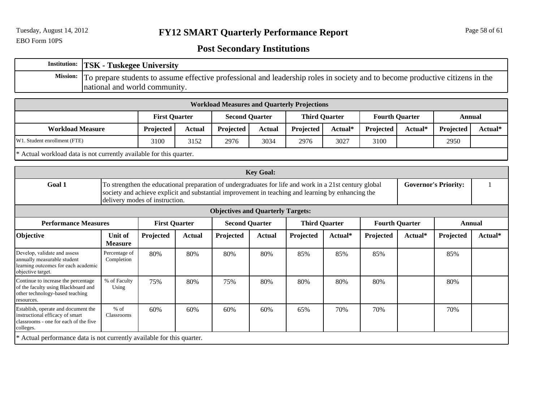|                 | <b>Institution: TSK</b> - Tuskegee University                                                                                 |
|-----------------|-------------------------------------------------------------------------------------------------------------------------------|
| <b>Mission:</b> | To prepare students to assume effective professional and leadership roles in society and to become productive citizens in the |
|                 | Inational and world community.                                                                                                |

|                                                                                                                              |                                                                                                                                                                                                                                                                               |                      |               | <b>Workload Measures and Quarterly Projections</b> |                       |                      |                      |                       |         |               |         |
|------------------------------------------------------------------------------------------------------------------------------|-------------------------------------------------------------------------------------------------------------------------------------------------------------------------------------------------------------------------------------------------------------------------------|----------------------|---------------|----------------------------------------------------|-----------------------|----------------------|----------------------|-----------------------|---------|---------------|---------|
|                                                                                                                              |                                                                                                                                                                                                                                                                               | <b>First Quarter</b> |               |                                                    | <b>Second Quarter</b> |                      | <b>Third Quarter</b> | <b>Fourth Quarter</b> |         | <b>Annual</b> |         |
| <b>Workload Measure</b>                                                                                                      |                                                                                                                                                                                                                                                                               | Projected            | <b>Actual</b> | Projected                                          | <b>Actual</b>         | Projected            | Actual*              | Projected             | Actual* | Projected     | Actual* |
| W1. Student enrollment (FTE)                                                                                                 |                                                                                                                                                                                                                                                                               | 3100                 | 3152          | 2976                                               | 3034                  | 2976                 | 3027                 | 3100                  |         | 2950          |         |
| * Actual workload data is not currently available for this quarter.                                                          |                                                                                                                                                                                                                                                                               |                      |               |                                                    |                       |                      |                      |                       |         |               |         |
|                                                                                                                              |                                                                                                                                                                                                                                                                               |                      |               |                                                    | <b>Key Goal:</b>      |                      |                      |                       |         |               |         |
| Goal 1                                                                                                                       | To strengthen the educational preparation of undergraduates for life and work in a 21st century global<br><b>Governor's Priority:</b><br>society and achieve explicit and substantial improvement in teaching and learning by enhancing the<br>delivery modes of instruction. |                      |               |                                                    |                       |                      |                      |                       |         |               |         |
|                                                                                                                              |                                                                                                                                                                                                                                                                               |                      |               | <b>Objectives and Quarterly Targets:</b>           |                       |                      |                      |                       |         |               |         |
| <b>Performance Measures</b>                                                                                                  |                                                                                                                                                                                                                                                                               | <b>First Quarter</b> |               | <b>Second Quarter</b>                              |                       | <b>Third Quarter</b> |                      | <b>Fourth Quarter</b> |         |               | Annual  |
| Objective                                                                                                                    | Unit of<br><b>Measure</b>                                                                                                                                                                                                                                                     | Projected            | <b>Actual</b> | Projected                                          | <b>Actual</b>         | Projected            | Actual*              | Projected             | Actual* | Projected     | Actual* |
| Develop, validate and assess<br>annually measurable student<br>learning outcomes for each academic<br>objective target.      | Percentage of<br>Completion                                                                                                                                                                                                                                                   | 80%                  | 80%           | 80%                                                | 80%                   | 85%                  | 85%                  | 85%                   |         | 85%           |         |
| Continue to increase the percentage<br>of the faculty using Blackboard and<br>other technology-based teaching<br>resources.  | % of Faculty<br>75%<br>80%<br>80%<br>80%<br>80%<br>80%<br>80%<br>75%<br>Using                                                                                                                                                                                                 |                      |               |                                                    |                       |                      |                      |                       |         |               |         |
| Establish, operate and document the<br>instructional efficacy of smart<br>classrooms - one for each of the five<br>colleges. | $%$ of<br>Classrooms                                                                                                                                                                                                                                                          | 60%                  | 60%           | 60%                                                | 60%                   | 65%                  | 70%                  | 70%                   |         | 70%           |         |
| * Actual performance data is not currently available for this quarter.                                                       |                                                                                                                                                                                                                                                                               |                      |               |                                                    |                       |                      |                      |                       |         |               |         |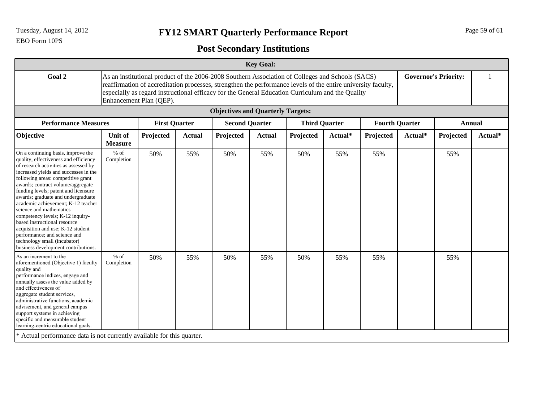| <b>Key Goal:</b>                                                                                                                                                                                                                                                                                                                                                                                                                                                                                                                                                                                        |                                                                                                                                                                                                                                                                                                                                                                                 |                      |               |                       |               |                      |         |           |                       |           |               |  |  |  |
|---------------------------------------------------------------------------------------------------------------------------------------------------------------------------------------------------------------------------------------------------------------------------------------------------------------------------------------------------------------------------------------------------------------------------------------------------------------------------------------------------------------------------------------------------------------------------------------------------------|---------------------------------------------------------------------------------------------------------------------------------------------------------------------------------------------------------------------------------------------------------------------------------------------------------------------------------------------------------------------------------|----------------------|---------------|-----------------------|---------------|----------------------|---------|-----------|-----------------------|-----------|---------------|--|--|--|
| Goal 2                                                                                                                                                                                                                                                                                                                                                                                                                                                                                                                                                                                                  | As an institutional product of the 2006-2008 Southern Association of Colleges and Schools (SACS)<br><b>Governor's Priority:</b><br>reaffirmation of accreditation processes, strengthen the performance levels of the entire university faculty,<br>especially as regard instructional efficacy for the General Education Curriculum and the Quality<br>Enhancement Plan (QEP). |                      |               |                       |               |                      |         |           |                       |           |               |  |  |  |
|                                                                                                                                                                                                                                                                                                                                                                                                                                                                                                                                                                                                         | <b>Objectives and Quarterly Targets:</b>                                                                                                                                                                                                                                                                                                                                        |                      |               |                       |               |                      |         |           |                       |           |               |  |  |  |
| <b>Performance Measures</b>                                                                                                                                                                                                                                                                                                                                                                                                                                                                                                                                                                             |                                                                                                                                                                                                                                                                                                                                                                                 | <b>First Quarter</b> |               | <b>Second Quarter</b> |               | <b>Third Quarter</b> |         |           | <b>Fourth Quarter</b> |           | <b>Annual</b> |  |  |  |
| Objective                                                                                                                                                                                                                                                                                                                                                                                                                                                                                                                                                                                               | Unit of<br><b>Measure</b>                                                                                                                                                                                                                                                                                                                                                       | Projected            | <b>Actual</b> | Projected             | <b>Actual</b> | Projected            | Actual* | Projected | Actual*               | Projected | Actual*       |  |  |  |
| On a continuing basis, improve the<br>quality, effectiveness and efficiency<br>of research activities as assessed by<br>increased yields and successes in the<br>following areas: competitive grant<br>awards; contract volume/aggregate<br>funding levels; patent and licensure<br>awards; graduate and undergraduate<br>academic achievement; K-12 teacher<br>science and mathematics<br>competency levels; K-12 inquiry-<br>based instructional resource<br>acquisition and use; K-12 student<br>performance; and science and<br>technology small (incubator)<br>business development contributions. | $%$ of<br>Completion                                                                                                                                                                                                                                                                                                                                                            | 50%                  | 55%           | 50%                   | 55%           | 50%                  | 55%     | 55%       |                       | 55%       |               |  |  |  |
| As an increment to the<br>aforementioned (Objective 1) faculty<br>quality and<br>performance indices, engage and<br>annually assess the value added by<br>and effectiveness of<br>aggregate student services,<br>administrative functions, academic<br>advisement, and general campus<br>support systems in achieving<br>specific and measurable student<br>learning-centric educational goals.<br>* Actual performance data is not currently available for this quarter.                                                                                                                               | $%$ of<br>Completion                                                                                                                                                                                                                                                                                                                                                            | 50%                  | 55%           | 50%                   | 55%           | 50%                  | 55%     | 55%       |                       | 55%       |               |  |  |  |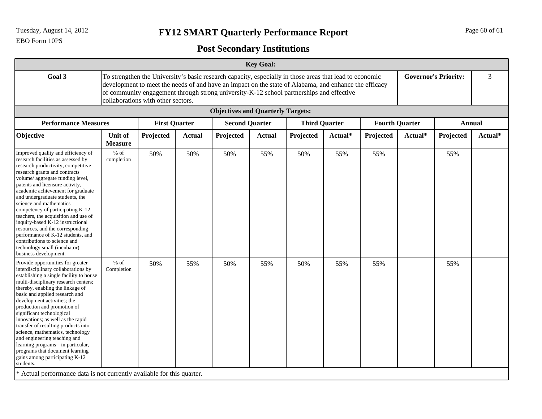| <b>Key Goal:</b><br>3                                                                                                                                                                                                                                                                                                                                                                                                                                                                                                                                                                                       |                                  |                                                                                                                                                                                                                                                                                                                                                                                   |               |                                          |        |                      |         |           |                       |           |               |  |
|-------------------------------------------------------------------------------------------------------------------------------------------------------------------------------------------------------------------------------------------------------------------------------------------------------------------------------------------------------------------------------------------------------------------------------------------------------------------------------------------------------------------------------------------------------------------------------------------------------------|----------------------------------|-----------------------------------------------------------------------------------------------------------------------------------------------------------------------------------------------------------------------------------------------------------------------------------------------------------------------------------------------------------------------------------|---------------|------------------------------------------|--------|----------------------|---------|-----------|-----------------------|-----------|---------------|--|
| Goal 3                                                                                                                                                                                                                                                                                                                                                                                                                                                                                                                                                                                                      |                                  | To strengthen the University's basic research capacity, especially in those areas that lead to economic<br><b>Governor's Priority:</b><br>development to meet the needs of and have an impact on the state of Alabama, and enhance the efficacy<br>of community engagement through strong university-K-12 school partnerships and effective<br>collaborations with other sectors. |               |                                          |        |                      |         |           |                       |           |               |  |
|                                                                                                                                                                                                                                                                                                                                                                                                                                                                                                                                                                                                             |                                  |                                                                                                                                                                                                                                                                                                                                                                                   |               | <b>Objectives and Quarterly Targets:</b> |        |                      |         |           |                       |           |               |  |
| <b>Performance Measures</b>                                                                                                                                                                                                                                                                                                                                                                                                                                                                                                                                                                                 |                                  | <b>First Quarter</b>                                                                                                                                                                                                                                                                                                                                                              |               | <b>Second Quarter</b>                    |        | <b>Third Quarter</b> |         |           | <b>Fourth Quarter</b> |           | <b>Annual</b> |  |
| Objective                                                                                                                                                                                                                                                                                                                                                                                                                                                                                                                                                                                                   | <b>Unit of</b><br><b>Measure</b> | Projected                                                                                                                                                                                                                                                                                                                                                                         | <b>Actual</b> | Projected                                | Actual | Projected            | Actual* | Projected | Actual*               | Projected | Actual*       |  |
| Improved quality and efficiency of<br>research facilities as assessed by<br>research productivity, competitive<br>research grants and contracts<br>volume/ aggregate funding level,<br>patents and licensure activity,<br>academic achievement for graduate<br>and undergraduate students, the<br>science and mathematics<br>competency of participating K-12<br>teachers, the acquisition and use of<br>inquiry-based K-12 instructional<br>resources, and the corresponding<br>performance of K-12 students, and<br>contributions to science and<br>technology small (incubator)<br>business development. | $\%$ of<br>completion            | 50%                                                                                                                                                                                                                                                                                                                                                                               | 50%           | 50%                                      | 55%    | 50%                  | 55%     | 55%       |                       | 55%       |               |  |
| Provide opportunities for greater<br>interdisciplinary collaborations by<br>establishing a single facility to house<br>multi-disciplinary research centers;<br>thereby, enabling the linkage of<br>basic and applied research and<br>development activities; the<br>production and promotion of<br>significant technological<br>innovations; as well as the rapid<br>transfer of resulting products into<br>science, mathematics, technology<br>and engineering teaching and<br>learning programs-- in particular,<br>programs that document learning<br>gains among participating K-12<br>students.        | $%$ of<br>Completion             | 50%                                                                                                                                                                                                                                                                                                                                                                               | 55%           | 50%                                      | 55%    | 50%                  | 55%     | 55%       |                       | 55%       |               |  |
| * Actual performance data is not currently available for this quarter.                                                                                                                                                                                                                                                                                                                                                                                                                                                                                                                                      |                                  |                                                                                                                                                                                                                                                                                                                                                                                   |               |                                          |        |                      |         |           |                       |           |               |  |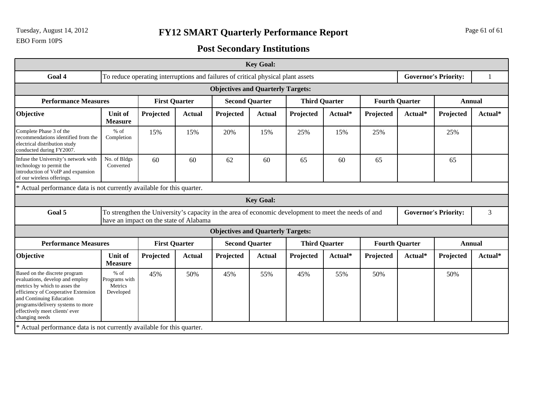|                                                                                                                                                                                                                                                               |                                                                                  |                                                                                                                                                                                    |               |                                          | <b>Key Goal:</b> |                      |         |           |                             |           |               |
|---------------------------------------------------------------------------------------------------------------------------------------------------------------------------------------------------------------------------------------------------------------|----------------------------------------------------------------------------------|------------------------------------------------------------------------------------------------------------------------------------------------------------------------------------|---------------|------------------------------------------|------------------|----------------------|---------|-----------|-----------------------------|-----------|---------------|
| Goal 4                                                                                                                                                                                                                                                        | To reduce operating interruptions and failures of critical physical plant assets |                                                                                                                                                                                    |               |                                          |                  |                      |         |           | <b>Governor's Priority:</b> |           |               |
|                                                                                                                                                                                                                                                               |                                                                                  |                                                                                                                                                                                    |               | <b>Objectives and Quarterly Targets:</b> |                  |                      |         |           |                             |           |               |
| <b>Performance Measures</b>                                                                                                                                                                                                                                   |                                                                                  | <b>First Quarter</b>                                                                                                                                                               |               | <b>Second Quarter</b>                    |                  | <b>Third Quarter</b> |         |           | <b>Fourth Quarter</b>       |           | <b>Annual</b> |
| Objective                                                                                                                                                                                                                                                     | Unit of<br><b>Measure</b>                                                        | Projected                                                                                                                                                                          | <b>Actual</b> | Projected                                | <b>Actual</b>    | Projected            | Actual* | Projected | Actual*                     | Projected | Actual*       |
| Complete Phase 3 of the<br>recommendations identified from the<br>electrical distribution study<br>conducted during FY2007.                                                                                                                                   | $%$ of<br>Completion                                                             | 15%                                                                                                                                                                                | 15%           | 20%                                      | 15%              | 25%                  | 15%     | 25%       |                             | 25%       |               |
| Infuse the University's network with<br>technology to permit the<br>introduction of VoIP and expansion<br>of our wireless offerings.                                                                                                                          | No. of Bldgs<br>Converted                                                        | 60                                                                                                                                                                                 | 60            | 62                                       | 60               | 65                   | 60      | 65        |                             | 65        |               |
| * Actual performance data is not currently available for this quarter.                                                                                                                                                                                        |                                                                                  |                                                                                                                                                                                    |               |                                          |                  |                      |         |           |                             |           |               |
|                                                                                                                                                                                                                                                               |                                                                                  |                                                                                                                                                                                    |               |                                          | <b>Key Goal:</b> |                      |         |           |                             |           |               |
| Goal 5                                                                                                                                                                                                                                                        |                                                                                  | 3<br><b>Governor's Priority:</b><br>To strengthen the University's capacity in the area of economic development to meet the needs of and<br>have an impact on the state of Alabama |               |                                          |                  |                      |         |           |                             |           |               |
|                                                                                                                                                                                                                                                               |                                                                                  |                                                                                                                                                                                    |               | <b>Objectives and Quarterly Targets:</b> |                  |                      |         |           |                             |           |               |
| <b>Performance Measures</b>                                                                                                                                                                                                                                   |                                                                                  | <b>First Quarter</b>                                                                                                                                                               |               | <b>Second Quarter</b>                    |                  | <b>Third Quarter</b> |         |           | <b>Fourth Quarter</b>       |           | <b>Annual</b> |
| <b>Objective</b>                                                                                                                                                                                                                                              | Unit of<br><b>Measure</b>                                                        | Projected                                                                                                                                                                          | <b>Actual</b> | Projected                                | <b>Actual</b>    | Projected            | Actual* | Projected | Actual*                     | Projected | $Actual*$     |
| Based on the discrete program<br>evaluations, develop and employ<br>metrics by which to asses the<br>efficiency of Cooperative Extension<br>and Continuing Education<br>programs/delivery systems to more<br>effectively meet clients' ever<br>changing needs | $%$ of<br>Programs with<br>Metrics<br>Developed                                  | 45%                                                                                                                                                                                | 50%           | 45%                                      | 55%              | 45%                  | 55%     | 50%       |                             | 50%       |               |
| * Actual performance data is not currently available for this quarter.                                                                                                                                                                                        |                                                                                  |                                                                                                                                                                                    |               |                                          |                  |                      |         |           |                             |           |               |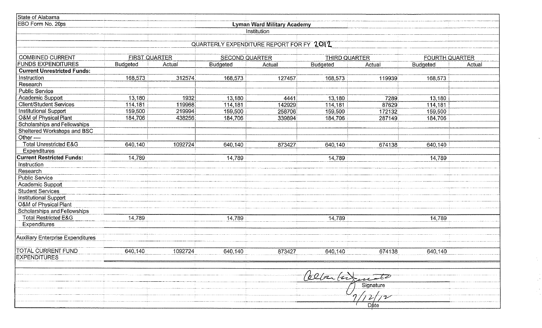| State of Alabama                         |                      |         |                       |                                          |                      |             |                       |        |
|------------------------------------------|----------------------|---------|-----------------------|------------------------------------------|----------------------|-------------|-----------------------|--------|
| EBO Form No. 20ps                        |                      |         |                       | Lyman Ward Military Academy              |                      |             |                       |        |
|                                          |                      |         |                       | Institution                              |                      |             |                       |        |
|                                          |                      |         |                       |                                          |                      |             |                       |        |
|                                          |                      |         |                       | QUARTERLY EXPENDITURE REPORT FOR FY 2012 |                      |             |                       |        |
| <b>COMBINED CURRENT</b>                  | <b>FIRST QUARTER</b> |         | <b>SECOND QUARTER</b> |                                          | <b>THIRD QUARTER</b> |             | <b>FOURTH QUARTER</b> |        |
| <b>FUNDS EXPENDITURES</b>                | Budgeted             | Actual  | <b>Budgeted</b>       | Actual                                   | <b>Budgeted</b>      | Actual      | <b>Budgeted</b>       | Actual |
| <b>Current Unrestricted Funds:</b>       |                      |         |                       |                                          |                      |             |                       |        |
| Instruction                              | 168,573              | 312574  | 168,573               | 127457                                   | 168,573              | 119939      | 168,573               |        |
| Research                                 |                      |         |                       |                                          |                      |             |                       |        |
| <b>Public Service</b>                    |                      |         |                       |                                          |                      |             |                       |        |
| Academic Support                         | 13,180               | 1932    | 13.180                | 4441                                     | 13,180               | 7289        | 13,180                |        |
| <b>Client/Student Services</b>           | 114,181              | 119968  | 114.181               | 142929                                   | 114,181              | 87629       | 114,181               |        |
| <b>Institutional Support</b>             | 159,500              | 219994  | 159,500               | 258706                                   | 159,500              | 172132      | 159,500               |        |
| O&M of Physical Plant                    | 184,706              | 438256  | 184,706               | 339894                                   | 184,706              | 287149      | 184,706               |        |
| <b>Scholarships and Fellowships</b>      |                      |         |                       |                                          |                      |             |                       |        |
| Sheltered Workshops and BSC              |                      |         |                       |                                          |                      |             |                       |        |
| Other ----                               |                      |         |                       |                                          |                      |             |                       |        |
| <b>Total Unrestricted E&amp;G</b>        | 640,140              | 1092724 | 640,140               | 873427                                   | 640,140              | 674138      | 640,140               |        |
| <b>Expenditures</b>                      |                      |         |                       |                                          |                      |             |                       |        |
| <b>Current Restricted Funds:</b>         | 14,789               |         | 14,789                |                                          | 14,789               |             | 14,789                |        |
| Instruction                              |                      |         |                       |                                          |                      |             |                       |        |
| Research                                 |                      |         |                       |                                          |                      |             |                       |        |
| <b>Public Service</b>                    |                      |         |                       |                                          |                      |             |                       |        |
| Academic Support                         |                      |         |                       |                                          |                      |             |                       |        |
| <b>Student Services</b>                  |                      |         |                       |                                          |                      |             |                       |        |
| Institutional Support                    |                      |         |                       |                                          |                      |             |                       |        |
| O&M of Physical Plant                    |                      |         |                       |                                          |                      |             |                       |        |
| Scholarships and Fellowships             |                      |         |                       |                                          |                      |             |                       |        |
| <b>Total Restricted E&amp;G</b>          | 14,789               |         | 14,789                |                                          | 14,789               |             | 14,789                |        |
| <b>Expenditures</b>                      |                      |         |                       |                                          |                      |             |                       |        |
|                                          |                      |         |                       |                                          |                      |             |                       |        |
| <b>Auxiliary Enterprise Expenditures</b> |                      |         |                       |                                          |                      |             |                       |        |
| TOTAL CURRENT FUND                       | 640,140              | 1092724 | 640,140               | 873427                                   | 640,140              | 674138      | 640,140               |        |
| <b>EXPENDITURES</b>                      |                      |         |                       |                                          |                      |             |                       |        |
|                                          |                      |         |                       |                                          |                      |             |                       |        |
|                                          |                      |         |                       |                                          | Pela and             |             |                       |        |
|                                          |                      |         |                       |                                          |                      |             |                       |        |
|                                          |                      |         |                       |                                          |                      | Signature   |                       |        |
|                                          |                      |         |                       |                                          |                      |             |                       |        |
|                                          |                      |         |                       |                                          |                      |             |                       |        |
|                                          |                      |         |                       |                                          |                      | <b>Date</b> |                       |        |

 $\sim$ 

 $\mathcal{A}_\mathrm{c}$ 

 $\frac{1}{2}$ 

 $\frac{1}{2}$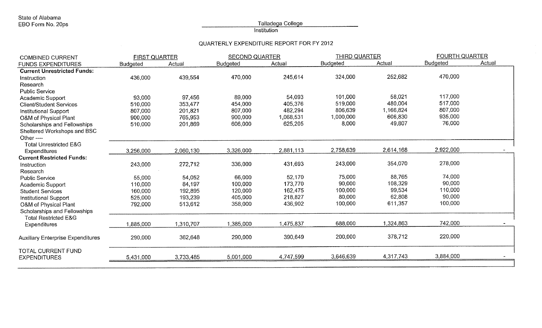Talladega College<br>Institution

 $\sim 10^{-1}$ 

#### QUARTERLY EXPENDITURE REPORT FOR FY 2012

| <b>COMBINED CURRENT</b>                  | <b>FIRST QUARTER</b> |           | <b>SECOND QUARTER</b> |           | THIRD QUARTER |           | <b>FOURTH QUARTER</b> |        |
|------------------------------------------|----------------------|-----------|-----------------------|-----------|---------------|-----------|-----------------------|--------|
| <b>FUNDS EXPENDITURES</b>                | Budgeted             | Actual    | <b>Budgeted</b>       | Actual    | Budgeted      | Actual    | <b>Budgeted</b>       | Actual |
| <b>Current Unrestricted Funds:</b>       |                      |           |                       |           |               |           |                       |        |
| Instruction                              | 436,000              | 439,554   | 470,000               | 245,614   | 324,000       | 252,682   | 470,000               |        |
| Research                                 |                      |           |                       |           |               |           |                       |        |
| <b>Public Service</b>                    |                      |           |                       |           |               |           |                       |        |
| Academic Support                         | 93,000               | 97,456    | 89,000                | 54,093    | 101,000       | 58,021    | 117,000               |        |
| <b>Client/Student Services</b>           | 510,000              | 353,477   | 454,000               | 405,376   | 519,000       | 480,004   | 517,000               |        |
| <b>Institutional Support</b>             | 807,000              | 201,821   | 807,000               | 482,294   | 806,639       | 1,166,824 | 807,000               |        |
| O&M of Physical Plant                    | 900,000              | 765,953   | 900,000               | 1,068,531 | 1,000,000     | 606,830   | 935,000               |        |
| Scholarships and Fellowships             | 510,000              | 201,869   | 606,000               | 625,205   | 8,000         | 49,807    | 76,000                |        |
| Sheltered Workshops and BSC              |                      |           |                       |           |               |           |                       |        |
| Other ----                               |                      |           |                       |           |               |           |                       |        |
| <b>Total Unrestricted E&amp;G</b>        |                      |           |                       |           |               |           |                       |        |
| <b>Expenditures</b>                      | 3,256,000            | 2,060,130 | 3,326,000             | 2,881,113 | 2,758,639     | 2,614,168 | 2,922,000             |        |
| <b>Current Restricted Funds:</b>         |                      |           |                       |           |               |           |                       |        |
| Instruction                              | 243,000              | 272,712   | 336,000               | 431,693   | 243,000       | 354,070   | 278,000               |        |
| Research                                 |                      |           |                       |           |               |           |                       |        |
| <b>Public Service</b>                    | 55,000               | 54,052    | 66,000                | 52,170    | 75,000        | 88,765    | 74,000                |        |
| Academic Support                         | 110,000              | 84,197    | 100,000               | 173,770   | 90,000        | 108,329   | 90,000                |        |
| <b>Student Services</b>                  | 160,000              | 192,895   | 120,000               | 162,475   | 100,000       | 99,534    | 110,000               |        |
| Institutional Support                    | 525,000              | 193,239   | 405,000               | 218,827   | 80,000        | 62,808    | 90,000                |        |
| O&M of Physical Plant                    | 792,000              | 513,612   | 358,000               | 436,902   | 100,000       | 611,357   | 100,000               |        |
| Scholarships and Fellowships             |                      |           |                       |           |               |           |                       |        |
| <b>Total Restricted E&amp;G</b>          |                      |           |                       |           |               |           |                       |        |
| <b>Expenditures</b>                      | 1,885,000            | 1,310,707 | 1,385,000             | 1,475,837 | 688,000       | 1,324,863 | 742,000               |        |
|                                          |                      |           |                       |           |               |           |                       |        |
| <b>Auxiliary Enterprise Expenditures</b> | 290,000              | 362,648   | 290,000               | 390,649   | 200,000       | 378,712   | 220,000               |        |
| <b>TOTAL CURRENT FUND</b>                |                      |           |                       |           |               |           |                       |        |
| <b>EXPENDITURES</b>                      | 5,431,000            | 3,733,485 | 5,001,000             | 4,747,599 | 3,646,639     | 4,317,743 | 3,884,000             |        |
|                                          |                      |           |                       |           |               |           |                       |        |